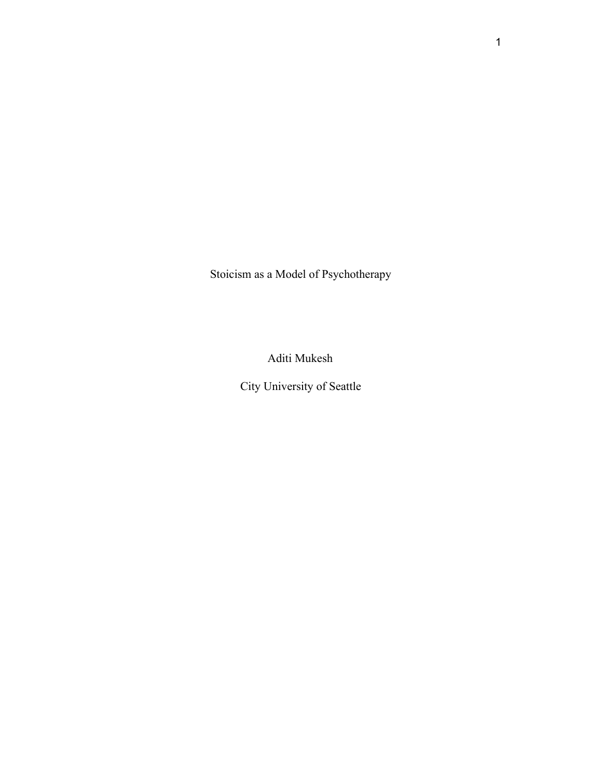Stoicism as a Model of Psychotherapy

Aditi Mukesh

City University of Seattle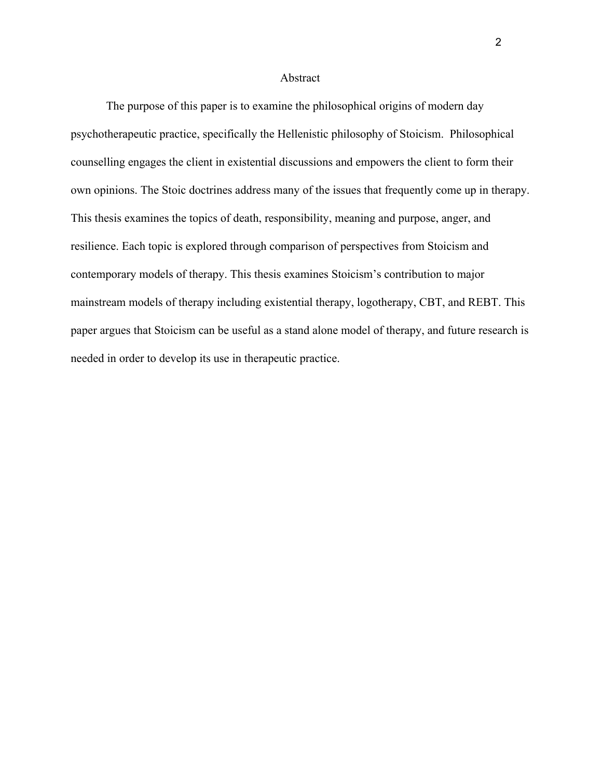#### Abstract

The purpose of this paper is to examine the philosophical origins of modern day psychotherapeutic practice, specifically the Hellenistic philosophy of Stoicism. Philosophical counselling engages the client in existential discussions and empowers the client to form their own opinions. The Stoic doctrines address many of the issues that frequently come up in therapy. This thesis examines the topics of death, responsibility, meaning and purpose, anger, and resilience. Each topic is explored through comparison of perspectives from Stoicism and contemporary models of therapy. This thesis examines Stoicism's contribution to major mainstream models of therapy including existential therapy, logotherapy, CBT, and REBT. This paper argues that Stoicism can be useful as a stand alone model of therapy, and future research is needed in order to develop its use in therapeutic practice.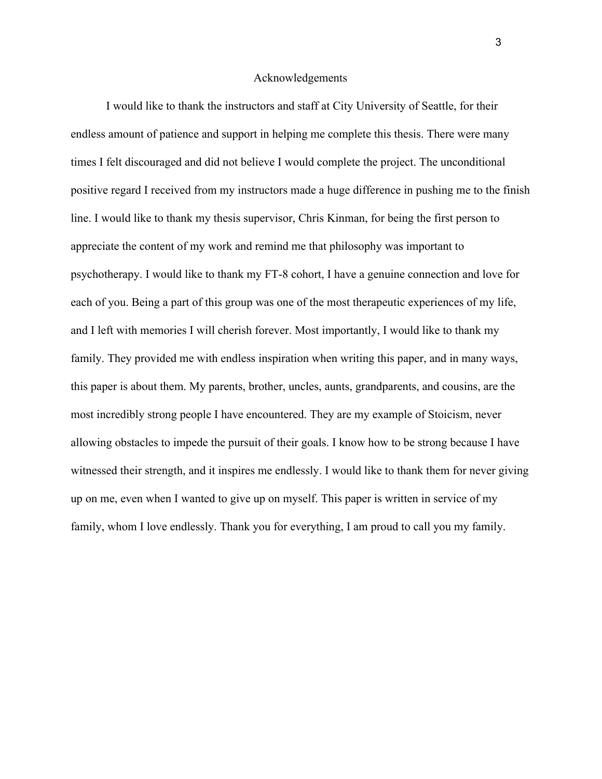## Acknowledgements

I would like to thank the instructors and staff at City University of Seattle, for their endless amount of patience and support in helping me complete this thesis. There were many times I felt discouraged and did not believe I would complete the project. The unconditional positive regard I received from my instructors made a huge difference in pushing me to the finish line. I would like to thank my thesis supervisor, Chris Kinman, for being the first person to appreciate the content of my work and remind me that philosophy was important to psychotherapy. I would like to thank my FT-8 cohort, I have a genuine connection and love for each of you. Being a part of this group was one of the most therapeutic experiences of my life, and I left with memories I will cherish forever. Most importantly, I would like to thank my family. They provided me with endless inspiration when writing this paper, and in many ways, this paper is about them. My parents, brother, uncles, aunts, grandparents, and cousins, are the most incredibly strong people I have encountered. They are my example of Stoicism, never allowing obstacles to impede the pursuit of their goals. I know how to be strong because I have witnessed their strength, and it inspires me endlessly. I would like to thank them for never giving up on me, even when I wanted to give up on myself. This paper is written in service of my family, whom I love endlessly. Thank you for everything, I am proud to call you my family.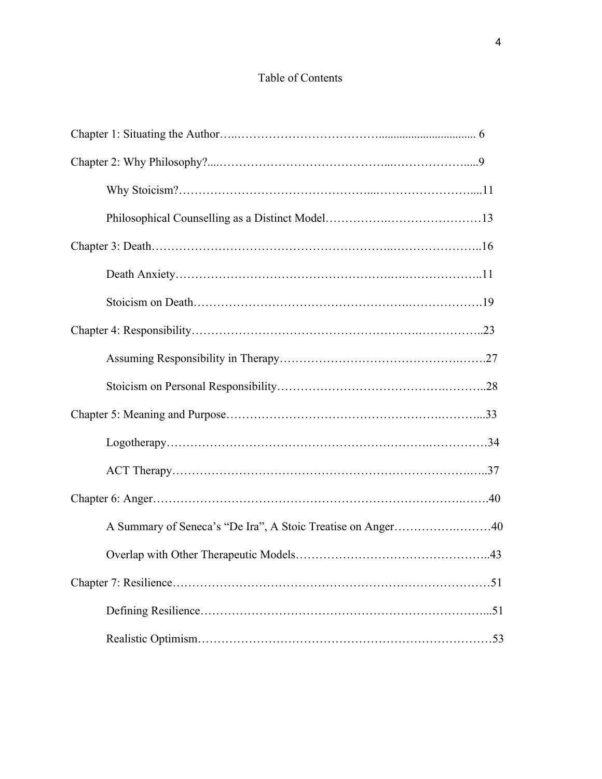# Table of Contents

| A Summary of Seneca's "De Ira", A Stoic Treatise on Anger40 |  |
|-------------------------------------------------------------|--|
|                                                             |  |
|                                                             |  |
|                                                             |  |
|                                                             |  |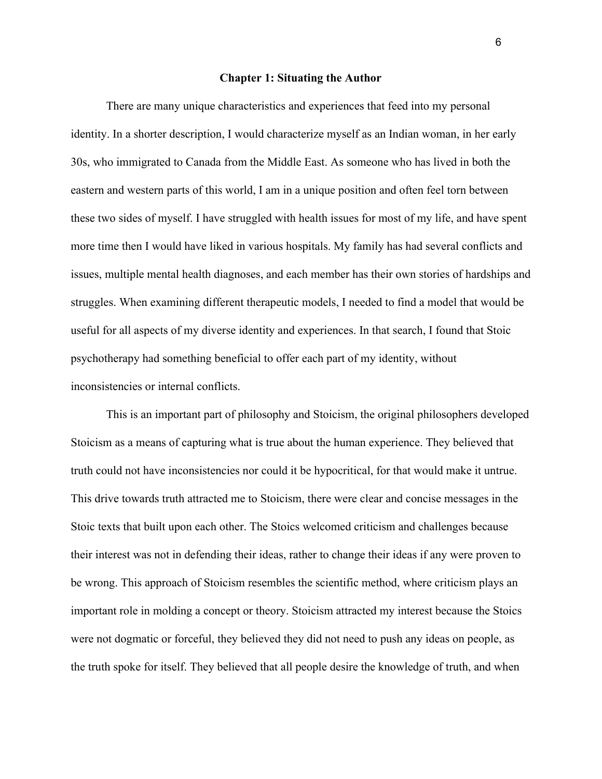#### **Chapter 1: Situating the Author**

There are many unique characteristics and experiences that feed into my personal identity. In a shorter description, I would characterize myself as an Indian woman, in her early 30s, who immigrated to Canada from the Middle East. As someone who has lived in both the eastern and western parts of this world, I am in a unique position and often feel torn between these two sides of myself. I have struggled with health issues for most of my life, and have spent more time then I would have liked in various hospitals. My family has had several conflicts and issues, multiple mental health diagnoses, and each member has their own stories of hardships and struggles. When examining different therapeutic models, I needed to find a model that would be useful for all aspects of my diverse identity and experiences. In that search, I found that Stoic psychotherapy had something beneficial to offer each part of my identity, without inconsistencies or internal conflicts.

This is an important part of philosophy and Stoicism, the original philosophers developed Stoicism as a means of capturing what is true about the human experience. They believed that truth could not have inconsistencies nor could it be hypocritical, for that would make it untrue. This drive towards truth attracted me to Stoicism, there were clear and concise messages in the Stoic texts that built upon each other. The Stoics welcomed criticism and challenges because their interest was not in defending their ideas, rather to change their ideas if any were proven to be wrong. This approach of Stoicism resembles the scientific method, where criticism plays an important role in molding a concept or theory. Stoicism attracted my interest because the Stoics were not dogmatic or forceful, they believed they did not need to push any ideas on people, as the truth spoke for itself. They believed that all people desire the knowledge of truth, and when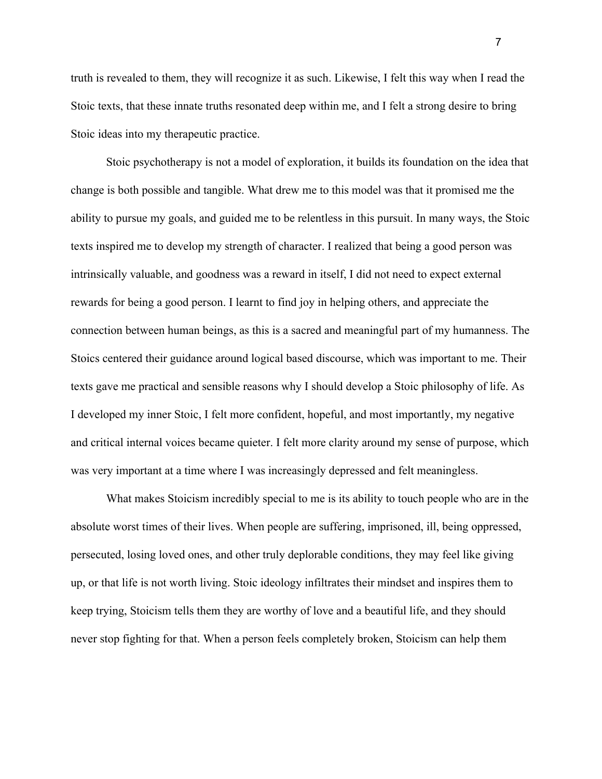truth is revealed to them, they will recognize it as such. Likewise, I felt this way when I read the Stoic texts, that these innate truths resonated deep within me, and I felt a strong desire to bring Stoic ideas into my therapeutic practice.

Stoic psychotherapy is not a model of exploration, it builds its foundation on the idea that change is both possible and tangible. What drew me to this model was that it promised me the ability to pursue my goals, and guided me to be relentless in this pursuit. In many ways, the Stoic texts inspired me to develop my strength of character. I realized that being a good person was intrinsically valuable, and goodness was a reward in itself, I did not need to expect external rewards for being a good person. I learnt to find joy in helping others, and appreciate the connection between human beings, as this is a sacred and meaningful part of my humanness. The Stoics centered their guidance around logical based discourse, which was important to me. Their texts gave me practical and sensible reasons why I should develop a Stoic philosophy of life. As I developed my inner Stoic, I felt more confident, hopeful, and most importantly, my negative and critical internal voices became quieter. I felt more clarity around my sense of purpose, which was very important at a time where I was increasingly depressed and felt meaningless.

What makes Stoicism incredibly special to me is its ability to touch people who are in the absolute worst times of their lives. When people are suffering, imprisoned, ill, being oppressed, persecuted, losing loved ones, and other truly deplorable conditions, they may feel like giving up, or that life is not worth living. Stoic ideology infiltrates their mindset and inspires them to keep trying, Stoicism tells them they are worthy of love and a beautiful life, and they should never stop fighting for that. When a person feels completely broken, Stoicism can help them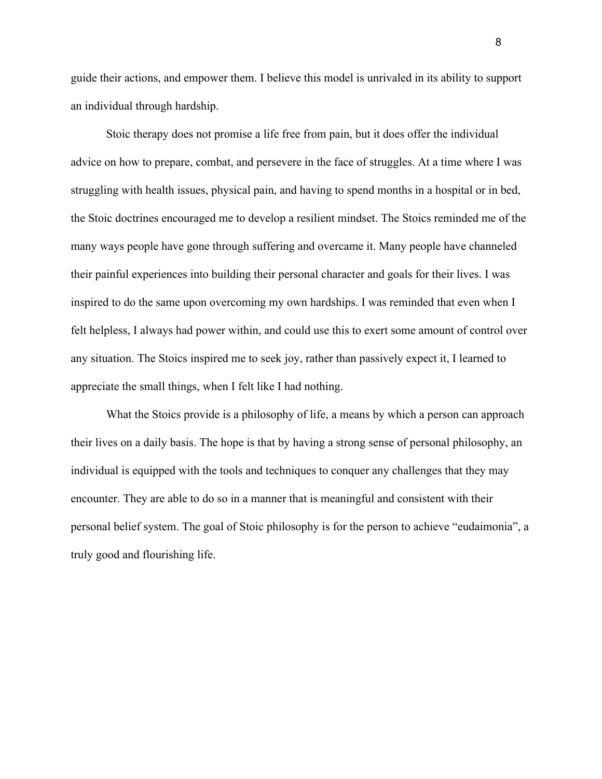guide their actions, and empower them. I believe this model is unrivaled in its ability to support an individual through hardship.

Stoic therapy does not promise a life free from pain, but it does offer the individual advice on how to prepare, combat, and persevere in the face of struggles. At a time where I was struggling with health issues, physical pain, and having to spend months in a hospital or in bed, the Stoic doctrines encouraged me to develop a resilient mindset. The Stoics reminded me of the many ways people have gone through suffering and overcame it. Many people have channeled their painful experiences into building their personal character and goals for their lives. I was inspired to do the same upon overcoming my own hardships. I was reminded that even when I felt helpless, I always had power within, and could use this to exert some amount of control over any situation. The Stoics inspired me to seek joy, rather than passively expect it, I learned to appreciate the small things, when I felt like I had nothing.

What the Stoics provide is a philosophy of life, a means by which a person can approach their lives on a daily basis. The hope is that by having a strong sense of personal philosophy, an individual is equipped with the tools and techniques to conquer any challenges that they may encounter. They are able to do so in a manner that is meaningful and consistent with their personal belief system. The goal of Stoic philosophy is for the person to achieve "eudaimonia", a truly good and flourishing life.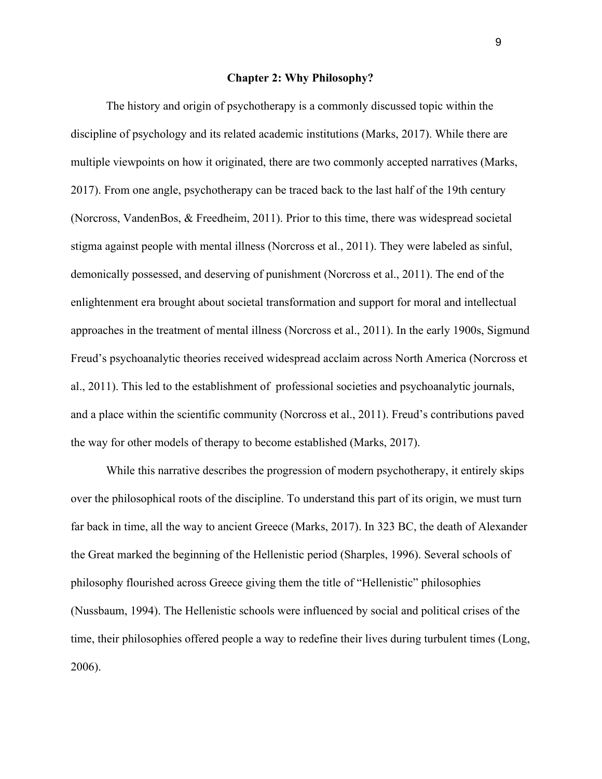# **Chapter 2: Why Philosophy?**

The history and origin of psychotherapy is a commonly discussed topic within the discipline of psychology and its related academic institutions (Marks, 2017). While there are multiple viewpoints on how it originated, there are two commonly accepted narratives (Marks, 2017). From one angle, psychotherapy can be traced back to the last half of the 19th century (Norcross, VandenBos, & Freedheim, 2011). Prior to this time, there was widespread societal stigma against people with mental illness (Norcross et al., 2011). They were labeled as sinful, demonically possessed, and deserving of punishment (Norcross et al., 2011). The end of the enlightenment era brought about societal transformation and support for moral and intellectual approaches in the treatment of mental illness (Norcross et al., 2011). In the early 1900s, Sigmund Freud's psychoanalytic theories received widespread acclaim across North America (Norcross et al., 2011). This led to the establishment of professional societies and psychoanalytic journals, and a place within the scientific community (Norcross et al., 2011). Freud's contributions paved the way for other models of therapy to become established (Marks, 2017).

While this narrative describes the progression of modern psychotherapy, it entirely skips over the philosophical roots of the discipline. To understand this part of its origin, we must turn far back in time, all the way to ancient Greece (Marks, 2017). In 323 BC, the death of Alexander the Great marked the beginning of the Hellenistic period (Sharples, 1996). Several schools of philosophy flourished across Greece giving them the title of "Hellenistic" philosophies (Nussbaum, 1994). The Hellenistic schools were influenced by social and political crises of the time, their philosophies offered people a way to redefine their lives during turbulent times (Long, 2006).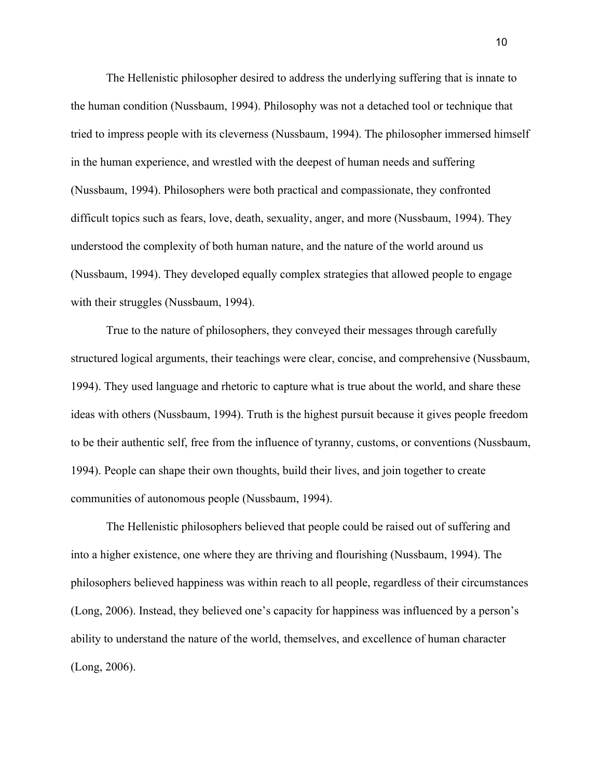The Hellenistic philosopher desired to address the underlying suffering that is innate to the human condition (Nussbaum, 1994). Philosophy was not a detached tool or technique that tried to impress people with its cleverness (Nussbaum, 1994). The philosopher immersed himself in the human experience, and wrestled with the deepest of human needs and suffering (Nussbaum, 1994). Philosophers were both practical and compassionate, they confronted difficult topics such as fears, love, death, sexuality, anger, and more (Nussbaum, 1994). They understood the complexity of both human nature, and the nature of the world around us (Nussbaum, 1994). They developed equally complex strategies that allowed people to engage with their struggles (Nussbaum, 1994).

True to the nature of philosophers, they conveyed their messages through carefully structured logical arguments, their teachings were clear, concise, and comprehensive (Nussbaum, 1994). They used language and rhetoric to capture what is true about the world, and share these ideas with others (Nussbaum, 1994). Truth is the highest pursuit because it gives people freedom to be their authentic self, free from the influence of tyranny, customs, or conventions (Nussbaum, 1994). People can shape their own thoughts, build their lives, and join together to create communities of autonomous people (Nussbaum, 1994).

The Hellenistic philosophers believed that people could be raised out of suffering and into a higher existence, one where they are thriving and flourishing (Nussbaum, 1994). The philosophers believed happiness was within reach to all people, regardless of their circumstances (Long, 2006). Instead, they believed one's capacity for happiness was influenced by a person's ability to understand the nature of the world, themselves, and excellence of human character (Long, 2006).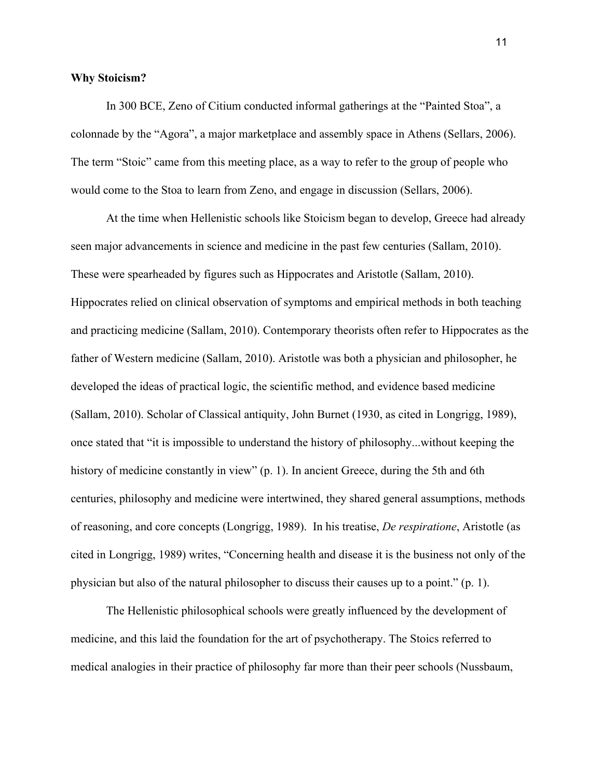## **Why Stoicism?**

In 300 BCE, Zeno of Citium conducted informal gatherings at the "Painted Stoa", a colonnade by the "Agora", a major marketplace and assembly space in Athens (Sellars, 2006). The term "Stoic" came from this meeting place, as a way to refer to the group of people who would come to the Stoa to learn from Zeno, and engage in discussion (Sellars, 2006).

At the time when Hellenistic schools like Stoicism began to develop, Greece had already seen major advancements in science and medicine in the past few centuries (Sallam, 2010). These were spearheaded by figures such as Hippocrates and Aristotle (Sallam, 2010). Hippocrates relied on clinical observation of symptoms and empirical methods in both teaching and practicing medicine (Sallam, 2010). Contemporary theorists often refer to Hippocrates as the father of Western medicine (Sallam, 2010). Aristotle was both a physician and philosopher, he developed the ideas of practical logic, the scientific method, and evidence based medicine (Sallam, 2010). Scholar of Classical antiquity, John Burnet (1930, as cited in Longrigg, 1989), once stated that "it is impossible to understand the history of philosophy...without keeping the history of medicine constantly in view" (p. 1). In ancient Greece, during the 5th and 6th centuries, philosophy and medicine were intertwined, they shared general assumptions, methods of reasoning, and core concepts (Longrigg, 1989). In his treatise, *De respiratione*, Aristotle (as cited in Longrigg, 1989) writes, "Concerning health and disease it is the business not only of the physician but also of the natural philosopher to discuss their causes up to a point." (p. 1).

The Hellenistic philosophical schools were greatly influenced by the development of medicine, and this laid the foundation for the art of psychotherapy. The Stoics referred to medical analogies in their practice of philosophy far more than their peer schools (Nussbaum,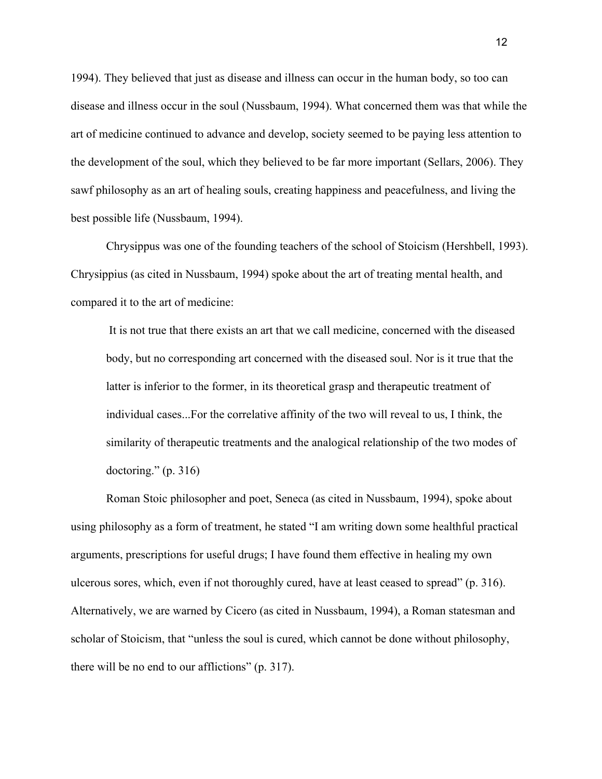1994). They believed that just as disease and illness can occur in the human body, so too can disease and illness occur in the soul (Nussbaum, 1994). What concerned them was that while the art of medicine continued to advance and develop, society seemed to be paying less attention to the development of the soul, which they believed to be far more important (Sellars, 2006). They sawf philosophy as an art of healing souls, creating happiness and peacefulness, and living the best possible life (Nussbaum, 1994).

Chrysippus was one of the founding teachers of the school of Stoicism (Hershbell, 1993). Chrysippius (as cited in Nussbaum, 1994) spoke about the art of treating mental health, and compared it to the art of medicine:

 It is not true that there exists an art that we call medicine, concerned with the diseased body, but no corresponding art concerned with the diseased soul. Nor is it true that the latter is inferior to the former, in its theoretical grasp and therapeutic treatment of individual cases...For the correlative affinity of the two will reveal to us, I think, the similarity of therapeutic treatments and the analogical relationship of the two modes of doctoring." (p. 316)

Roman Stoic philosopher and poet, Seneca (as cited in Nussbaum, 1994), spoke about using philosophy as a form of treatment, he stated "I am writing down some healthful practical arguments, prescriptions for useful drugs; I have found them effective in healing my own ulcerous sores, which, even if not thoroughly cured, have at least ceased to spread" (p. 316). Alternatively, we are warned by Cicero (as cited in Nussbaum, 1994), a Roman statesman and scholar of Stoicism, that "unless the soul is cured, which cannot be done without philosophy, there will be no end to our afflictions" (p. 317).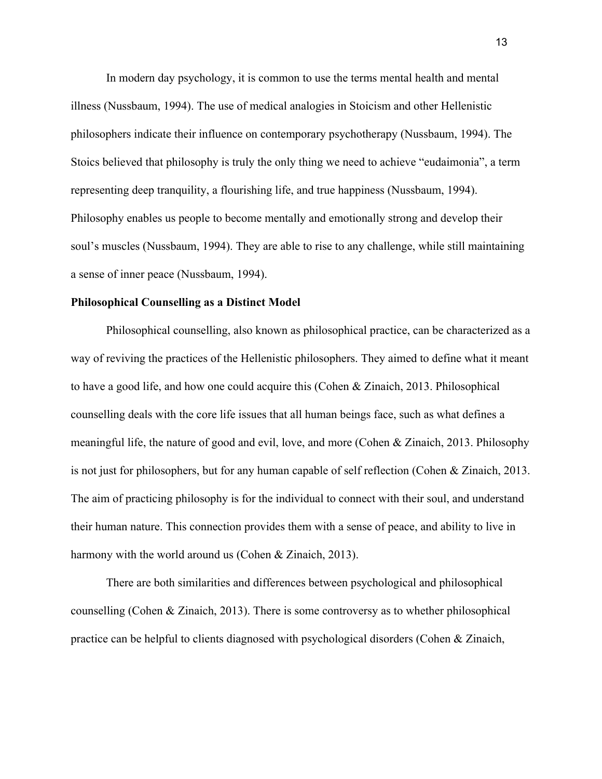In modern day psychology, it is common to use the terms mental health and mental illness (Nussbaum, 1994). The use of medical analogies in Stoicism and other Hellenistic philosophers indicate their influence on contemporary psychotherapy (Nussbaum, 1994). The Stoics believed that philosophy is truly the only thing we need to achieve "eudaimonia", a term representing deep tranquility, a flourishing life, and true happiness (Nussbaum, 1994). Philosophy enables us people to become mentally and emotionally strong and develop their soul's muscles (Nussbaum, 1994). They are able to rise to any challenge, while still maintaining a sense of inner peace (Nussbaum, 1994).

#### **Philosophical Counselling as a Distinct Model**

Philosophical counselling, also known as philosophical practice, can be characterized as a way of reviving the practices of the Hellenistic philosophers. They aimed to define what it meant to have a good life, and how one could acquire this (Cohen & Zinaich, 2013. Philosophical counselling deals with the core life issues that all human beings face, such as what defines a meaningful life, the nature of good and evil, love, and more (Cohen & Zinaich, 2013. Philosophy is not just for philosophers, but for any human capable of self reflection (Cohen & Zinaich, 2013. The aim of practicing philosophy is for the individual to connect with their soul, and understand their human nature. This connection provides them with a sense of peace, and ability to live in harmony with the world around us (Cohen & Zinaich, 2013).

There are both similarities and differences between psychological and philosophical counselling (Cohen & Zinaich, 2013). There is some controversy as to whether philosophical practice can be helpful to clients diagnosed with psychological disorders (Cohen & Zinaich,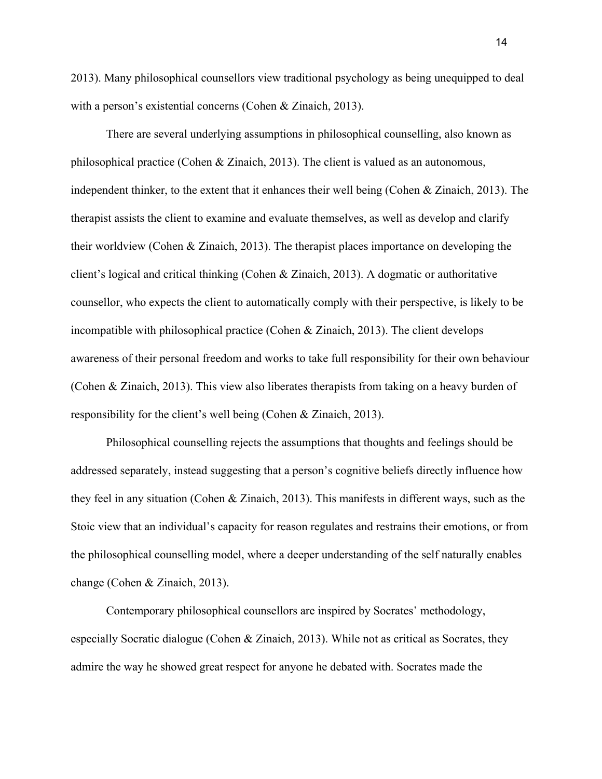2013). Many philosophical counsellors view traditional psychology as being unequipped to deal with a person's existential concerns (Cohen & Zinaich, 2013).

There are several underlying assumptions in philosophical counselling, also known as philosophical practice (Cohen & Zinaich, 2013). The client is valued as an autonomous, independent thinker, to the extent that it enhances their well being (Cohen & Zinaich, 2013). The therapist assists the client to examine and evaluate themselves, as well as develop and clarify their worldview (Cohen & Zinaich, 2013). The therapist places importance on developing the client's logical and critical thinking (Cohen & Zinaich, 2013). A dogmatic or authoritative counsellor, who expects the client to automatically comply with their perspective, is likely to be incompatible with philosophical practice (Cohen & Zinaich, 2013). The client develops awareness of their personal freedom and works to take full responsibility for their own behaviour (Cohen & Zinaich, 2013). This view also liberates therapists from taking on a heavy burden of responsibility for the client's well being (Cohen & Zinaich, 2013).

Philosophical counselling rejects the assumptions that thoughts and feelings should be addressed separately, instead suggesting that a person's cognitive beliefs directly influence how they feel in any situation (Cohen & Zinaich, 2013). This manifests in different ways, such as the Stoic view that an individual's capacity for reason regulates and restrains their emotions, or from the philosophical counselling model, where a deeper understanding of the self naturally enables change (Cohen & Zinaich, 2013).

Contemporary philosophical counsellors are inspired by Socrates' methodology, especially Socratic dialogue (Cohen & Zinaich, 2013). While not as critical as Socrates, they admire the way he showed great respect for anyone he debated with. Socrates made the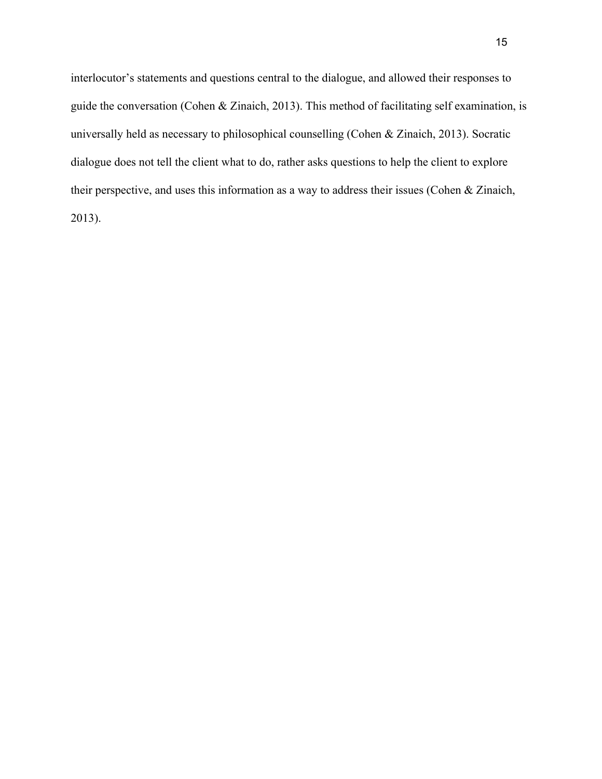interlocutor's statements and questions central to the dialogue, and allowed their responses to guide the conversation (Cohen & Zinaich, 2013). This method of facilitating self examination, is universally held as necessary to philosophical counselling (Cohen & Zinaich, 2013). Socratic dialogue does not tell the client what to do, rather asks questions to help the client to explore their perspective, and uses this information as a way to address their issues (Cohen & Zinaich, 2013).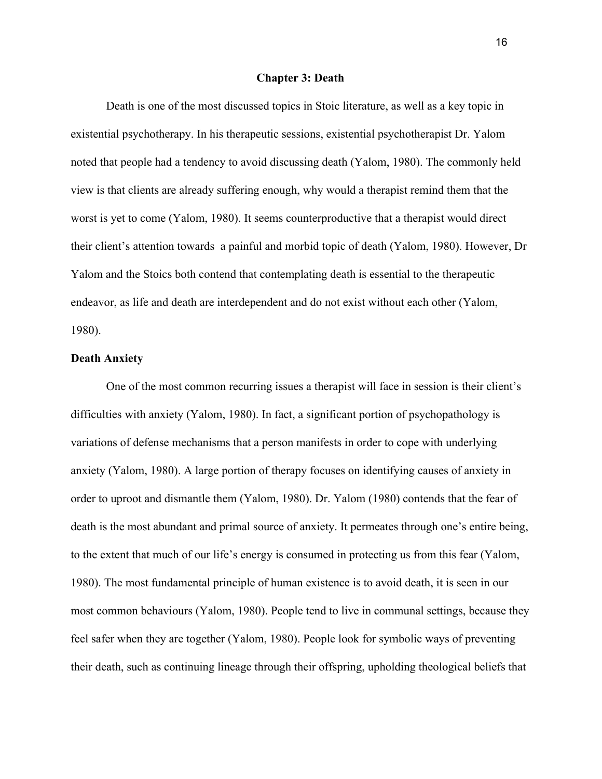#### **Chapter 3: Death**

Death is one of the most discussed topics in Stoic literature, as well as a key topic in existential psychotherapy. In his therapeutic sessions, existential psychotherapist Dr. Yalom noted that people had a tendency to avoid discussing death (Yalom, 1980). The commonly held view is that clients are already suffering enough, why would a therapist remind them that the worst is yet to come (Yalom, 1980). It seems counterproductive that a therapist would direct their client's attention towards a painful and morbid topic of death (Yalom, 1980). However, Dr Yalom and the Stoics both contend that contemplating death is essential to the therapeutic endeavor, as life and death are interdependent and do not exist without each other (Yalom, 1980).

# **Death Anxiety**

One of the most common recurring issues a therapist will face in session is their client's difficulties with anxiety (Yalom, 1980). In fact, a significant portion of psychopathology is variations of defense mechanisms that a person manifests in order to cope with underlying anxiety (Yalom, 1980). A large portion of therapy focuses on identifying causes of anxiety in order to uproot and dismantle them (Yalom, 1980). Dr. Yalom (1980) contends that the fear of death is the most abundant and primal source of anxiety. It permeates through one's entire being, to the extent that much of our life's energy is consumed in protecting us from this fear (Yalom, 1980). The most fundamental principle of human existence is to avoid death, it is seen in our most common behaviours (Yalom, 1980). People tend to live in communal settings, because they feel safer when they are together (Yalom, 1980). People look for symbolic ways of preventing their death, such as continuing lineage through their offspring, upholding theological beliefs that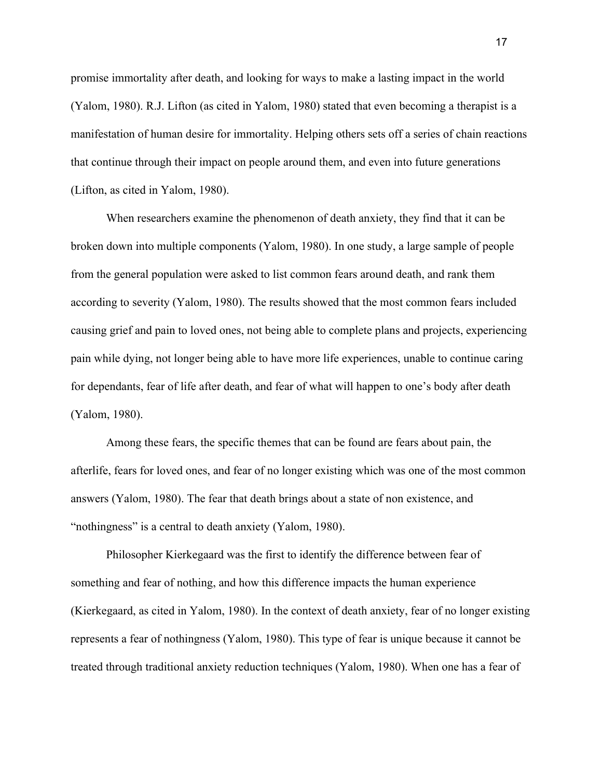promise immortality after death, and looking for ways to make a lasting impact in the world (Yalom, 1980). R.J. Lifton (as cited in Yalom, 1980) stated that even becoming a therapist is a manifestation of human desire for immortality. Helping others sets off a series of chain reactions that continue through their impact on people around them, and even into future generations (Lifton, as cited in Yalom, 1980).

When researchers examine the phenomenon of death anxiety, they find that it can be broken down into multiple components (Yalom, 1980). In one study, a large sample of people from the general population were asked to list common fears around death, and rank them according to severity (Yalom, 1980). The results showed that the most common fears included causing grief and pain to loved ones, not being able to complete plans and projects, experiencing pain while dying, not longer being able to have more life experiences, unable to continue caring for dependants, fear of life after death, and fear of what will happen to one's body after death (Yalom, 1980).

Among these fears, the specific themes that can be found are fears about pain, the afterlife, fears for loved ones, and fear of no longer existing which was one of the most common answers (Yalom, 1980). The fear that death brings about a state of non existence, and "nothingness" is a central to death anxiety (Yalom, 1980).

Philosopher Kierkegaard was the first to identify the difference between fear of something and fear of nothing, and how this difference impacts the human experience (Kierkegaard, as cited in Yalom, 1980). In the context of death anxiety, fear of no longer existing represents a fear of nothingness (Yalom, 1980). This type of fear is unique because it cannot be treated through traditional anxiety reduction techniques (Yalom, 1980). When one has a fear of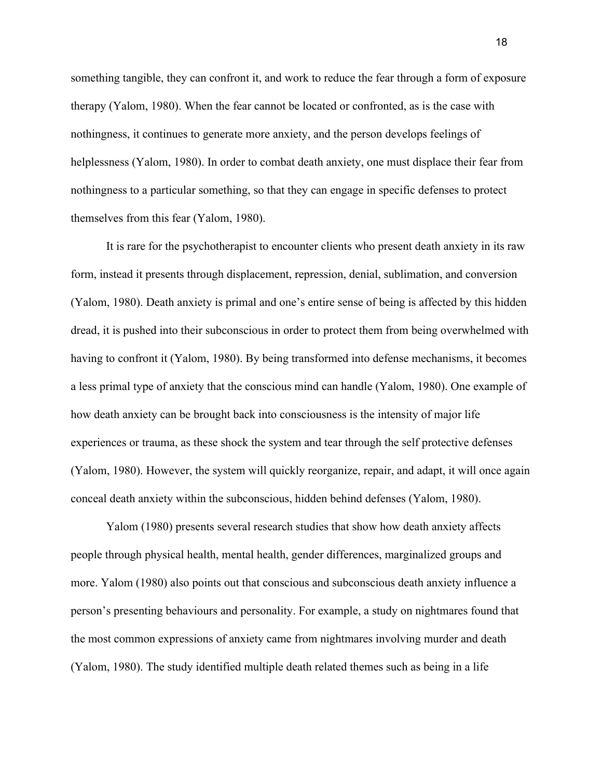something tangible, they can confront it, and work to reduce the fear through a form of exposure therapy (Yalom, 1980). When the fear cannot be located or confronted, as is the case with nothingness, it continues to generate more anxiety, and the person develops feelings of helplessness (Yalom, 1980). In order to combat death anxiety, one must displace their fear from nothingness to a particular something, so that they can engage in specific defenses to protect themselves from this fear (Yalom, 1980).

It is rare for the psychotherapist to encounter clients who present death anxiety in its raw form, instead it presents through displacement, repression, denial, sublimation, and conversion (Yalom, 1980). Death anxiety is primal and one's entire sense of being is affected by this hidden dread, it is pushed into their subconscious in order to protect them from being overwhelmed with having to confront it (Yalom, 1980). By being transformed into defense mechanisms, it becomes a less primal type of anxiety that the conscious mind can handle (Yalom, 1980). One example of how death anxiety can be brought back into consciousness is the intensity of major life experiences or trauma, as these shock the system and tear through the self protective defenses (Yalom, 1980). However, the system will quickly reorganize, repair, and adapt, it will once again conceal death anxiety within the subconscious, hidden behind defenses (Yalom, 1980).

Yalom (1980) presents several research studies that show how death anxiety affects people through physical health, mental health, gender differences, marginalized groups and more. Yalom (1980) also points out that conscious and subconscious death anxiety influence a person's presenting behaviours and personality. For example, a study on nightmares found that the most common expressions of anxiety came from nightmares involving murder and death (Yalom, 1980). The study identified multiple death related themes such as being in a life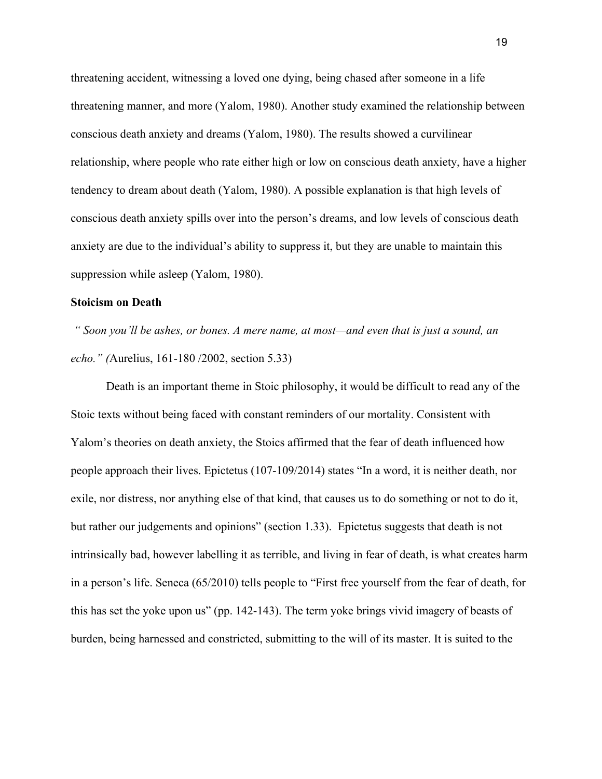threatening accident, witnessing a loved one dying, being chased after someone in a life threatening manner, and more (Yalom, 1980). Another study examined the relationship between conscious death anxiety and dreams (Yalom, 1980). The results showed a curvilinear relationship, where people who rate either high or low on conscious death anxiety, have a higher tendency to dream about death (Yalom, 1980). A possible explanation is that high levels of conscious death anxiety spills over into the person's dreams, and low levels of conscious death anxiety are due to the individual's ability to suppress it, but they are unable to maintain this suppression while asleep (Yalom, 1980).

#### **Stoicism on Death**

*" Soon you'll be ashes, or bones. A mere name, at most—and even that is just a sound, an echo." (*Aurelius, 161-180 /2002, section 5.33)

Death is an important theme in Stoic philosophy, it would be difficult to read any of the Stoic texts without being faced with constant reminders of our mortality. Consistent with Yalom's theories on death anxiety, the Stoics affirmed that the fear of death influenced how people approach their lives. Epictetus (107-109/2014) states "In a word, it is neither death, nor exile, nor distress, nor anything else of that kind, that causes us to do something or not to do it, but rather our judgements and opinions" (section 1.33). Epictetus suggests that death is not intrinsically bad, however labelling it as terrible, and living in fear of death, is what creates harm in a person's life. Seneca (65/2010) tells people to "First free yourself from the fear of death, for this has set the yoke upon us" (pp. 142-143). The term yoke brings vivid imagery of beasts of burden, being harnessed and constricted, submitting to the will of its master. It is suited to the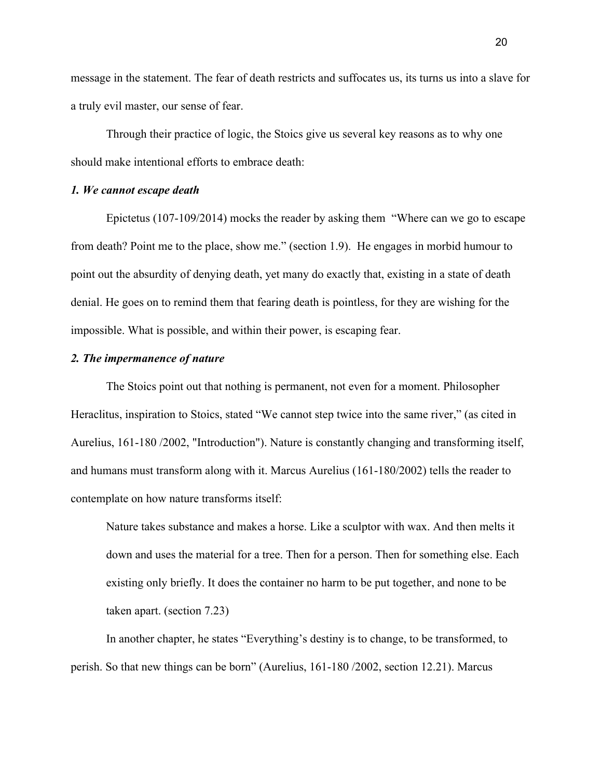message in the statement. The fear of death restricts and suffocates us, its turns us into a slave for a truly evil master, our sense of fear.

Through their practice of logic, the Stoics give us several key reasons as to why one should make intentional efforts to embrace death:

# *1. We cannot escape death*

Epictetus (107-109/2014) mocks the reader by asking them "Where can we go to escape from death? Point me to the place, show me." (section 1.9). He engages in morbid humour to point out the absurdity of denying death, yet many do exactly that, existing in a state of death denial. He goes on to remind them that fearing death is pointless, for they are wishing for the impossible. What is possible, and within their power, is escaping fear.

## *2. The impermanence of nature*

The Stoics point out that nothing is permanent, not even for a moment. Philosopher Heraclitus, inspiration to Stoics, stated "We cannot step twice into the same river," (as cited in Aurelius, 161-180 /2002, "Introduction"). Nature is constantly changing and transforming itself, and humans must transform along with it. Marcus Aurelius (161-180/2002) tells the reader to contemplate on how nature transforms itself:

Nature takes substance and makes a horse. Like a sculptor with wax. And then melts it down and uses the material for a tree. Then for a person. Then for something else. Each existing only briefly. It does the container no harm to be put together, and none to be taken apart. (section 7.23)

In another chapter, he states "Everything's destiny is to change, to be transformed, to perish. So that new things can be born" (Aurelius, 161-180 /2002, section 12.21). Marcus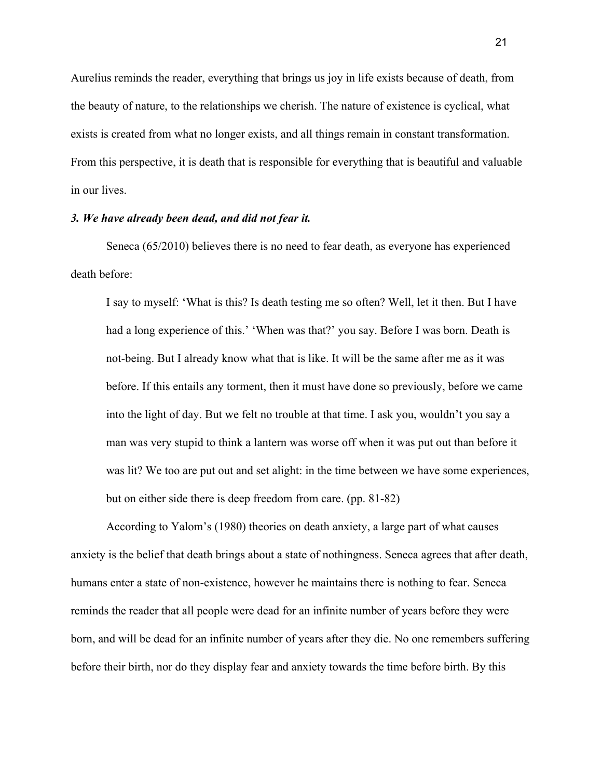Aurelius reminds the reader, everything that brings us joy in life exists because of death, from the beauty of nature, to the relationships we cherish. The nature of existence is cyclical, what exists is created from what no longer exists, and all things remain in constant transformation. From this perspective, it is death that is responsible for everything that is beautiful and valuable in our lives.

## *3. We have already been dead, and did not fear it.*

Seneca (65/2010) believes there is no need to fear death, as everyone has experienced death before:

I say to myself: 'What is this? Is death testing me so often? Well, let it then. But I have had a long experience of this.' 'When was that?' you say. Before I was born. Death is not-being. But I already know what that is like. It will be the same after me as it was before. If this entails any torment, then it must have done so previously, before we came into the light of day. But we felt no trouble at that time. I ask you, wouldn't you say a man was very stupid to think a lantern was worse off when it was put out than before it was lit? We too are put out and set alight: in the time between we have some experiences, but on either side there is deep freedom from care. (pp. 81-82)

According to Yalom's (1980) theories on death anxiety, a large part of what causes anxiety is the belief that death brings about a state of nothingness. Seneca agrees that after death, humans enter a state of non-existence, however he maintains there is nothing to fear. Seneca reminds the reader that all people were dead for an infinite number of years before they were born, and will be dead for an infinite number of years after they die. No one remembers suffering before their birth, nor do they display fear and anxiety towards the time before birth. By this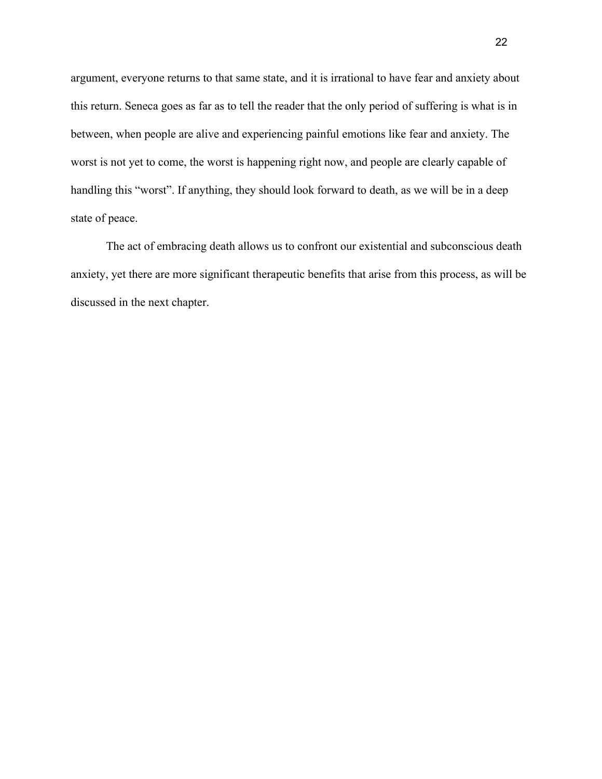argument, everyone returns to that same state, and it is irrational to have fear and anxiety about this return. Seneca goes as far as to tell the reader that the only period of suffering is what is in between, when people are alive and experiencing painful emotions like fear and anxiety. The worst is not yet to come, the worst is happening right now, and people are clearly capable of handling this "worst". If anything, they should look forward to death, as we will be in a deep state of peace.

The act of embracing death allows us to confront our existential and subconscious death anxiety, yet there are more significant therapeutic benefits that arise from this process, as will be discussed in the next chapter.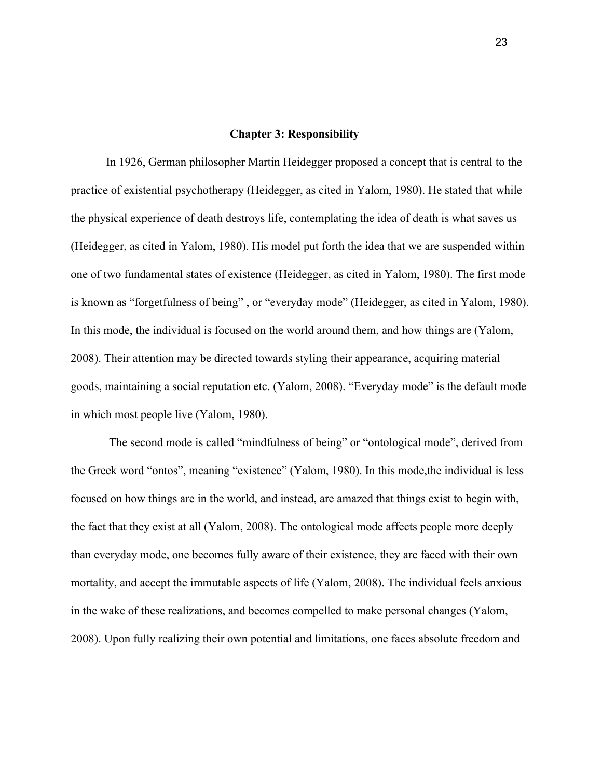#### **Chapter 3: Responsibility**

In 1926, German philosopher Martin Heidegger proposed a concept that is central to the practice of existential psychotherapy (Heidegger, as cited in Yalom, 1980). He stated that while the physical experience of death destroys life, contemplating the idea of death is what saves us (Heidegger, as cited in Yalom, 1980). His model put forth the idea that we are suspended within one of two fundamental states of existence (Heidegger, as cited in Yalom, 1980). The first mode is known as "forgetfulness of being" , or "everyday mode" (Heidegger, as cited in Yalom, 1980). In this mode, the individual is focused on the world around them, and how things are (Yalom, 2008). Their attention may be directed towards styling their appearance, acquiring material goods, maintaining a social reputation etc. (Yalom, 2008). "Everyday mode" is the default mode in which most people live (Yalom, 1980).

 The second mode is called "mindfulness of being" or "ontological mode", derived from the Greek word "ontos", meaning "existence" (Yalom, 1980). In this mode,the individual is less focused on how things are in the world, and instead, are amazed that things exist to begin with, the fact that they exist at all (Yalom, 2008). The ontological mode affects people more deeply than everyday mode, one becomes fully aware of their existence, they are faced with their own mortality, and accept the immutable aspects of life (Yalom, 2008). The individual feels anxious in the wake of these realizations, and becomes compelled to make personal changes (Yalom, 2008). Upon fully realizing their own potential and limitations, one faces absolute freedom and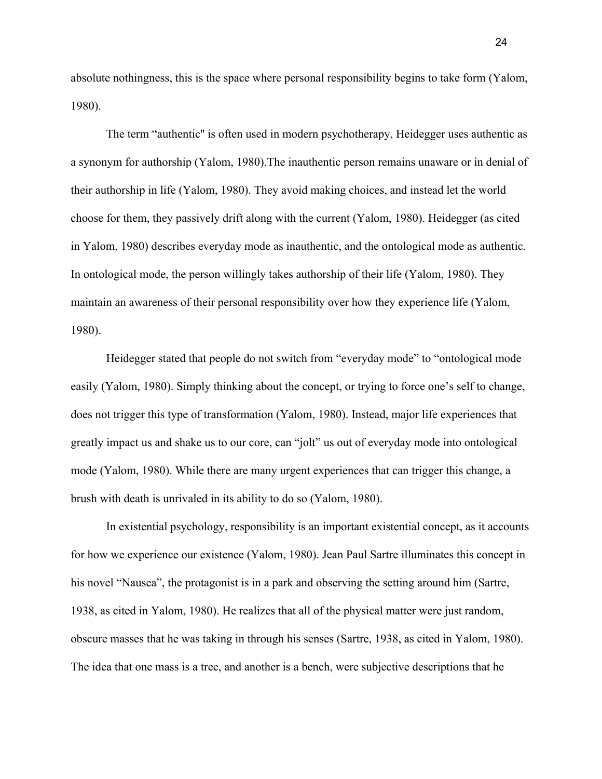absolute nothingness, this is the space where personal responsibility begins to take form (Yalom, 1980).

The term "authentic'' is often used in modern psychotherapy, Heidegger uses authentic as a synonym for authorship (Yalom, 1980).The inauthentic person remains unaware or in denial of their authorship in life (Yalom, 1980). They avoid making choices, and instead let the world choose for them, they passively drift along with the current (Yalom, 1980). Heidegger (as cited in Yalom, 1980) describes everyday mode as inauthentic, and the ontological mode as authentic. In ontological mode, the person willingly takes authorship of their life (Yalom, 1980). They maintain an awareness of their personal responsibility over how they experience life (Yalom, 1980).

Heidegger stated that people do not switch from "everyday mode" to "ontological mode easily (Yalom, 1980). Simply thinking about the concept, or trying to force one's self to change, does not trigger this type of transformation (Yalom, 1980). Instead, major life experiences that greatly impact us and shake us to our core, can "jolt" us out of everyday mode into ontological mode (Yalom, 1980). While there are many urgent experiences that can trigger this change, a brush with death is unrivaled in its ability to do so (Yalom, 1980).

In existential psychology, responsibility is an important existential concept, as it accounts for how we experience our existence (Yalom, 1980). Jean Paul Sartre illuminates this concept in his novel "Nausea", the protagonist is in a park and observing the setting around him (Sartre, 1938, as cited in Yalom, 1980). He realizes that all of the physical matter were just random, obscure masses that he was taking in through his senses (Sartre, 1938, as cited in Yalom, 1980). The idea that one mass is a tree, and another is a bench, were subjective descriptions that he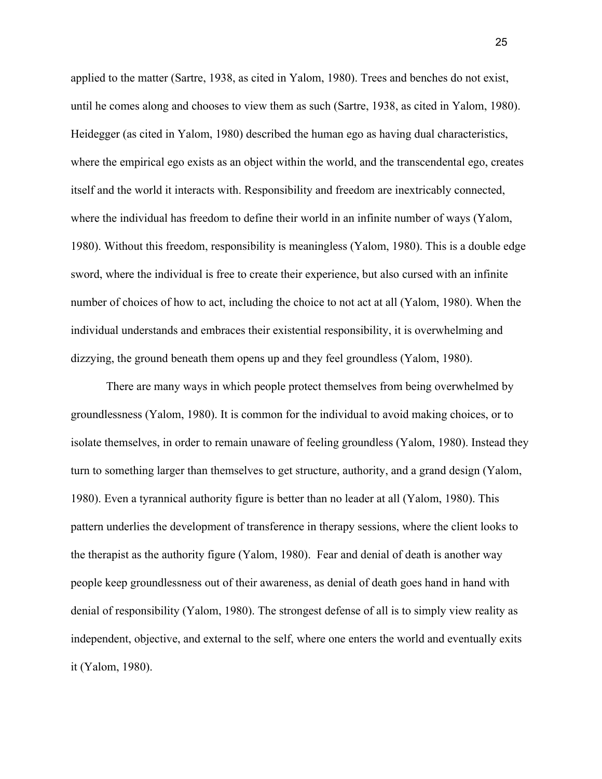applied to the matter (Sartre, 1938, as cited in Yalom, 1980). Trees and benches do not exist, until he comes along and chooses to view them as such (Sartre, 1938, as cited in Yalom, 1980). Heidegger (as cited in Yalom, 1980) described the human ego as having dual characteristics, where the empirical ego exists as an object within the world, and the transcendental ego, creates itself and the world it interacts with. Responsibility and freedom are inextricably connected, where the individual has freedom to define their world in an infinite number of ways (Yalom, 1980). Without this freedom, responsibility is meaningless (Yalom, 1980). This is a double edge sword, where the individual is free to create their experience, but also cursed with an infinite number of choices of how to act, including the choice to not act at all (Yalom, 1980). When the individual understands and embraces their existential responsibility, it is overwhelming and dizzying, the ground beneath them opens up and they feel groundless (Yalom, 1980).

There are many ways in which people protect themselves from being overwhelmed by groundlessness (Yalom, 1980). It is common for the individual to avoid making choices, or to isolate themselves, in order to remain unaware of feeling groundless (Yalom, 1980). Instead they turn to something larger than themselves to get structure, authority, and a grand design (Yalom, 1980). Even a tyrannical authority figure is better than no leader at all (Yalom, 1980). This pattern underlies the development of transference in therapy sessions, where the client looks to the therapist as the authority figure (Yalom, 1980). Fear and denial of death is another way people keep groundlessness out of their awareness, as denial of death goes hand in hand with denial of responsibility (Yalom, 1980). The strongest defense of all is to simply view reality as independent, objective, and external to the self, where one enters the world and eventually exits it (Yalom, 1980).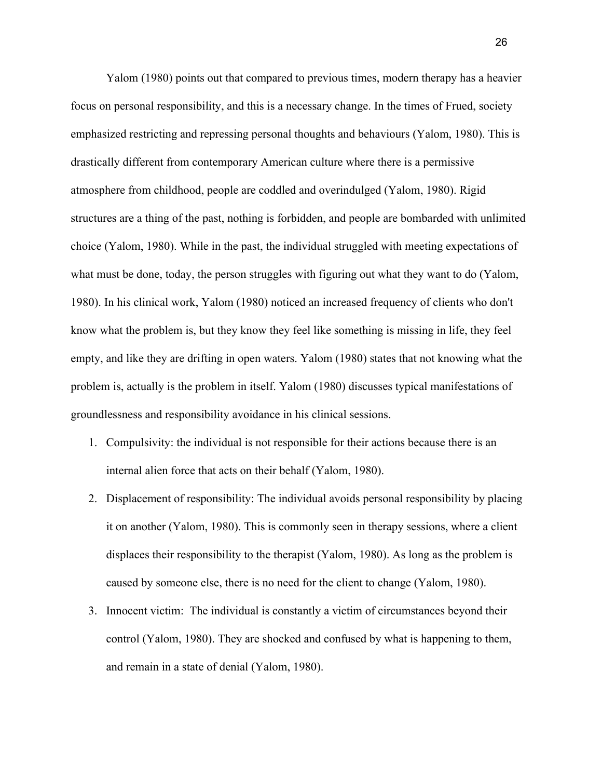Yalom (1980) points out that compared to previous times, modern therapy has a heavier focus on personal responsibility, and this is a necessary change. In the times of Frued, society emphasized restricting and repressing personal thoughts and behaviours (Yalom, 1980). This is drastically different from contemporary American culture where there is a permissive atmosphere from childhood, people are coddled and overindulged (Yalom, 1980). Rigid structures are a thing of the past, nothing is forbidden, and people are bombarded with unlimited choice (Yalom, 1980). While in the past, the individual struggled with meeting expectations of what must be done, today, the person struggles with figuring out what they want to do (Yalom, 1980). In his clinical work, Yalom (1980) noticed an increased frequency of clients who don't know what the problem is, but they know they feel like something is missing in life, they feel empty, and like they are drifting in open waters. Yalom (1980) states that not knowing what the problem is, actually is the problem in itself. Yalom (1980) discusses typical manifestations of groundlessness and responsibility avoidance in his clinical sessions.

- 1. Compulsivity: the individual is not responsible for their actions because there is an internal alien force that acts on their behalf (Yalom, 1980).
- 2. Displacement of responsibility: The individual avoids personal responsibility by placing it on another (Yalom, 1980). This is commonly seen in therapy sessions, where a client displaces their responsibility to the therapist (Yalom, 1980). As long as the problem is caused by someone else, there is no need for the client to change (Yalom, 1980).
- 3. Innocent victim: The individual is constantly a victim of circumstances beyond their control (Yalom, 1980). They are shocked and confused by what is happening to them, and remain in a state of denial (Yalom, 1980).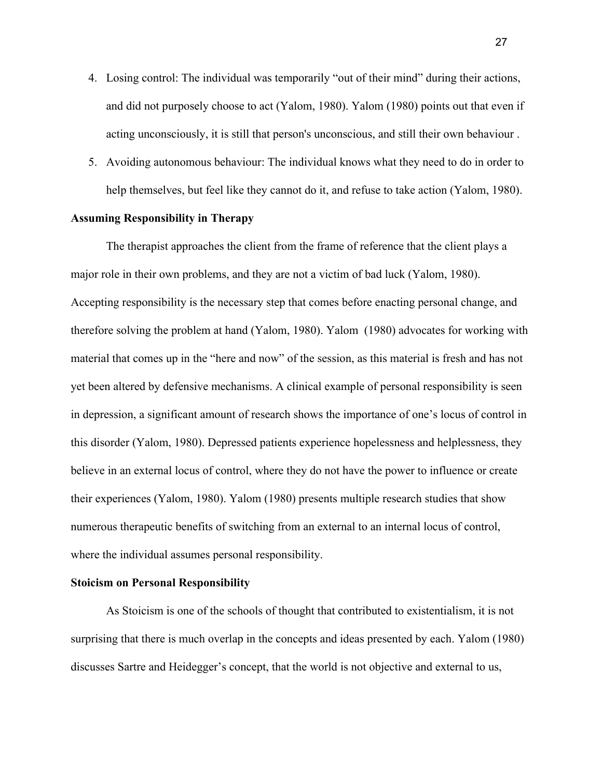- 4. Losing control: The individual was temporarily "out of their mind" during their actions, and did not purposely choose to act (Yalom, 1980). Yalom (1980) points out that even if acting unconsciously, it is still that person's unconscious, and still their own behaviour .
- 5. Avoiding autonomous behaviour: The individual knows what they need to do in order to help themselves, but feel like they cannot do it, and refuse to take action (Yalom, 1980).

# **Assuming Responsibility in Therapy**

The therapist approaches the client from the frame of reference that the client plays a major role in their own problems, and they are not a victim of bad luck (Yalom, 1980). Accepting responsibility is the necessary step that comes before enacting personal change, and therefore solving the problem at hand (Yalom, 1980). Yalom (1980) advocates for working with material that comes up in the "here and now" of the session, as this material is fresh and has not yet been altered by defensive mechanisms. A clinical example of personal responsibility is seen in depression, a significant amount of research shows the importance of one's locus of control in this disorder (Yalom, 1980). Depressed patients experience hopelessness and helplessness, they believe in an external locus of control, where they do not have the power to influence or create their experiences (Yalom, 1980). Yalom (1980) presents multiple research studies that show numerous therapeutic benefits of switching from an external to an internal locus of control, where the individual assumes personal responsibility.

## **Stoicism on Personal Responsibility**

As Stoicism is one of the schools of thought that contributed to existentialism, it is not surprising that there is much overlap in the concepts and ideas presented by each. Yalom (1980) discusses Sartre and Heidegger's concept, that the world is not objective and external to us,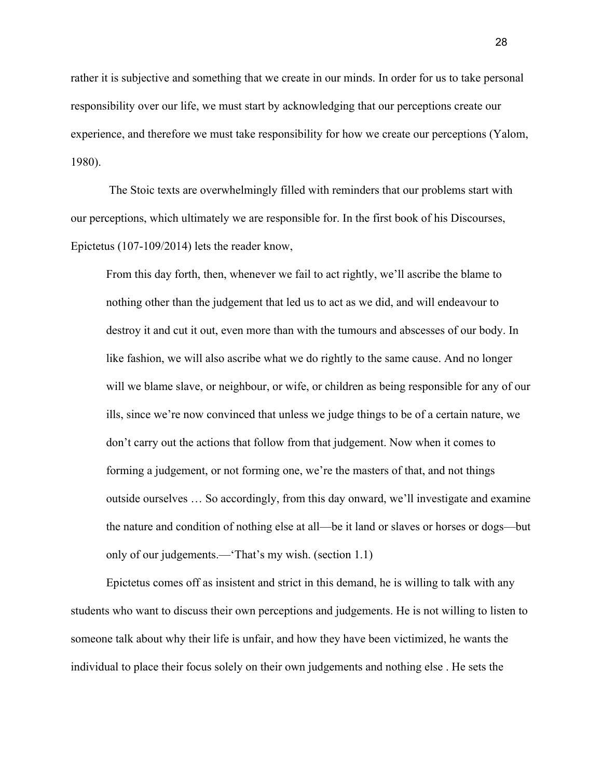rather it is subjective and something that we create in our minds. In order for us to take personal responsibility over our life, we must start by acknowledging that our perceptions create our experience, and therefore we must take responsibility for how we create our perceptions (Yalom, 1980).

 The Stoic texts are overwhelmingly filled with reminders that our problems start with our perceptions, which ultimately we are responsible for. In the first book of his Discourses, Epictetus (107-109/2014) lets the reader know,

From this day forth, then, whenever we fail to act rightly, we'll ascribe the blame to nothing other than the judgement that led us to act as we did, and will endeavour to destroy it and cut it out, even more than with the tumours and abscesses of our body. In like fashion, we will also ascribe what we do rightly to the same cause. And no longer will we blame slave, or neighbour, or wife, or children as being responsible for any of our ills, since we're now convinced that unless we judge things to be of a certain nature, we don't carry out the actions that follow from that judgement. Now when it comes to forming a judgement, or not forming one, we're the masters of that, and not things outside ourselves … So accordingly, from this day onward, we'll investigate and examine the nature and condition of nothing else at all—be it land or slaves or horses or dogs—but only of our judgements.—'That's my wish. (section 1.1)

Epictetus comes off as insistent and strict in this demand, he is willing to talk with any students who want to discuss their own perceptions and judgements. He is not willing to listen to someone talk about why their life is unfair, and how they have been victimized, he wants the individual to place their focus solely on their own judgements and nothing else . He sets the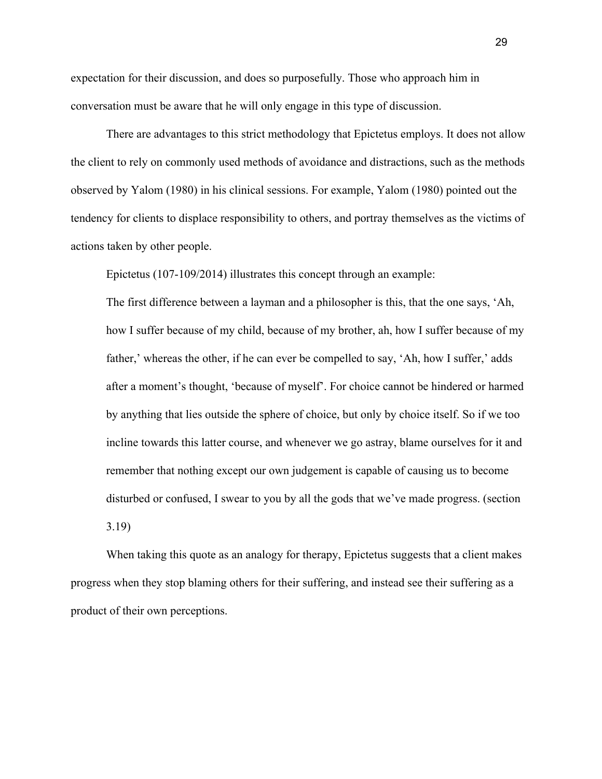expectation for their discussion, and does so purposefully. Those who approach him in conversation must be aware that he will only engage in this type of discussion.

There are advantages to this strict methodology that Epictetus employs. It does not allow the client to rely on commonly used methods of avoidance and distractions, such as the methods observed by Yalom (1980) in his clinical sessions. For example, Yalom (1980) pointed out the tendency for clients to displace responsibility to others, and portray themselves as the victims of actions taken by other people.

Epictetus (107-109/2014) illustrates this concept through an example:

The first difference between a layman and a philosopher is this, that the one says, 'Ah, how I suffer because of my child, because of my brother, ah, how I suffer because of my father,' whereas the other, if he can ever be compelled to say, 'Ah, how I suffer,' adds after a moment's thought, 'because of myself'. For choice cannot be hindered or harmed by anything that lies outside the sphere of choice, but only by choice itself. So if we too incline towards this latter course, and whenever we go astray, blame ourselves for it and remember that nothing except our own judgement is capable of causing us to become disturbed or confused, I swear to you by all the gods that we've made progress. (section

3.19)

When taking this quote as an analogy for therapy, Epictetus suggests that a client makes progress when they stop blaming others for their suffering, and instead see their suffering as a product of their own perceptions.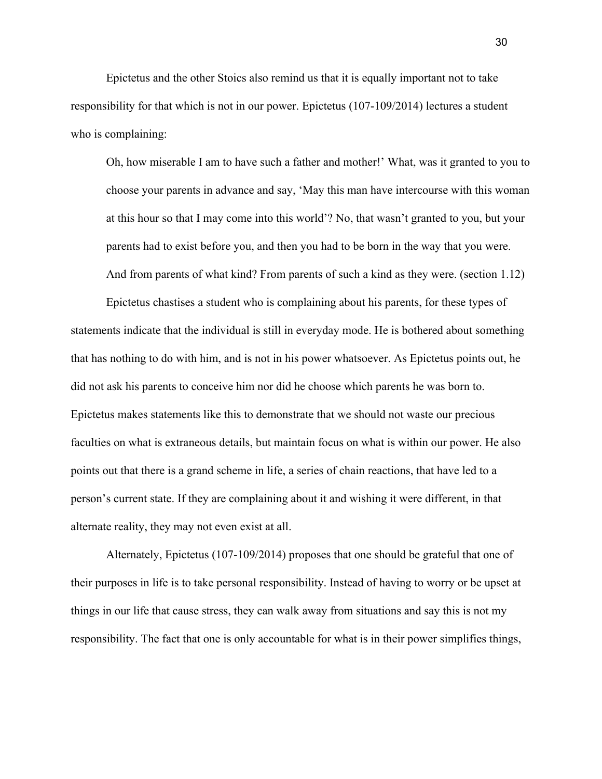Epictetus and the other Stoics also remind us that it is equally important not to take responsibility for that which is not in our power. Epictetus (107-109/2014) lectures a student who is complaining:

Oh, how miserable I am to have such a father and mother!' What, was it granted to you to choose your parents in advance and say, 'May this man have intercourse with this woman at this hour so that I may come into this world'? No, that wasn't granted to you, but your parents had to exist before you, and then you had to be born in the way that you were. And from parents of what kind? From parents of such a kind as they were. (section 1.12)

Epictetus chastises a student who is complaining about his parents, for these types of statements indicate that the individual is still in everyday mode. He is bothered about something that has nothing to do with him, and is not in his power whatsoever. As Epictetus points out, he did not ask his parents to conceive him nor did he choose which parents he was born to. Epictetus makes statements like this to demonstrate that we should not waste our precious faculties on what is extraneous details, but maintain focus on what is within our power. He also points out that there is a grand scheme in life, a series of chain reactions, that have led to a person's current state. If they are complaining about it and wishing it were different, in that alternate reality, they may not even exist at all.

Alternately, Epictetus (107-109/2014) proposes that one should be grateful that one of their purposes in life is to take personal responsibility. Instead of having to worry or be upset at things in our life that cause stress, they can walk away from situations and say this is not my responsibility. The fact that one is only accountable for what is in their power simplifies things,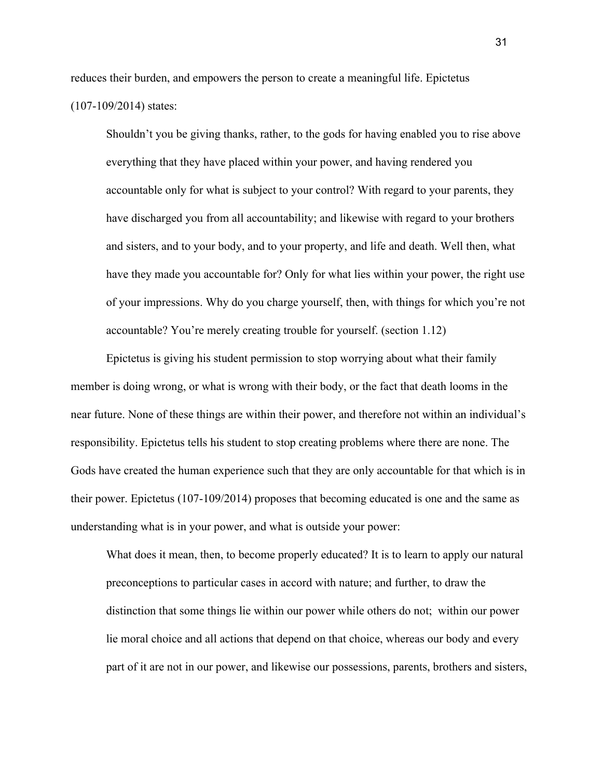reduces their burden, and empowers the person to create a meaningful life. Epictetus (107-109/2014) states:

Shouldn't you be giving thanks, rather, to the gods for having enabled you to rise above everything that they have placed within your power, and having rendered you accountable only for what is subject to your control? With regard to your parents, they have discharged you from all accountability; and likewise with regard to your brothers and sisters, and to your body, and to your property, and life and death. Well then, what have they made you accountable for? Only for what lies within your power, the right use of your impressions. Why do you charge yourself, then, with things for which you're not accountable? You're merely creating trouble for yourself. (section 1.12)

Epictetus is giving his student permission to stop worrying about what their family member is doing wrong, or what is wrong with their body, or the fact that death looms in the near future. None of these things are within their power, and therefore not within an individual's responsibility. Epictetus tells his student to stop creating problems where there are none. The Gods have created the human experience such that they are only accountable for that which is in their power. Epictetus (107-109/2014) proposes that becoming educated is one and the same as understanding what is in your power, and what is outside your power:

What does it mean, then, to become properly educated? It is to learn to apply our natural preconceptions to particular cases in accord with nature; and further, to draw the distinction that some things lie within our power while others do not; within our power lie moral choice and all actions that depend on that choice, whereas our body and every part of it are not in our power, and likewise our possessions, parents, brothers and sisters,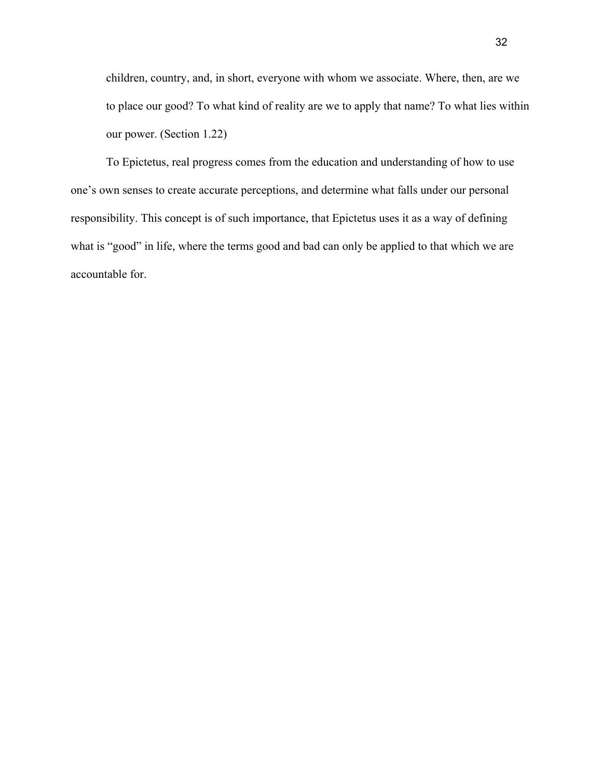children, country, and, in short, everyone with whom we associate. Where, then, are we to place our good? To what kind of reality are we to apply that name? To what lies within our power. (Section 1.22)

To Epictetus, real progress comes from the education and understanding of how to use one's own senses to create accurate perceptions, and determine what falls under our personal responsibility. This concept is of such importance, that Epictetus uses it as a way of defining what is "good" in life, where the terms good and bad can only be applied to that which we are accountable for.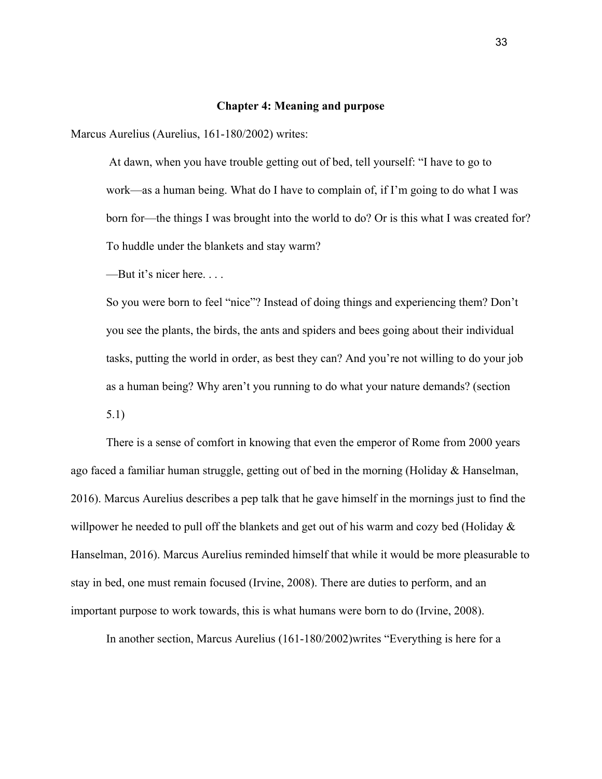#### **Chapter 4: Meaning and purpose**

Marcus Aurelius (Aurelius, 161-180/2002) writes:

 At dawn, when you have trouble getting out of bed, tell yourself: "I have to go to work—as a human being. What do I have to complain of, if I'm going to do what I was born for—the things I was brought into the world to do? Or is this what I was created for? To huddle under the blankets and stay warm?

—But it's nicer here. . . .

So you were born to feel "nice"? Instead of doing things and experiencing them? Don't you see the plants, the birds, the ants and spiders and bees going about their individual tasks, putting the world in order, as best they can? And you're not willing to do your job as a human being? Why aren't you running to do what your nature demands? (section 5.1)

There is a sense of comfort in knowing that even the emperor of Rome from 2000 years ago faced a familiar human struggle, getting out of bed in the morning (Holiday & Hanselman, 2016). Marcus Aurelius describes a pep talk that he gave himself in the mornings just to find the willpower he needed to pull off the blankets and get out of his warm and cozy bed (Holiday  $\&$ Hanselman, 2016). Marcus Aurelius reminded himself that while it would be more pleasurable to stay in bed, one must remain focused (Irvine, 2008). There are duties to perform, and an important purpose to work towards, this is what humans were born to do (Irvine, 2008).

In another section, Marcus Aurelius (161-180/2002)writes "Everything is here for a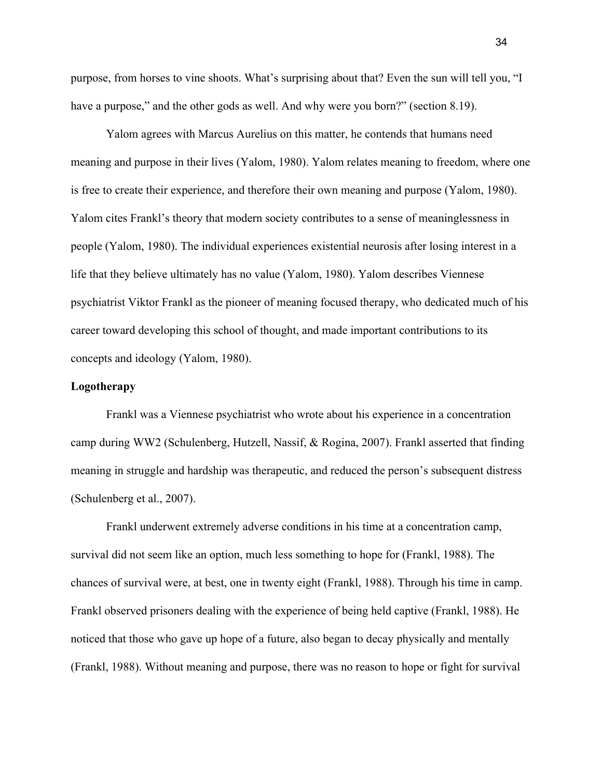purpose, from horses to vine shoots. What's surprising about that? Even the sun will tell you, "I have a purpose," and the other gods as well. And why were you born?" (section 8.19).

Yalom agrees with Marcus Aurelius on this matter, he contends that humans need meaning and purpose in their lives (Yalom, 1980). Yalom relates meaning to freedom, where one is free to create their experience, and therefore their own meaning and purpose (Yalom, 1980). Yalom cites Frankl's theory that modern society contributes to a sense of meaninglessness in people (Yalom, 1980). The individual experiences existential neurosis after losing interest in a life that they believe ultimately has no value (Yalom, 1980). Yalom describes Viennese psychiatrist Viktor Frankl as the pioneer of meaning focused therapy, who dedicated much of his career toward developing this school of thought, and made important contributions to its concepts and ideology (Yalom, 1980).

# **Logotherapy**

Frankl was a Viennese psychiatrist who wrote about his experience in a concentration camp during WW2 (Schulenberg, Hutzell, Nassif, & Rogina, 2007). Frankl asserted that finding meaning in struggle and hardship was therapeutic, and reduced the person's subsequent distress (Schulenberg et al., 2007).

Frankl underwent extremely adverse conditions in his time at a concentration camp, survival did not seem like an option, much less something to hope for (Frankl, 1988). The chances of survival were, at best, one in twenty eight (Frankl, 1988). Through his time in camp. Frankl observed prisoners dealing with the experience of being held captive (Frankl, 1988). He noticed that those who gave up hope of a future, also began to decay physically and mentally (Frankl, 1988). Without meaning and purpose, there was no reason to hope or fight for survival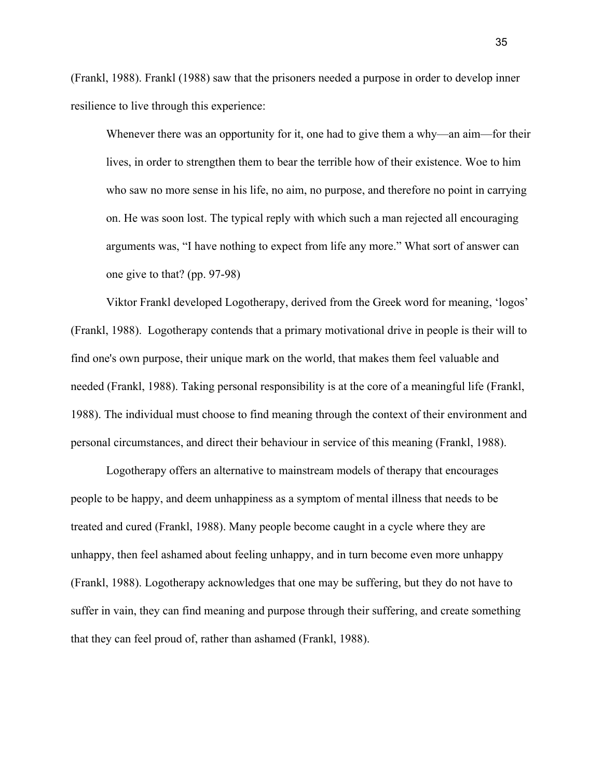(Frankl, 1988). Frankl (1988) saw that the prisoners needed a purpose in order to develop inner resilience to live through this experience:

Whenever there was an opportunity for it, one had to give them a why—an aim—for their lives, in order to strengthen them to bear the terrible how of their existence. Woe to him who saw no more sense in his life, no aim, no purpose, and therefore no point in carrying on. He was soon lost. The typical reply with which such a man rejected all encouraging arguments was, "I have nothing to expect from life any more." What sort of answer can one give to that? (pp. 97-98)

Viktor Frankl developed Logotherapy, derived from the Greek word for meaning, 'logos' (Frankl, 1988). Logotherapy contends that a primary motivational drive in people is their will to find one's own purpose, their unique mark on the world, that makes them feel valuable and needed (Frankl, 1988). Taking personal responsibility is at the core of a meaningful life (Frankl, 1988). The individual must choose to find meaning through the context of their environment and personal circumstances, and direct their behaviour in service of this meaning (Frankl, 1988).

Logotherapy offers an alternative to mainstream models of therapy that encourages people to be happy, and deem unhappiness as a symptom of mental illness that needs to be treated and cured (Frankl, 1988). Many people become caught in a cycle where they are unhappy, then feel ashamed about feeling unhappy, and in turn become even more unhappy (Frankl, 1988). Logotherapy acknowledges that one may be suffering, but they do not have to suffer in vain, they can find meaning and purpose through their suffering, and create something that they can feel proud of, rather than ashamed (Frankl, 1988).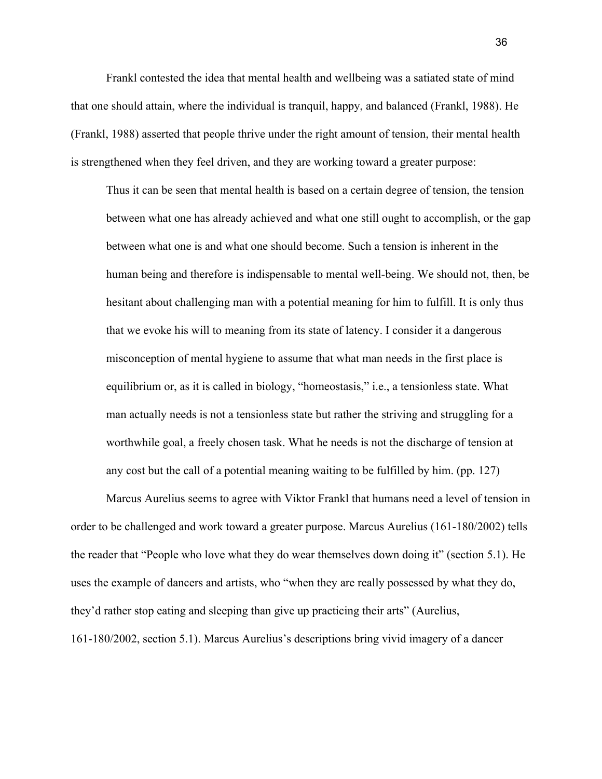Frankl contested the idea that mental health and wellbeing was a satiated state of mind that one should attain, where the individual is tranquil, happy, and balanced (Frankl, 1988). He (Frankl, 1988) asserted that people thrive under the right amount of tension, their mental health is strengthened when they feel driven, and they are working toward a greater purpose:

Thus it can be seen that mental health is based on a certain degree of tension, the tension between what one has already achieved and what one still ought to accomplish, or the gap between what one is and what one should become. Such a tension is inherent in the human being and therefore is indispensable to mental well-being. We should not, then, be hesitant about challenging man with a potential meaning for him to fulfill. It is only thus that we evoke his will to meaning from its state of latency. I consider it a dangerous misconception of mental hygiene to assume that what man needs in the first place is equilibrium or, as it is called in biology, "homeostasis," i.e., a tensionless state. What man actually needs is not a tensionless state but rather the striving and struggling for a worthwhile goal, a freely chosen task. What he needs is not the discharge of tension at any cost but the call of a potential meaning waiting to be fulfilled by him. (pp. 127)

Marcus Aurelius seems to agree with Viktor Frankl that humans need a level of tension in order to be challenged and work toward a greater purpose. Marcus Aurelius (161-180/2002) tells the reader that "People who love what they do wear themselves down doing it" (section 5.1). He uses the example of dancers and artists, who "when they are really possessed by what they do, they'd rather stop eating and sleeping than give up practicing their arts" (Aurelius, 161-180/2002, section 5.1). Marcus Aurelius's descriptions bring vivid imagery of a dancer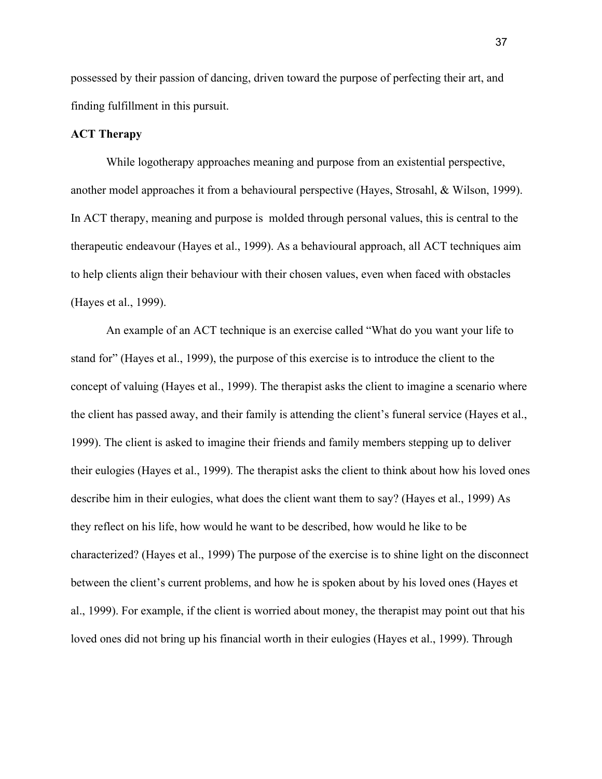possessed by their passion of dancing, driven toward the purpose of perfecting their art, and finding fulfillment in this pursuit.

## **ACT Therapy**

While logotherapy approaches meaning and purpose from an existential perspective, another model approaches it from a behavioural perspective (Hayes, Strosahl, & Wilson, 1999). In ACT therapy, meaning and purpose is molded through personal values, this is central to the therapeutic endeavour (Hayes et al., 1999). As a behavioural approach, all ACT techniques aim to help clients align their behaviour with their chosen values, even when faced with obstacles (Hayes et al., 1999).

An example of an ACT technique is an exercise called "What do you want your life to stand for" (Hayes et al., 1999), the purpose of this exercise is to introduce the client to the concept of valuing (Hayes et al., 1999). The therapist asks the client to imagine a scenario where the client has passed away, and their family is attending the client's funeral service (Hayes et al., 1999). The client is asked to imagine their friends and family members stepping up to deliver their eulogies (Hayes et al., 1999). The therapist asks the client to think about how his loved ones describe him in their eulogies, what does the client want them to say? (Hayes et al., 1999) As they reflect on his life, how would he want to be described, how would he like to be characterized? (Hayes et al., 1999) The purpose of the exercise is to shine light on the disconnect between the client's current problems, and how he is spoken about by his loved ones (Hayes et al., 1999). For example, if the client is worried about money, the therapist may point out that his loved ones did not bring up his financial worth in their eulogies (Hayes et al., 1999). Through

37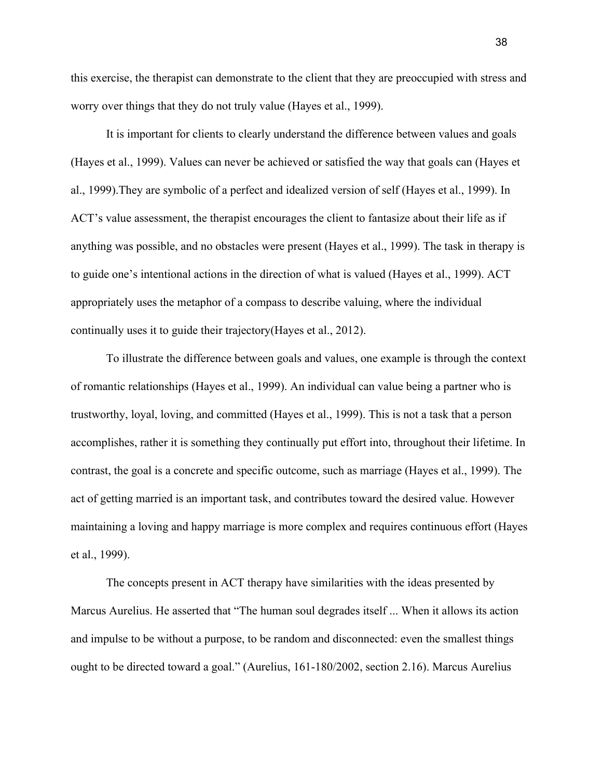this exercise, the therapist can demonstrate to the client that they are preoccupied with stress and worry over things that they do not truly value (Hayes et al., 1999).

It is important for clients to clearly understand the difference between values and goals (Hayes et al., 1999). Values can never be achieved or satisfied the way that goals can (Hayes et al., 1999).They are symbolic of a perfect and idealized version of self (Hayes et al., 1999). In ACT's value assessment, the therapist encourages the client to fantasize about their life as if anything was possible, and no obstacles were present (Hayes et al., 1999). The task in therapy is to guide one's intentional actions in the direction of what is valued (Hayes et al., 1999). ACT appropriately uses the metaphor of a compass to describe valuing, where the individual continually uses it to guide their trajectory(Hayes et al., 2012).

To illustrate the difference between goals and values, one example is through the context of romantic relationships (Hayes et al., 1999). An individual can value being a partner who is trustworthy, loyal, loving, and committed (Hayes et al., 1999). This is not a task that a person accomplishes, rather it is something they continually put effort into, throughout their lifetime. In contrast, the goal is a concrete and specific outcome, such as marriage (Hayes et al., 1999). The act of getting married is an important task, and contributes toward the desired value. However maintaining a loving and happy marriage is more complex and requires continuous effort (Hayes et al., 1999).

The concepts present in ACT therapy have similarities with the ideas presented by Marcus Aurelius. He asserted that "The human soul degrades itself ... When it allows its action and impulse to be without a purpose, to be random and disconnected: even the smallest things ought to be directed toward a goal." (Aurelius, 161-180/2002, section 2.16). Marcus Aurelius

38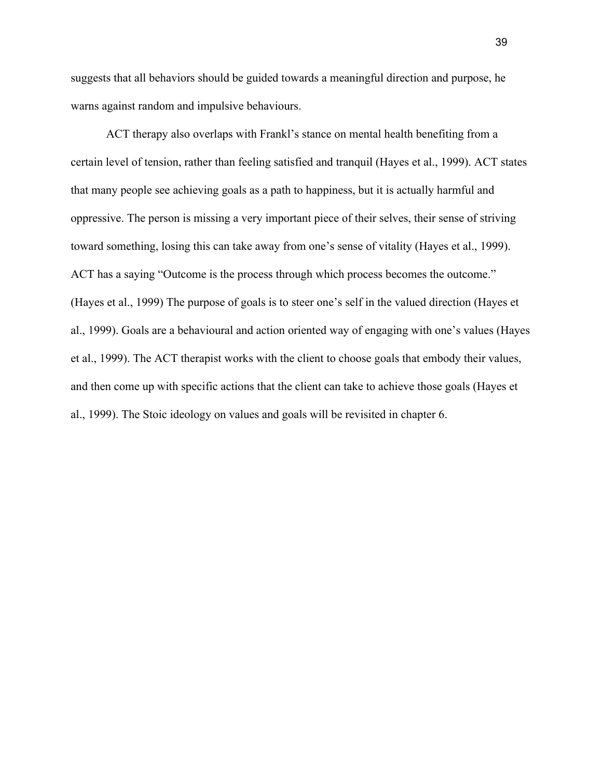suggests that all behaviors should be guided towards a meaningful direction and purpose, he warns against random and impulsive behaviours.

ACT therapy also overlaps with Frankl's stance on mental health benefiting from a certain level of tension, rather than feeling satisfied and tranquil (Hayes et al., 1999). ACT states that many people see achieving goals as a path to happiness, but it is actually harmful and oppressive. The person is missing a very important piece of their selves, their sense of striving toward something, losing this can take away from one's sense of vitality (Hayes et al., 1999). ACT has a saying "Outcome is the process through which process becomes the outcome." (Hayes et al., 1999) The purpose of goals is to steer one's self in the valued direction (Hayes et al., 1999). Goals are a behavioural and action oriented way of engaging with one's values (Hayes et al., 1999). The ACT therapist works with the client to choose goals that embody their values, and then come up with specific actions that the client can take to achieve those goals (Hayes et al., 1999). The Stoic ideology on values and goals will be revisited in chapter 6.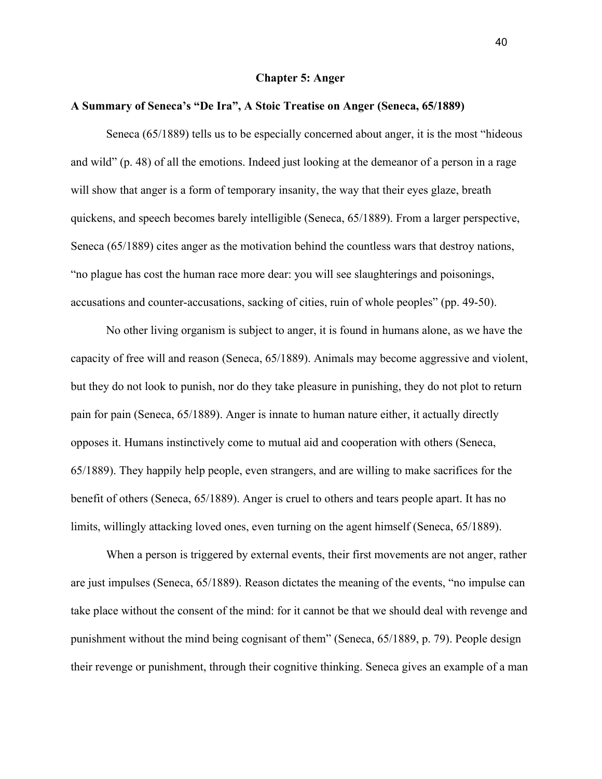#### **Chapter 5: Anger**

#### **A Summary of Seneca's "De Ira", A Stoic Treatise on Anger (Seneca, 65/1889)**

Seneca (65/1889) tells us to be especially concerned about anger, it is the most "hideous and wild" (p. 48) of all the emotions. Indeed just looking at the demeanor of a person in a rage will show that anger is a form of temporary insanity, the way that their eyes glaze, breath quickens, and speech becomes barely intelligible (Seneca, 65/1889). From a larger perspective, Seneca (65/1889) cites anger as the motivation behind the countless wars that destroy nations, "no plague has cost the human race more dear: you will see slaughterings and poisonings, accusations and counter-accusations, sacking of cities, ruin of whole peoples" (pp. 49-50).

No other living organism is subject to anger, it is found in humans alone, as we have the capacity of free will and reason (Seneca, 65/1889). Animals may become aggressive and violent, but they do not look to punish, nor do they take pleasure in punishing, they do not plot to return pain for pain (Seneca, 65/1889). Anger is innate to human nature either, it actually directly opposes it. Humans instinctively come to mutual aid and cooperation with others (Seneca, 65/1889). They happily help people, even strangers, and are willing to make sacrifices for the benefit of others (Seneca, 65/1889). Anger is cruel to others and tears people apart. It has no limits, willingly attacking loved ones, even turning on the agent himself (Seneca, 65/1889).

When a person is triggered by external events, their first movements are not anger, rather are just impulses (Seneca, 65/1889). Reason dictates the meaning of the events, "no impulse can take place without the consent of the mind: for it cannot be that we should deal with revenge and punishment without the mind being cognisant of them" (Seneca, 65/1889, p. 79). People design their revenge or punishment, through their cognitive thinking. Seneca gives an example of a man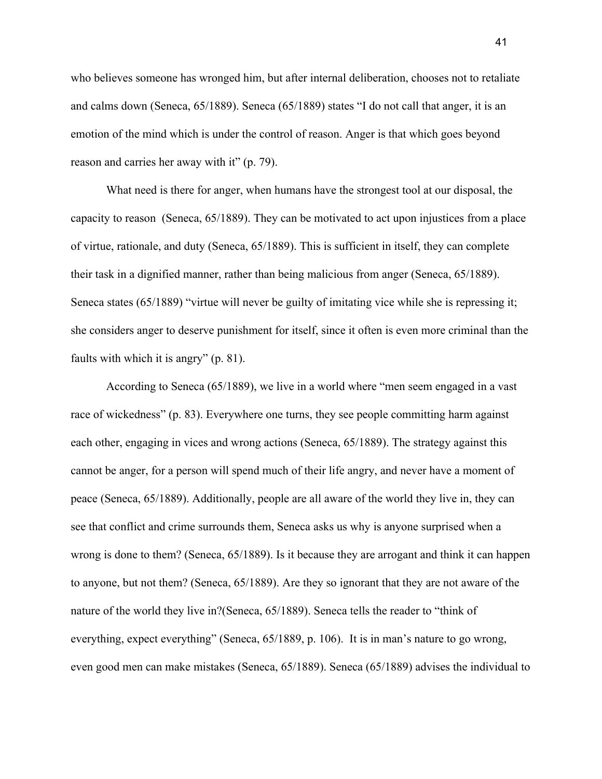who believes someone has wronged him, but after internal deliberation, chooses not to retaliate and calms down (Seneca, 65/1889). Seneca (65/1889) states "I do not call that anger, it is an emotion of the mind which is under the control of reason. Anger is that which goes beyond reason and carries her away with it" (p. 79).

What need is there for anger, when humans have the strongest tool at our disposal, the capacity to reason (Seneca, 65/1889). They can be motivated to act upon injustices from a place of virtue, rationale, and duty (Seneca, 65/1889). This is sufficient in itself, they can complete their task in a dignified manner, rather than being malicious from anger (Seneca, 65/1889). Seneca states (65/1889) "virtue will never be guilty of imitating vice while she is repressing it; she considers anger to deserve punishment for itself, since it often is even more criminal than the faults with which it is angry" (p. 81).

According to Seneca (65/1889), we live in a world where "men seem engaged in a vast race of wickedness" (p. 83). Everywhere one turns, they see people committing harm against each other, engaging in vices and wrong actions (Seneca, 65/1889). The strategy against this cannot be anger, for a person will spend much of their life angry, and never have a moment of peace (Seneca, 65/1889). Additionally, people are all aware of the world they live in, they can see that conflict and crime surrounds them, Seneca asks us why is anyone surprised when a wrong is done to them? (Seneca, 65/1889). Is it because they are arrogant and think it can happen to anyone, but not them? (Seneca, 65/1889). Are they so ignorant that they are not aware of the nature of the world they live in?(Seneca, 65/1889). Seneca tells the reader to "think of everything, expect everything" (Seneca, 65/1889, p. 106). It is in man's nature to go wrong, even good men can make mistakes (Seneca, 65/1889). Seneca (65/1889) advises the individual to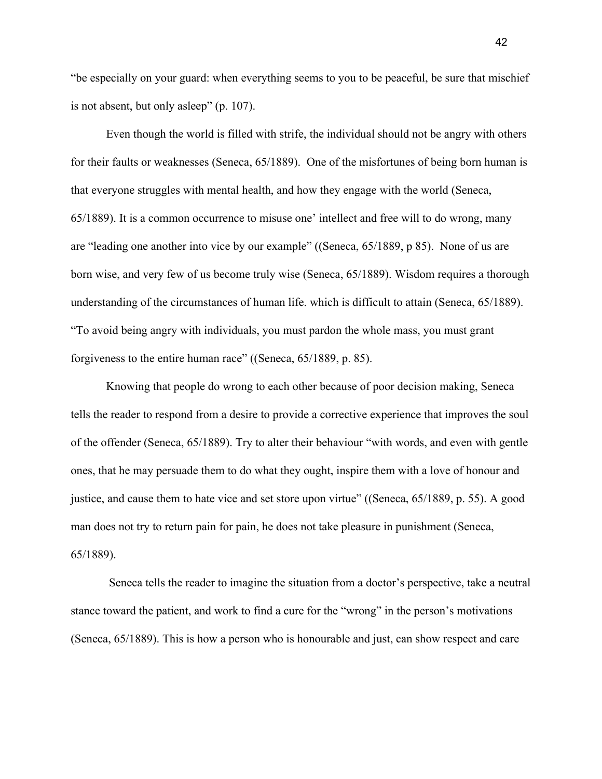"be especially on your guard: when everything seems to you to be peaceful, be sure that mischief is not absent, but only asleep" (p. 107).

Even though the world is filled with strife, the individual should not be angry with others for their faults or weaknesses (Seneca, 65/1889). One of the misfortunes of being born human is that everyone struggles with mental health, and how they engage with the world (Seneca, 65/1889). It is a common occurrence to misuse one' intellect and free will to do wrong, many are "leading one another into vice by our example" ((Seneca, 65/1889, p 85). None of us are born wise, and very few of us become truly wise (Seneca, 65/1889). Wisdom requires a thorough understanding of the circumstances of human life. which is difficult to attain (Seneca, 65/1889). "To avoid being angry with individuals, you must pardon the whole mass, you must grant forgiveness to the entire human race" ((Seneca, 65/1889, p. 85).

Knowing that people do wrong to each other because of poor decision making, Seneca tells the reader to respond from a desire to provide a corrective experience that improves the soul of the offender (Seneca, 65/1889). Try to alter their behaviour "with words, and even with gentle ones, that he may persuade them to do what they ought, inspire them with a love of honour and justice, and cause them to hate vice and set store upon virtue" ((Seneca, 65/1889, p. 55). A good man does not try to return pain for pain, he does not take pleasure in punishment (Seneca, 65/1889).

 Seneca tells the reader to imagine the situation from a doctor's perspective, take a neutral stance toward the patient, and work to find a cure for the "wrong" in the person's motivations (Seneca, 65/1889). This is how a person who is honourable and just, can show respect and care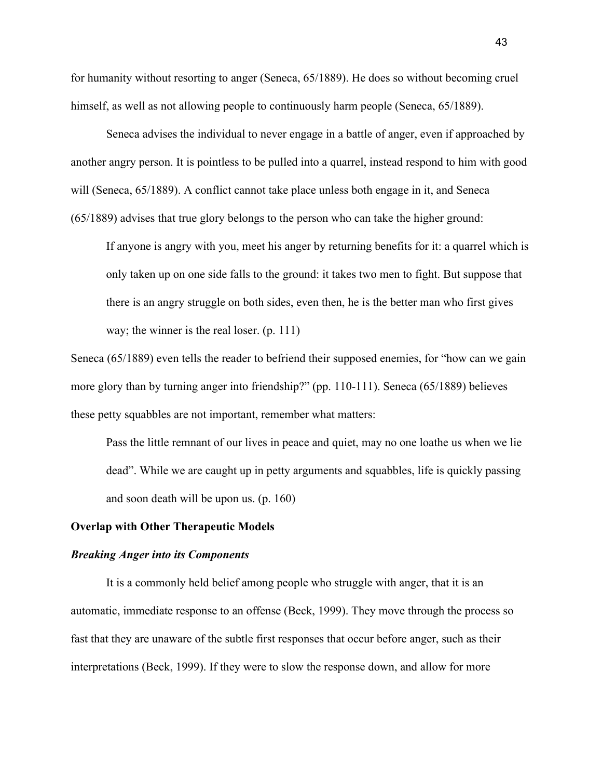for humanity without resorting to anger (Seneca, 65/1889). He does so without becoming cruel himself, as well as not allowing people to continuously harm people (Seneca, 65/1889).

Seneca advises the individual to never engage in a battle of anger, even if approached by another angry person. It is pointless to be pulled into a quarrel, instead respond to him with good will (Seneca, 65/1889). A conflict cannot take place unless both engage in it, and Seneca (65/1889) advises that true glory belongs to the person who can take the higher ground:

If anyone is angry with you, meet his anger by returning benefits for it: a quarrel which is only taken up on one side falls to the ground: it takes two men to fight. But suppose that there is an angry struggle on both sides, even then, he is the better man who first gives way; the winner is the real loser. (p. 111)

Seneca (65/1889) even tells the reader to befriend their supposed enemies, for "how can we gain more glory than by turning anger into friendship?" (pp. 110-111). Seneca (65/1889) believes these petty squabbles are not important, remember what matters:

Pass the little remnant of our lives in peace and quiet, may no one loathe us when we lie dead". While we are caught up in petty arguments and squabbles, life is quickly passing and soon death will be upon us. (p. 160)

# **Overlap with Other Therapeutic Models**

### *Breaking Anger into its Components*

It is a commonly held belief among people who struggle with anger, that it is an automatic, immediate response to an offense (Beck, 1999). They move through the process so fast that they are unaware of the subtle first responses that occur before anger, such as their interpretations (Beck, 1999). If they were to slow the response down, and allow for more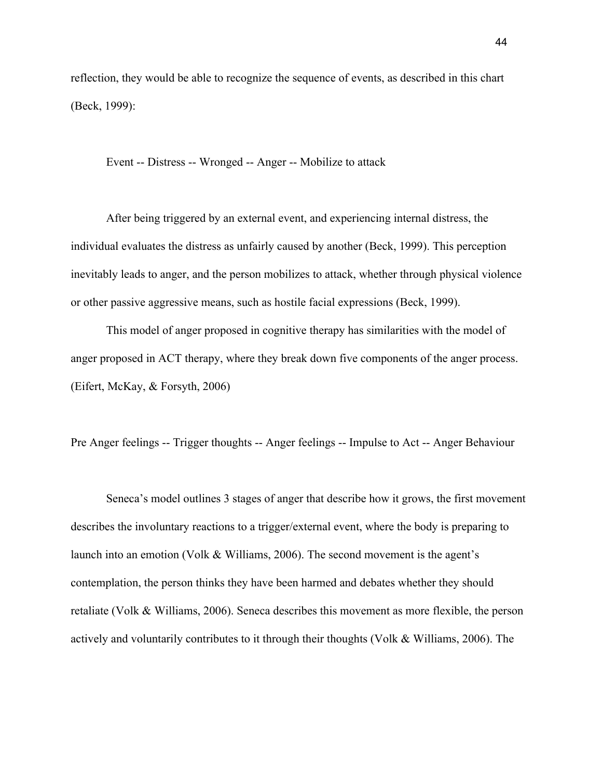reflection, they would be able to recognize the sequence of events, as described in this chart (Beck, 1999):

Event -- Distress -- Wronged -- Anger -- Mobilize to attack

After being triggered by an external event, and experiencing internal distress, the individual evaluates the distress as unfairly caused by another (Beck, 1999). This perception inevitably leads to anger, and the person mobilizes to attack, whether through physical violence or other passive aggressive means, such as hostile facial expressions (Beck, 1999).

This model of anger proposed in cognitive therapy has similarities with the model of anger proposed in ACT therapy, where they break down five components of the anger process. (Eifert, McKay, & Forsyth, 2006)

Pre Anger feelings -- Trigger thoughts -- Anger feelings -- Impulse to Act -- Anger Behaviour

Seneca's model outlines 3 stages of anger that describe how it grows, the first movement describes the involuntary reactions to a trigger/external event, where the body is preparing to launch into an emotion (Volk & Williams, 2006). The second movement is the agent's contemplation, the person thinks they have been harmed and debates whether they should retaliate (Volk & Williams, 2006). Seneca describes this movement as more flexible, the person actively and voluntarily contributes to it through their thoughts (Volk & Williams, 2006). The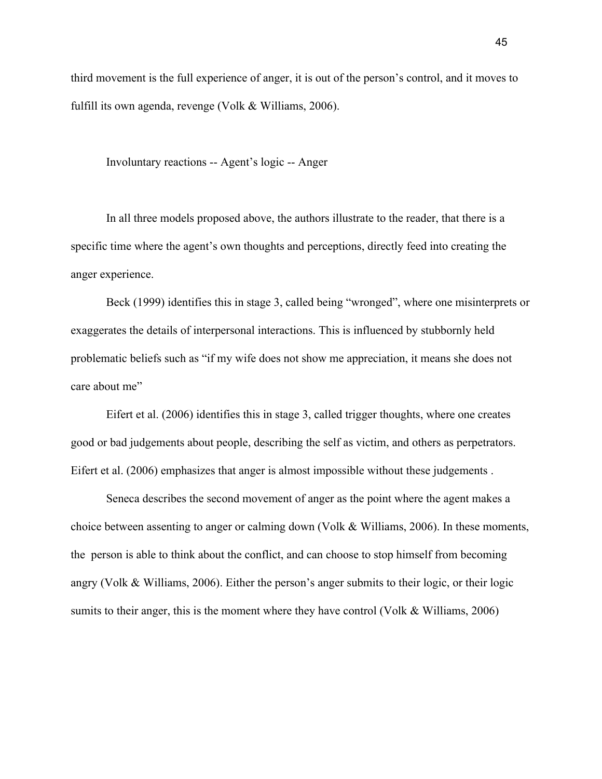third movement is the full experience of anger, it is out of the person's control, and it moves to fulfill its own agenda, revenge (Volk & Williams, 2006).

Involuntary reactions -- Agent's logic -- Anger

In all three models proposed above, the authors illustrate to the reader, that there is a specific time where the agent's own thoughts and perceptions, directly feed into creating the anger experience.

Beck (1999) identifies this in stage 3, called being "wronged", where one misinterprets or exaggerates the details of interpersonal interactions. This is influenced by stubbornly held problematic beliefs such as "if my wife does not show me appreciation, it means she does not care about me"

Eifert et al. (2006) identifies this in stage 3, called trigger thoughts, where one creates good or bad judgements about people, describing the self as victim, and others as perpetrators. Eifert et al. (2006) emphasizes that anger is almost impossible without these judgements .

Seneca describes the second movement of anger as the point where the agent makes a choice between assenting to anger or calming down (Volk & Williams, 2006). In these moments, the person is able to think about the conflict, and can choose to stop himself from becoming angry (Volk & Williams, 2006). Either the person's anger submits to their logic, or their logic sumits to their anger, this is the moment where they have control (Volk & Williams, 2006)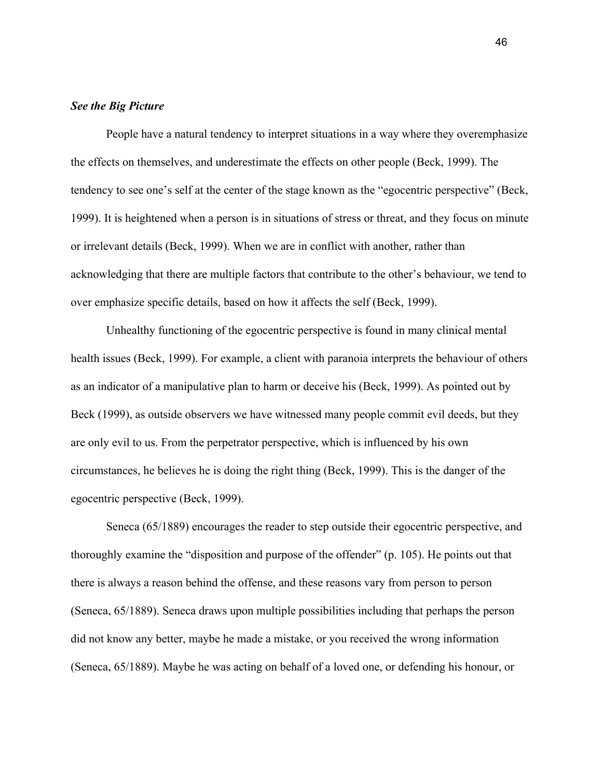## *See the Big Picture*

People have a natural tendency to interpret situations in a way where they overemphasize the effects on themselves, and underestimate the effects on other people (Beck, 1999). The tendency to see one's self at the center of the stage known as the "egocentric perspective" (Beck, 1999). It is heightened when a person is in situations of stress or threat, and they focus on minute or irrelevant details (Beck, 1999). When we are in conflict with another, rather than acknowledging that there are multiple factors that contribute to the other's behaviour, we tend to over emphasize specific details, based on how it affects the self (Beck, 1999).

Unhealthy functioning of the egocentric perspective is found in many clinical mental health issues (Beck, 1999). For example, a client with paranoia interprets the behaviour of others as an indicator of a manipulative plan to harm or deceive his (Beck, 1999). As pointed out by Beck (1999), as outside observers we have witnessed many people commit evil deeds, but they are only evil to us. From the perpetrator perspective, which is influenced by his own circumstances, he believes he is doing the right thing (Beck, 1999). This is the danger of the egocentric perspective (Beck, 1999).

Seneca (65/1889) encourages the reader to step outside their egocentric perspective, and thoroughly examine the "disposition and purpose of the offender" (p. 105). He points out that there is always a reason behind the offense, and these reasons vary from person to person (Seneca, 65/1889). Seneca draws upon multiple possibilities including that perhaps the person did not know any better, maybe he made a mistake, or you received the wrong information (Seneca, 65/1889). Maybe he was acting on behalf of a loved one, or defending his honour, or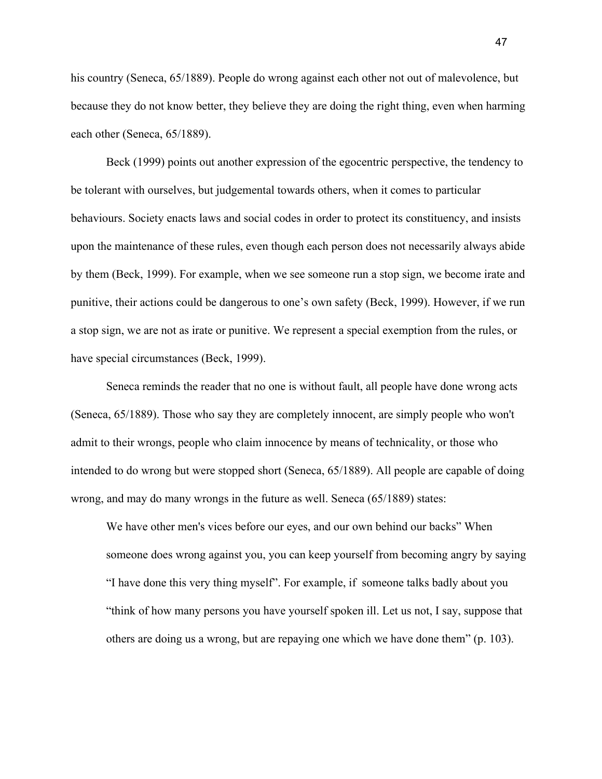his country (Seneca, 65/1889). People do wrong against each other not out of malevolence, but because they do not know better, they believe they are doing the right thing, even when harming each other (Seneca, 65/1889).

Beck (1999) points out another expression of the egocentric perspective, the tendency to be tolerant with ourselves, but judgemental towards others, when it comes to particular behaviours. Society enacts laws and social codes in order to protect its constituency, and insists upon the maintenance of these rules, even though each person does not necessarily always abide by them (Beck, 1999). For example, when we see someone run a stop sign, we become irate and punitive, their actions could be dangerous to one's own safety (Beck, 1999). However, if we run a stop sign, we are not as irate or punitive. We represent a special exemption from the rules, or have special circumstances (Beck, 1999).

Seneca reminds the reader that no one is without fault, all people have done wrong acts (Seneca, 65/1889). Those who say they are completely innocent, are simply people who won't admit to their wrongs, people who claim innocence by means of technicality, or those who intended to do wrong but were stopped short (Seneca, 65/1889). All people are capable of doing wrong, and may do many wrongs in the future as well. Seneca (65/1889) states:

We have other men's vices before our eyes, and our own behind our backs" When someone does wrong against you, you can keep yourself from becoming angry by saying "I have done this very thing myself". For example, if someone talks badly about you "think of how many persons you have yourself spoken ill. Let us not, I say, suppose that others are doing us a wrong, but are repaying one which we have done them" (p. 103).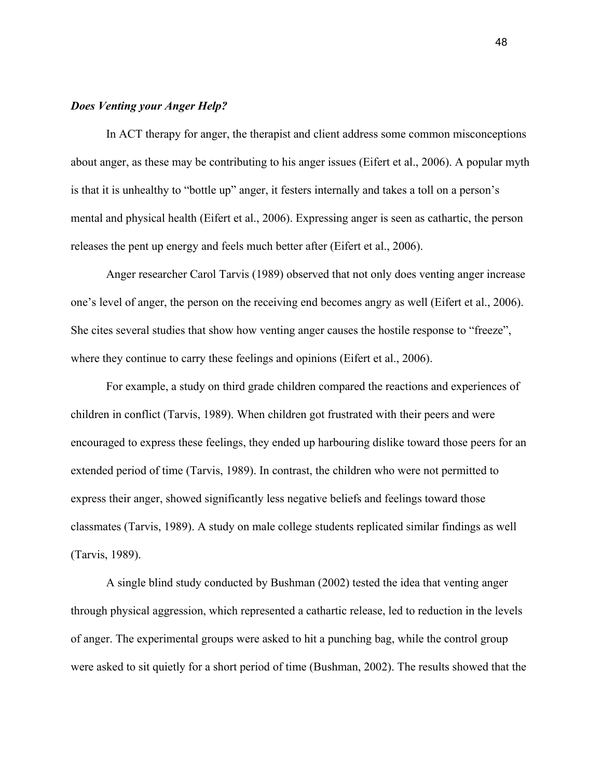#### *Does Venting your Anger Help?*

In ACT therapy for anger, the therapist and client address some common misconceptions about anger, as these may be contributing to his anger issues (Eifert et al., 2006). A popular myth is that it is unhealthy to "bottle up" anger, it festers internally and takes a toll on a person's mental and physical health (Eifert et al., 2006). Expressing anger is seen as cathartic, the person releases the pent up energy and feels much better after (Eifert et al., 2006).

Anger researcher Carol Tarvis (1989) observed that not only does venting anger increase one's level of anger, the person on the receiving end becomes angry as well (Eifert et al., 2006). She cites several studies that show how venting anger causes the hostile response to "freeze", where they continue to carry these feelings and opinions (Eifert et al., 2006).

For example, a study on third grade children compared the reactions and experiences of children in conflict (Tarvis, 1989). When children got frustrated with their peers and were encouraged to express these feelings, they ended up harbouring dislike toward those peers for an extended period of time (Tarvis, 1989). In contrast, the children who were not permitted to express their anger, showed significantly less negative beliefs and feelings toward those classmates (Tarvis, 1989). A study on male college students replicated similar findings as well (Tarvis, 1989).

A single blind study conducted by Bushman (2002) tested the idea that venting anger through physical aggression, which represented a cathartic release, led to reduction in the levels of anger. The experimental groups were asked to hit a punching bag, while the control group were asked to sit quietly for a short period of time (Bushman, 2002). The results showed that the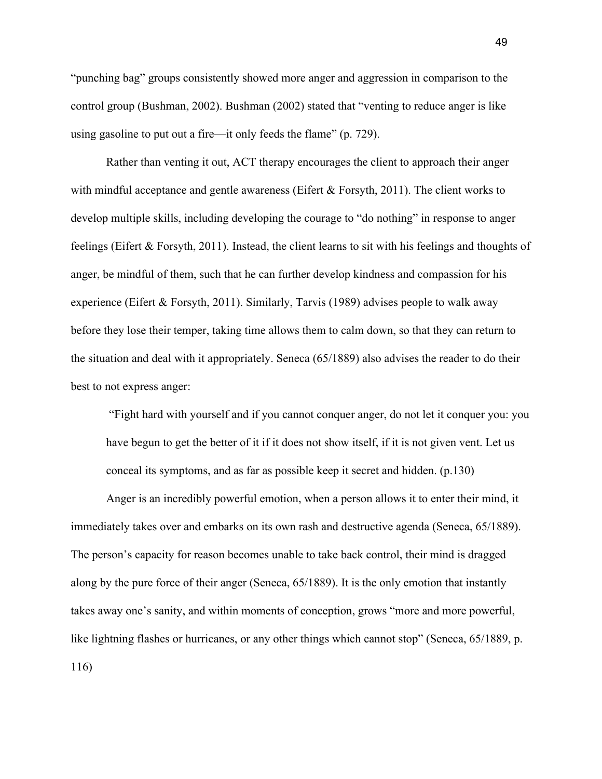"punching bag" groups consistently showed more anger and aggression in comparison to the control group (Bushman, 2002). Bushman (2002) stated that "venting to reduce anger is like using gasoline to put out a fire—it only feeds the flame" (p. 729).

Rather than venting it out, ACT therapy encourages the client to approach their anger with mindful acceptance and gentle awareness (Eifert  $&$  Forsyth, 2011). The client works to develop multiple skills, including developing the courage to "do nothing" in response to anger feelings (Eifert & Forsyth, 2011). Instead, the client learns to sit with his feelings and thoughts of anger, be mindful of them, such that he can further develop kindness and compassion for his experience (Eifert & Forsyth, 2011). Similarly, Tarvis (1989) advises people to walk away before they lose their temper, taking time allows them to calm down, so that they can return to the situation and deal with it appropriately. Seneca (65/1889) also advises the reader to do their best to not express anger:

 "Fight hard with yourself and if you cannot conquer anger, do not let it conquer you: you have begun to get the better of it if it does not show itself, if it is not given vent. Let us conceal its symptoms, and as far as possible keep it secret and hidden. (p.130)

Anger is an incredibly powerful emotion, when a person allows it to enter their mind, it immediately takes over and embarks on its own rash and destructive agenda (Seneca, 65/1889). The person's capacity for reason becomes unable to take back control, their mind is dragged along by the pure force of their anger (Seneca, 65/1889). It is the only emotion that instantly takes away one's sanity, and within moments of conception, grows "more and more powerful, like lightning flashes or hurricanes, or any other things which cannot stop" (Seneca, 65/1889, p. 116)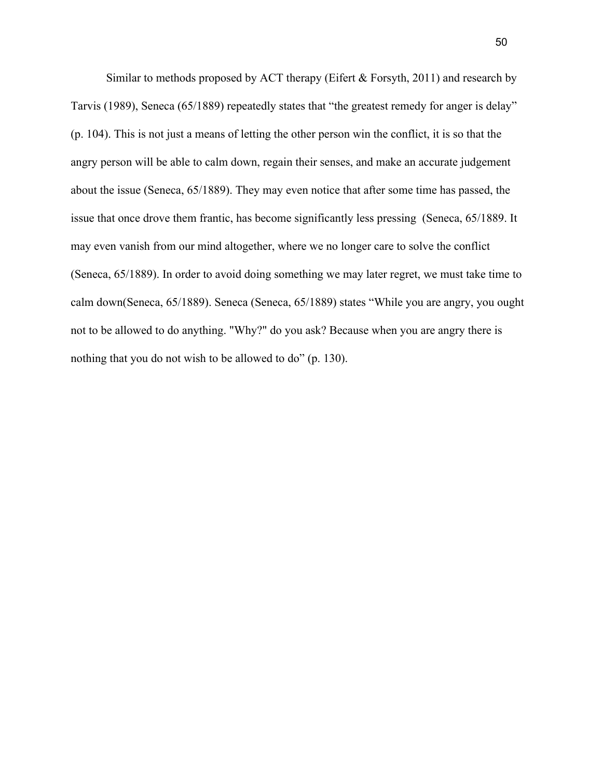Similar to methods proposed by ACT therapy (Eifert  $&$  Forsyth, 2011) and research by Tarvis (1989), Seneca (65/1889) repeatedly states that "the greatest remedy for anger is delay" (p. 104). This is not just a means of letting the other person win the conflict, it is so that the angry person will be able to calm down, regain their senses, and make an accurate judgement about the issue (Seneca, 65/1889). They may even notice that after some time has passed, the issue that once drove them frantic, has become significantly less pressing (Seneca, 65/1889. It may even vanish from our mind altogether, where we no longer care to solve the conflict (Seneca, 65/1889). In order to avoid doing something we may later regret, we must take time to calm down(Seneca, 65/1889). Seneca (Seneca, 65/1889) states "While you are angry, you ought not to be allowed to do anything. "Why?" do you ask? Because when you are angry there is nothing that you do not wish to be allowed to do" (p. 130).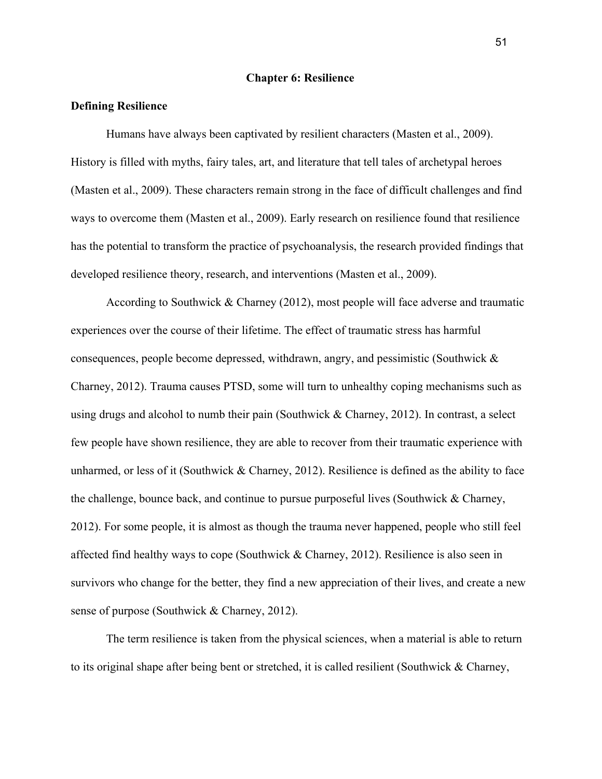### **Chapter 6: Resilience**

#### **Defining Resilience**

Humans have always been captivated by resilient characters (Masten et al., 2009). History is filled with myths, fairy tales, art, and literature that tell tales of archetypal heroes (Masten et al., 2009). These characters remain strong in the face of difficult challenges and find ways to overcome them (Masten et al., 2009). Early research on resilience found that resilience has the potential to transform the practice of psychoanalysis, the research provided findings that developed resilience theory, research, and interventions (Masten et al., 2009).

According to Southwick & [Charney](https://www.amazon.ca/s/ref=dp_byline_sr_book_2?ie=UTF8&field-author=Dennis+S.+Charney&search-alias=books-ca) (2012), most people will face adverse and traumatic experiences over the course of their lifetime. The effect of traumatic stress has harmful consequences, people become depressed, withdrawn, angry, and pessimistic (Southwick & Charney, 2012). Trauma causes PTSD, some will turn to unhealthy coping mechanisms such as using drugs and alcohol to numb their pain (Southwick & Charney, 2012). In contrast, a select few people have shown resilience, they are able to recover from their traumatic experience with unharmed, or less of it (Southwick  $&$  Charney, 2012). Resilience is defined as the ability to face the challenge, bounce back, and continue to pursue purposeful lives (Southwick  $\&$  Charney, 2012). For some people, it is almost as though the trauma never happened, people who still feel affected find healthy ways to cope (Southwick & Charney, 2012). Resilience is also seen in survivors who change for the better, they find a new appreciation of their lives, and create a new sense of purpose (Southwick & Charney, 2012).

The term resilience is taken from the physical sciences, when a material is able to return to its original shape after being bent or stretched, it is called resilient (Southwick & Charney,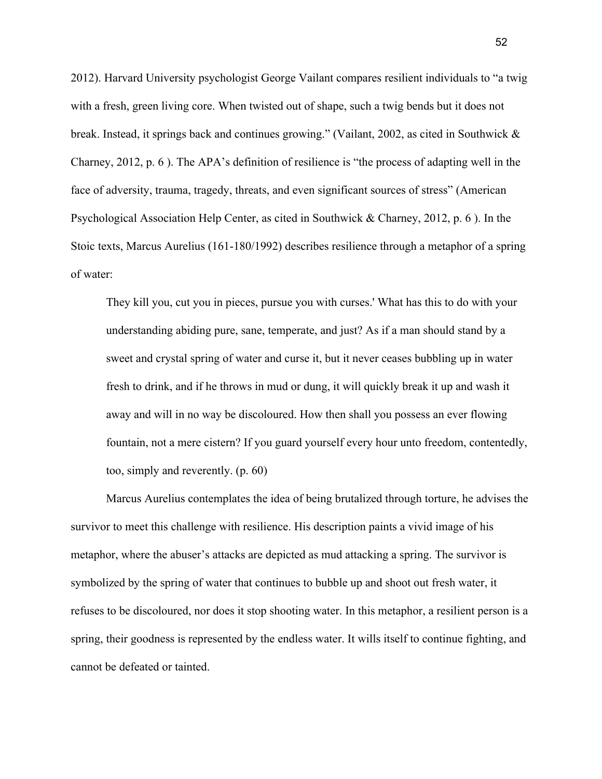2012). Harvard University psychologist George Vailant compares resilient individuals to "a twig with a fresh, green living core. When twisted out of shape, such a twig bends but it does not break. Instead, it springs back and continues growing." (Vailant, 2002, as cited in Southwick & Charney, 2012, p. 6 ). The APA's definition of resilience is "the process of adapting well in the face of adversity, trauma, tragedy, threats, and even significant sources of stress" (American Psychological Association Help Center, as cited in Southwick & Charney, 2012, p. 6 ). In the Stoic texts, Marcus Aurelius (161-180/1992) describes resilience through a metaphor of a spring of water:

They kill you, cut you in pieces, pursue you with curses.' What has this to do with your understanding abiding pure, sane, temperate, and just? As if a man should stand by a sweet and crystal spring of water and curse it, but it never ceases bubbling up in water fresh to drink, and if he throws in mud or dung, it will quickly break it up and wash it away and will in no way be discoloured. How then shall you possess an ever flowing fountain, not a mere cistern? If you guard yourself every hour unto freedom, contentedly, too, simply and reverently. (p. 60)

Marcus Aurelius contemplates the idea of being brutalized through torture, he advises the survivor to meet this challenge with resilience. His description paints a vivid image of his metaphor, where the abuser's attacks are depicted as mud attacking a spring. The survivor is symbolized by the spring of water that continues to bubble up and shoot out fresh water, it refuses to be discoloured, nor does it stop shooting water. In this metaphor, a resilient person is a spring, their goodness is represented by the endless water. It wills itself to continue fighting, and cannot be defeated or tainted.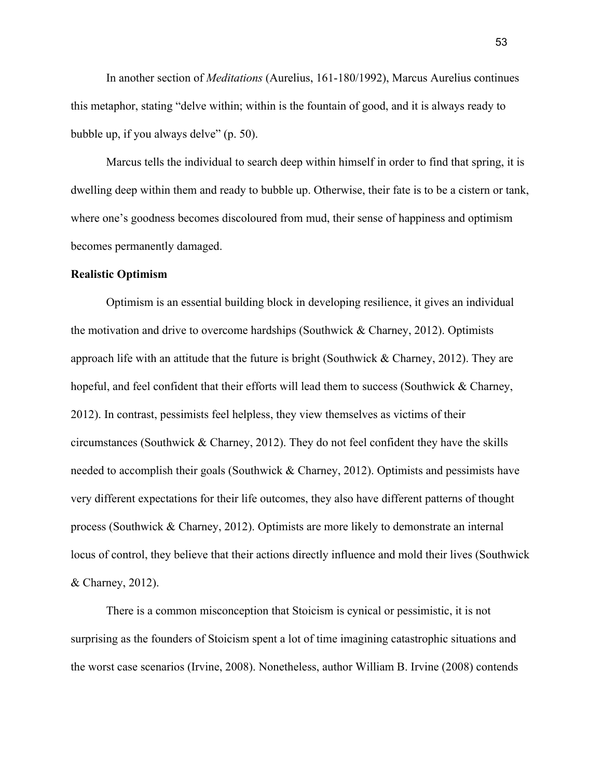In another section of *Meditations* (Aurelius, 161-180/1992), Marcus Aurelius continues this metaphor, stating "delve within; within is the fountain of good, and it is always ready to bubble up, if you always delve" (p. 50).

Marcus tells the individual to search deep within himself in order to find that spring, it is dwelling deep within them and ready to bubble up. Otherwise, their fate is to be a cistern or tank, where one's goodness becomes discoloured from mud, their sense of happiness and optimism becomes permanently damaged.

### **Realistic Optimism**

Optimism is an essential building block in developing resilience, it gives an individual the motivation and drive to overcome hardships (Southwick & Charney, 2012). Optimists approach life with an attitude that the future is bright (Southwick  $&$  Charney, 2012). They are hopeful, and feel confident that their efforts will lead them to success (Southwick  $\&$  Charney, 2012). In contrast, pessimists feel helpless, they view themselves as victims of their circumstances (Southwick  $&$  Charney, 2012). They do not feel confident they have the skills needed to accomplish their goals (Southwick & Charney, 2012). Optimists and pessimists have very different expectations for their life outcomes, they also have different patterns of thought process (Southwick & Charney, 2012). Optimists are more likely to demonstrate an internal locus of control, they believe that their actions directly influence and mold their lives (Southwick & Charney, 2012).

There is a common misconception that Stoicism is cynical or pessimistic, it is not surprising as the founders of Stoicism spent a lot of time imagining catastrophic situations and the worst case scenarios (Irvine, 2008). Nonetheless, author William B. Irvine (2008) contends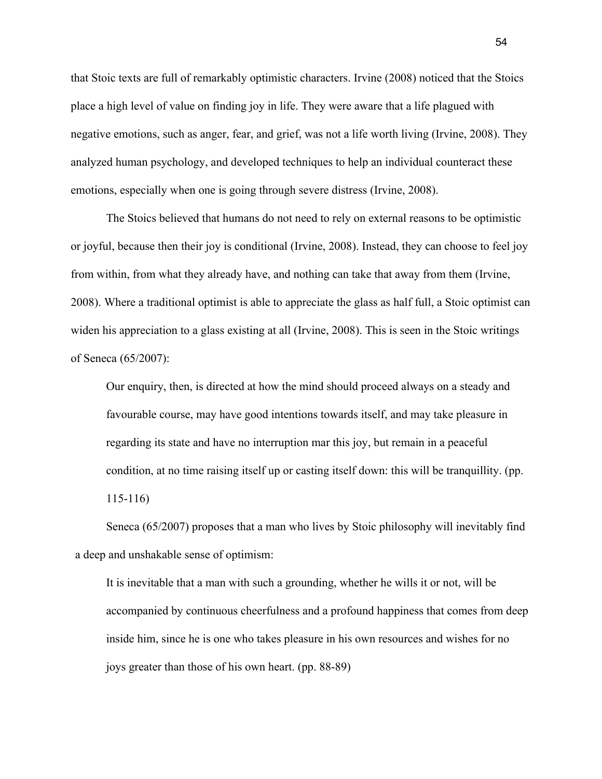that Stoic texts are full of remarkably optimistic characters. Irvine (2008) noticed that the Stoics place a high level of value on finding joy in life. They were aware that a life plagued with negative emotions, such as anger, fear, and grief, was not a life worth living (Irvine, 2008). They analyzed human psychology, and developed techniques to help an individual counteract these emotions, especially when one is going through severe distress (Irvine, 2008).

The Stoics believed that humans do not need to rely on external reasons to be optimistic or joyful, because then their joy is conditional (Irvine, 2008). Instead, they can choose to feel joy from within, from what they already have, and nothing can take that away from them (Irvine, 2008). Where a traditional optimist is able to appreciate the glass as half full, a Stoic optimist can widen his appreciation to a glass existing at all (Irvine, 2008). This is seen in the Stoic writings of Seneca (65/2007):

Our enquiry, then, is directed at how the mind should proceed always on a steady and favourable course, may have good intentions towards itself, and may take pleasure in regarding its state and have no interruption mar this joy, but remain in a peaceful condition, at no time raising itself up or casting itself down: this will be tranquillity. (pp. 115-116)

Seneca (65/2007) proposes that a man who lives by Stoic philosophy will inevitably find a deep and unshakable sense of optimism:

It is inevitable that a man with such a grounding, whether he wills it or not, will be accompanied by continuous cheerfulness and a profound happiness that comes from deep inside him, since he is one who takes pleasure in his own resources and wishes for no joys greater than those of his own heart. (pp. 88-89)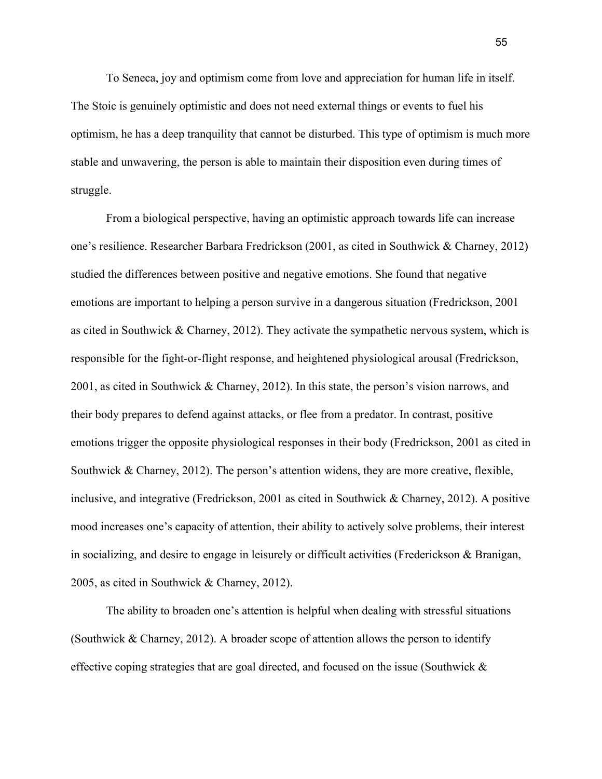To Seneca, joy and optimism come from love and appreciation for human life in itself. The Stoic is genuinely optimistic and does not need external things or events to fuel his optimism, he has a deep tranquility that cannot be disturbed. This type of optimism is much more stable and unwavering, the person is able to maintain their disposition even during times of struggle.

From a biological perspective, having an optimistic approach towards life can increase one's resilience. Researcher Barbara Fredrickson (2001, as cited in Southwick & Charney, 2012) studied the differences between positive and negative emotions. She found that negative emotions are important to helping a person survive in a dangerous situation (Fredrickson, 2001 as cited in Southwick & Charney, 2012). They activate the sympathetic nervous system, which is responsible for the fight-or-flight response, and heightened physiological arousal (Fredrickson, 2001, as cited in Southwick & Charney, 2012). In this state, the person's vision narrows, and their body prepares to defend against attacks, or flee from a predator. In contrast, positive emotions trigger the opposite physiological responses in their body (Fredrickson, 2001 as cited in Southwick & Charney, 2012). The person's attention widens, they are more creative, flexible, inclusive, and integrative (Fredrickson, 2001 as cited in Southwick & Charney, 2012). A positive mood increases one's capacity of attention, their ability to actively solve problems, their interest in socializing, and desire to engage in leisurely or difficult activities (Frederickson & Branigan, 2005, as cited in Southwick & Charney, 2012).

The ability to broaden one's attention is helpful when dealing with stressful situations (Southwick & Charney, 2012). A broader scope of attention allows the person to identify effective coping strategies that are goal directed, and focused on the issue (Southwick  $\&$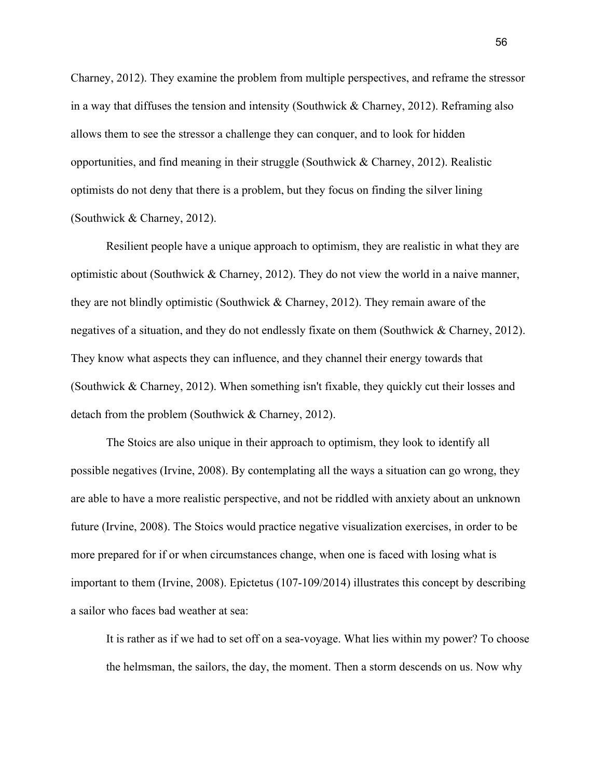Charney, 2012). They examine the problem from multiple perspectives, and reframe the stressor in a way that diffuses the tension and intensity (Southwick & Charney, 2012). Reframing also allows them to see the stressor a challenge they can conquer, and to look for hidden opportunities, and find meaning in their struggle (Southwick & Charney, 2012). Realistic optimists do not deny that there is a problem, but they focus on finding the silver lining (Southwick & Charney, 2012).

Resilient people have a unique approach to optimism, they are realistic in what they are optimistic about (Southwick & Charney, 2012). They do not view the world in a naive manner, they are not blindly optimistic (Southwick & Charney, 2012). They remain aware of the negatives of a situation, and they do not endlessly fixate on them (Southwick & Charney, 2012). They know what aspects they can influence, and they channel their energy towards that (Southwick & Charney, 2012). When something isn't fixable, they quickly cut their losses and detach from the problem (Southwick & Charney, 2012).

The Stoics are also unique in their approach to optimism, they look to identify all possible negatives (Irvine, 2008). By contemplating all the ways a situation can go wrong, they are able to have a more realistic perspective, and not be riddled with anxiety about an unknown future (Irvine, 2008). The Stoics would practice negative visualization exercises, in order to be more prepared for if or when circumstances change, when one is faced with losing what is important to them (Irvine, 2008). Epictetus (107-109/2014) illustrates this concept by describing a sailor who faces bad weather at sea:

It is rather as if we had to set off on a sea-voyage. What lies within my power? To choose the helmsman, the sailors, the day, the moment. Then a storm descends on us. Now why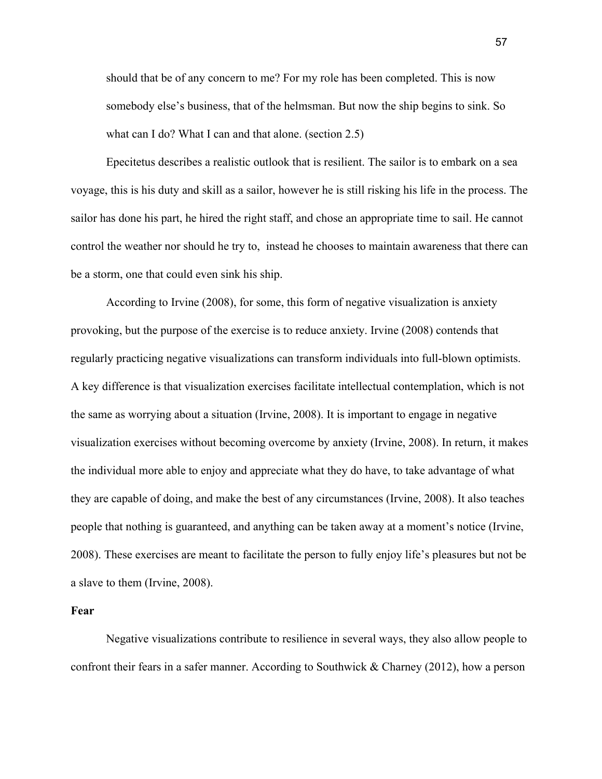should that be of any concern to me? For my role has been completed. This is now somebody else's business, that of the helmsman. But now the ship begins to sink. So what can I do? What I can and that alone. (section 2.5)

Epecitetus describes a realistic outlook that is resilient. The sailor is to embark on a sea voyage, this is his duty and skill as a sailor, however he is still risking his life in the process. The sailor has done his part, he hired the right staff, and chose an appropriate time to sail. He cannot control the weather nor should he try to, instead he chooses to maintain awareness that there can be a storm, one that could even sink his ship.

According to Irvine (2008), for some, this form of negative visualization is anxiety provoking, but the purpose of the exercise is to reduce anxiety. Irvine (2008) contends that regularly practicing negative visualizations can transform individuals into full-blown optimists. A key difference is that visualization exercises facilitate intellectual contemplation, which is not the same as worrying about a situation (Irvine, 2008). It is important to engage in negative visualization exercises without becoming overcome by anxiety (Irvine, 2008). In return, it makes the individual more able to enjoy and appreciate what they do have, to take advantage of what they are capable of doing, and make the best of any circumstances (Irvine, 2008). It also teaches people that nothing is guaranteed, and anything can be taken away at a moment's notice (Irvine, 2008). These exercises are meant to facilitate the person to fully enjoy life's pleasures but not be a slave to them (Irvine, 2008).

## **Fear**

Negative visualizations contribute to resilience in several ways, they also allow people to confront their fears in a safer manner. According to Southwick & Charney (2012), how a person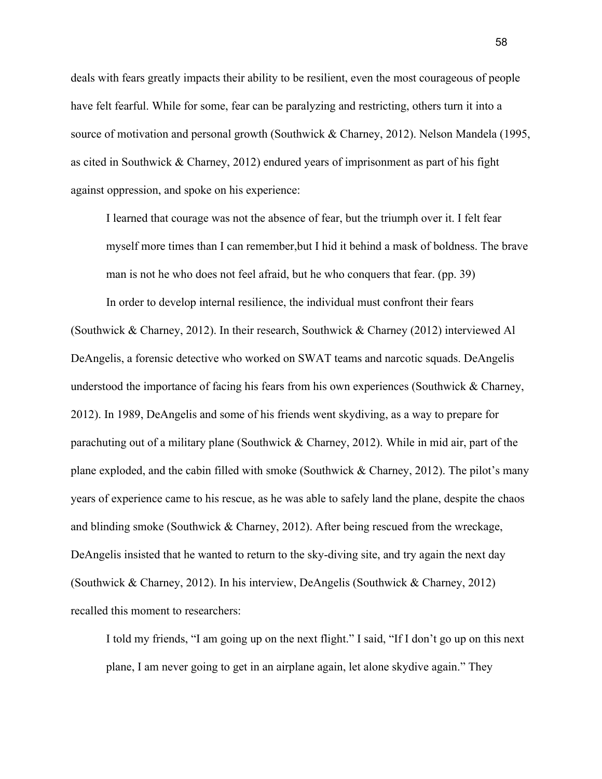deals with fears greatly impacts their ability to be resilient, even the most courageous of people have felt fearful. While for some, fear can be paralyzing and restricting, others turn it into a source of motivation and personal growth (Southwick & Charney, 2012). Nelson Mandela (1995, as cited in Southwick & Charney, 2012) endured years of imprisonment as part of his fight against oppression, and spoke on his experience:

I learned that courage was not the absence of fear, but the triumph over it. I felt fear myself more times than I can remember,but I hid it behind a mask of boldness. The brave man is not he who does not feel afraid, but he who conquers that fear. (pp. 39)

In order to develop internal resilience, the individual must confront their fears (Southwick & Charney, 2012). In their research, Southwick & Charney (2012) interviewed Al DeAngelis, a forensic detective who worked on SWAT teams and narcotic squads. DeAngelis understood the importance of facing his fears from his own experiences (Southwick  $\&$  Charney, 2012). In 1989, DeAngelis and some of his friends went skydiving, as a way to prepare for parachuting out of a military plane (Southwick & Charney, 2012). While in mid air, part of the plane exploded, and the cabin filled with smoke (Southwick & Charney, 2012). The pilot's many years of experience came to his rescue, as he was able to safely land the plane, despite the chaos and blinding smoke (Southwick & Charney, 2012). After being rescued from the wreckage, DeAngelis insisted that he wanted to return to the sky-diving site, and try again the next day (Southwick & Charney, 2012). In his interview, DeAngelis (Southwick & Charney, 2012) recalled this moment to researchers:

I told my friends, "I am going up on the next flight." I said, "If I don't go up on this next plane, I am never going to get in an airplane again, let alone skydive again." They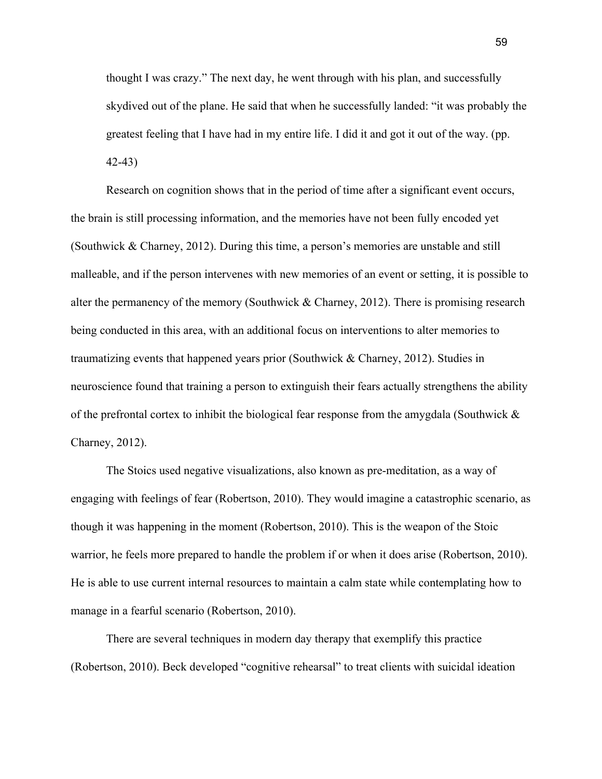thought I was crazy." The next day, he went through with his plan, and successfully skydived out of the plane. He said that when he successfully landed: "it was probably the greatest feeling that I have had in my entire life. I did it and got it out of the way. (pp. 42-43)

Research on cognition shows that in the period of time after a significant event occurs, the brain is still processing information, and the memories have not been fully encoded yet (Southwick & Charney, 2012). During this time, a person's memories are unstable and still malleable, and if the person intervenes with new memories of an event or setting, it is possible to alter the permanency of the memory (Southwick & Charney, 2012). There is promising research being conducted in this area, with an additional focus on interventions to alter memories to traumatizing events that happened years prior (Southwick & Charney, 2012). Studies in neuroscience found that training a person to extinguish their fears actually strengthens the ability of the prefrontal cortex to inhibit the biological fear response from the amygdala (Southwick & Charney, 2012).

The Stoics used negative visualizations, also known as pre-meditation, as a way of engaging with feelings of fear (Robertson, 2010). They would imagine a catastrophic scenario, as though it was happening in the moment (Robertson, 2010). This is the weapon of the Stoic warrior, he feels more prepared to handle the problem if or when it does arise (Robertson, 2010). He is able to use current internal resources to maintain a calm state while contemplating how to manage in a fearful scenario (Robertson, 2010).

There are several techniques in modern day therapy that exemplify this practice (Robertson, 2010). Beck developed "cognitive rehearsal" to treat clients with suicidal ideation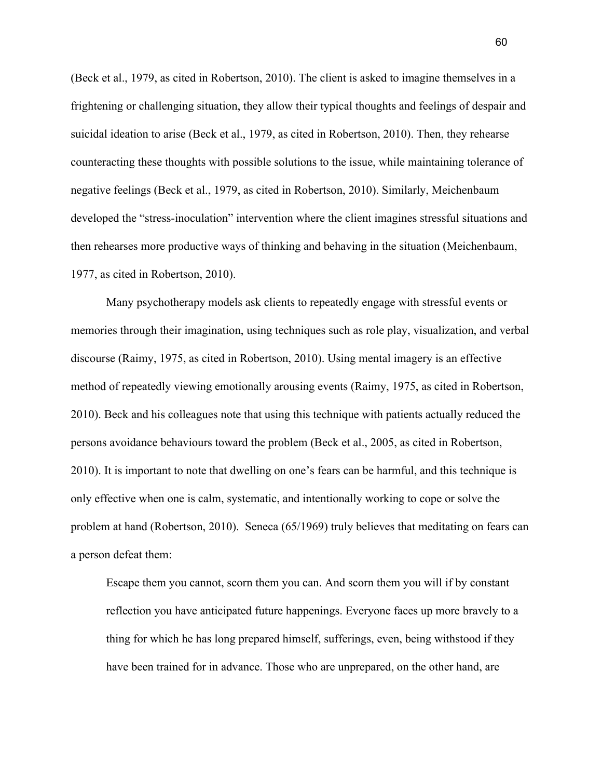(Beck et al., 1979, as cited in Robertson, 2010). The client is asked to imagine themselves in a frightening or challenging situation, they allow their typical thoughts and feelings of despair and suicidal ideation to arise (Beck et al., 1979, as cited in Robertson, 2010). Then, they rehearse counteracting these thoughts with possible solutions to the issue, while maintaining tolerance of negative feelings (Beck et al., 1979, as cited in Robertson, 2010). Similarly, Meichenbaum developed the "stress-inoculation" intervention where the client imagines stressful situations and then rehearses more productive ways of thinking and behaving in the situation (Meichenbaum, 1977, as cited in Robertson, 2010).

Many psychotherapy models ask clients to repeatedly engage with stressful events or memories through their imagination, using techniques such as role play, visualization, and verbal discourse (Raimy, 1975, as cited in Robertson, 2010). Using mental imagery is an effective method of repeatedly viewing emotionally arousing events (Raimy, 1975, as cited in Robertson, 2010). Beck and his colleagues note that using this technique with patients actually reduced the persons avoidance behaviours toward the problem (Beck et al., 2005, as cited in Robertson, 2010). It is important to note that dwelling on one's fears can be harmful, and this technique is only effective when one is calm, systematic, and intentionally working to cope or solve the problem at hand (Robertson, 2010). Seneca (65/1969) truly believes that meditating on fears can a person defeat them:

Escape them you cannot, scorn them you can. And scorn them you will if by constant reflection you have anticipated future happenings. Everyone faces up more bravely to a thing for which he has long prepared himself, sufferings, even, being withstood if they have been trained for in advance. Those who are unprepared, on the other hand, are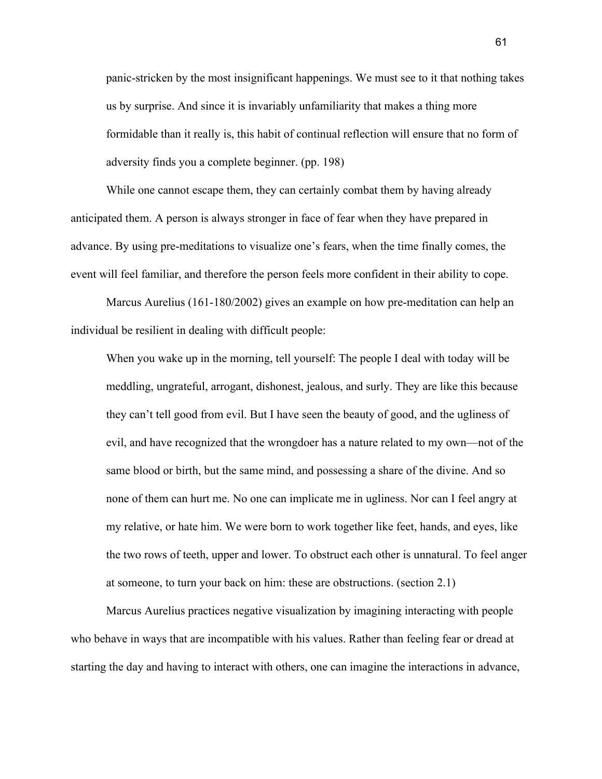panic-stricken by the most insignificant happenings. We must see to it that nothing takes us by surprise. And since it is invariably unfamiliarity that makes a thing more formidable than it really is, this habit of continual reflection will ensure that no form of adversity finds you a complete beginner. (pp. 198)

While one cannot escape them, they can certainly combat them by having already anticipated them. A person is always stronger in face of fear when they have prepared in advance. By using pre-meditations to visualize one's fears, when the time finally comes, the event will feel familiar, and therefore the person feels more confident in their ability to cope.

Marcus Aurelius (161-180/2002) gives an example on how pre-meditation can help an individual be resilient in dealing with difficult people:

When you wake up in the morning, tell yourself: The people I deal with today will be meddling, ungrateful, arrogant, dishonest, jealous, and surly. They are like this because they can't tell good from evil. But I have seen the beauty of good, and the ugliness of evil, and have recognized that the wrongdoer has a nature related to my own—not of the same blood or birth, but the same mind, and possessing a share of the divine. And so none of them can hurt me. No one can implicate me in ugliness. Nor can I feel angry at my relative, or hate him. We were born to work together like feet, hands, and eyes, like the two rows of teeth, upper and lower. To obstruct each other is unnatural. To feel anger at someone, to turn your back on him: these are obstructions. (section 2.1)

Marcus Aurelius practices negative visualization by imagining interacting with people who behave in ways that are incompatible with his values. Rather than feeling fear or dread at starting the day and having to interact with others, one can imagine the interactions in advance,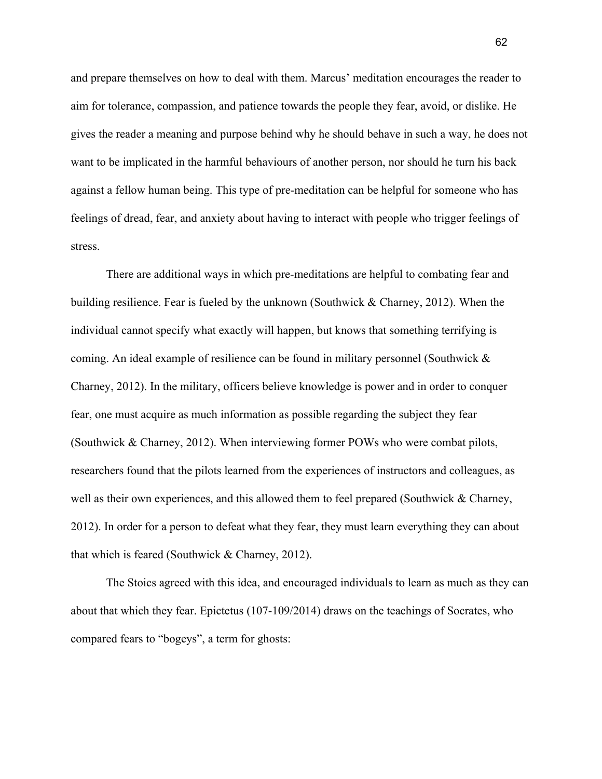and prepare themselves on how to deal with them. Marcus' meditation encourages the reader to aim for tolerance, compassion, and patience towards the people they fear, avoid, or dislike. He gives the reader a meaning and purpose behind why he should behave in such a way, he does not want to be implicated in the harmful behaviours of another person, nor should he turn his back against a fellow human being. This type of pre-meditation can be helpful for someone who has feelings of dread, fear, and anxiety about having to interact with people who trigger feelings of stress.

There are additional ways in which pre-meditations are helpful to combating fear and building resilience. Fear is fueled by the unknown (Southwick & Charney, 2012). When the individual cannot specify what exactly will happen, but knows that something terrifying is coming. An ideal example of resilience can be found in military personnel (Southwick  $\&$ Charney, 2012). In the military, officers believe knowledge is power and in order to conquer fear, one must acquire as much information as possible regarding the subject they fear (Southwick & Charney, 2012). When interviewing former POWs who were combat pilots, researchers found that the pilots learned from the experiences of instructors and colleagues, as well as their own experiences, and this allowed them to feel prepared (Southwick  $\&$  Charney, 2012). In order for a person to defeat what they fear, they must learn everything they can about that which is feared (Southwick & Charney, 2012).

The Stoics agreed with this idea, and encouraged individuals to learn as much as they can about that which they fear. Epictetus (107-109/2014) draws on the teachings of Socrates, who compared fears to "bogeys", a term for ghosts:

62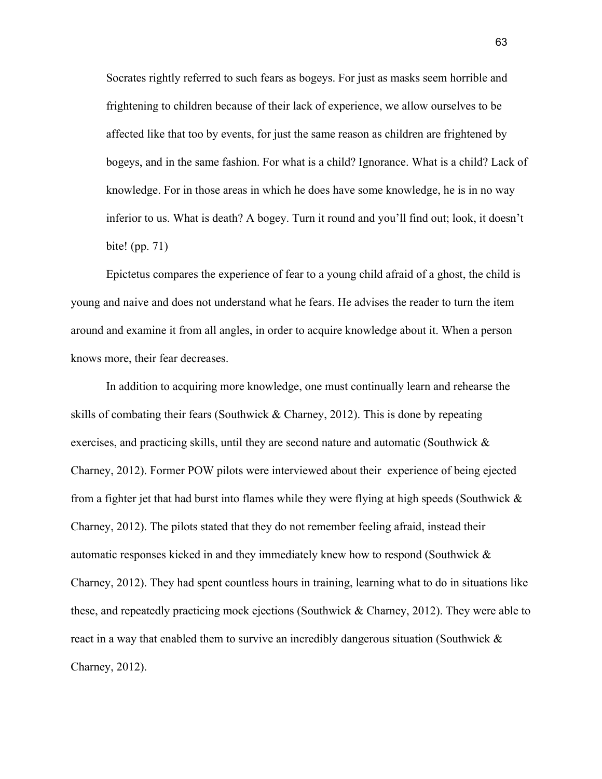Socrates rightly referred to such fears as bogeys. For just as masks seem horrible and frightening to children because of their lack of experience, we allow ourselves to be affected like that too by events, for just the same reason as children are frightened by bogeys, and in the same fashion. For what is a child? Ignorance. What is a child? Lack of knowledge. For in those areas in which he does have some knowledge, he is in no way inferior to us. What is death? A bogey. Turn it round and you'll find out; look, it doesn't bite! (pp. 71)

Epictetus compares the experience of fear to a young child afraid of a ghost, the child is young and naive and does not understand what he fears. He advises the reader to turn the item around and examine it from all angles, in order to acquire knowledge about it. When a person knows more, their fear decreases.

In addition to acquiring more knowledge, one must continually learn and rehearse the skills of combating their fears (Southwick & Charney, 2012). This is done by repeating exercises, and practicing skills, until they are second nature and automatic (Southwick & Charney, 2012). Former POW pilots were interviewed about their experience of being ejected from a fighter jet that had burst into flames while they were flying at high speeds (Southwick  $\&$ Charney, 2012). The pilots stated that they do not remember feeling afraid, instead their automatic responses kicked in and they immediately knew how to respond (Southwick & Charney, 2012). They had spent countless hours in training, learning what to do in situations like these, and repeatedly practicing mock ejections (Southwick & Charney, 2012). They were able to react in a way that enabled them to survive an incredibly dangerous situation (Southwick & Charney, 2012).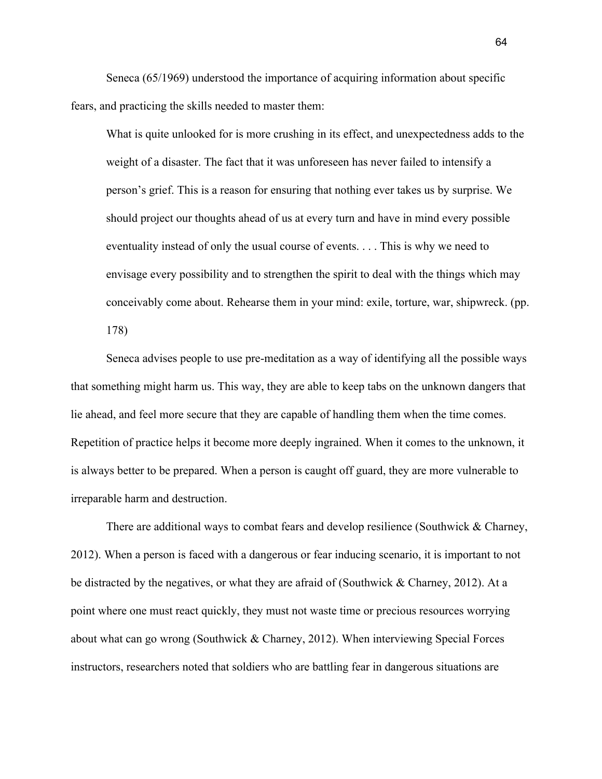Seneca (65/1969) understood the importance of acquiring information about specific fears, and practicing the skills needed to master them:

What is quite unlooked for is more crushing in its effect, and unexpectedness adds to the weight of a disaster. The fact that it was unforeseen has never failed to intensify a person's grief. This is a reason for ensuring that nothing ever takes us by surprise. We should project our thoughts ahead of us at every turn and have in mind every possible eventuality instead of only the usual course of events. . . . This is why we need to envisage every possibility and to strengthen the spirit to deal with the things which may conceivably come about. Rehearse them in your mind: exile, torture, war, shipwreck. (pp. 178)

Seneca advises people to use pre-meditation as a way of identifying all the possible ways that something might harm us. This way, they are able to keep tabs on the unknown dangers that lie ahead, and feel more secure that they are capable of handling them when the time comes. Repetition of practice helps it become more deeply ingrained. When it comes to the unknown, it is always better to be prepared. When a person is caught off guard, they are more vulnerable to irreparable harm and destruction.

There are additional ways to combat fears and develop resilience (Southwick  $\&$  Charney, 2012). When a person is faced with a dangerous or fear inducing scenario, it is important to not be distracted by the negatives, or what they are afraid of (Southwick & Charney, 2012). At a point where one must react quickly, they must not waste time or precious resources worrying about what can go wrong (Southwick & Charney, 2012). When interviewing Special Forces instructors, researchers noted that soldiers who are battling fear in dangerous situations are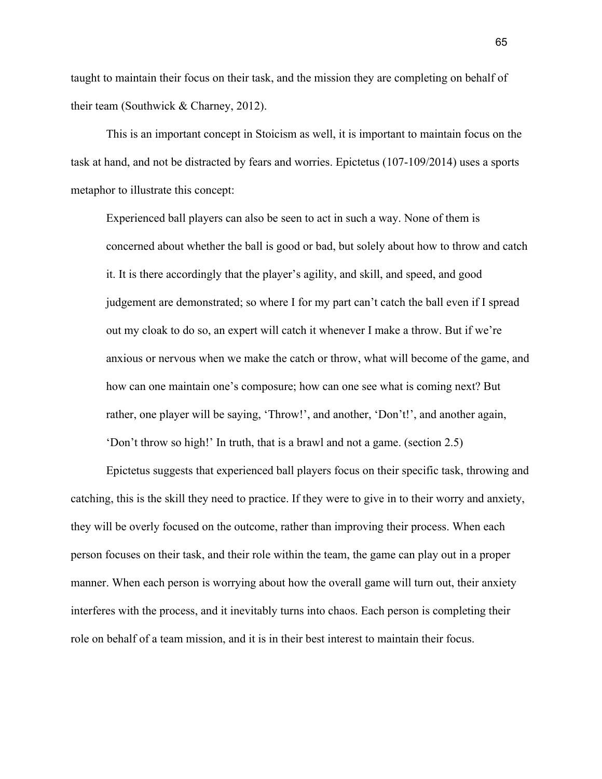taught to maintain their focus on their task, and the mission they are completing on behalf of their team (Southwick & Charney, 2012).

This is an important concept in Stoicism as well, it is important to maintain focus on the task at hand, and not be distracted by fears and worries. Epictetus (107-109/2014) uses a sports metaphor to illustrate this concept:

Experienced ball players can also be seen to act in such a way. None of them is concerned about whether the ball is good or bad, but solely about how to throw and catch it. It is there accordingly that the player's agility, and skill, and speed, and good judgement are demonstrated; so where I for my part can't catch the ball even if I spread out my cloak to do so, an expert will catch it whenever I make a throw. But if we're anxious or nervous when we make the catch or throw, what will become of the game, and how can one maintain one's composure; how can one see what is coming next? But rather, one player will be saying, 'Throw!', and another, 'Don't!', and another again, 'Don't throw so high!' In truth, that is a brawl and not a game. (section 2.5)

Epictetus suggests that experienced ball players focus on their specific task, throwing and catching, this is the skill they need to practice. If they were to give in to their worry and anxiety, they will be overly focused on the outcome, rather than improving their process. When each person focuses on their task, and their role within the team, the game can play out in a proper manner. When each person is worrying about how the overall game will turn out, their anxiety interferes with the process, and it inevitably turns into chaos. Each person is completing their role on behalf of a team mission, and it is in their best interest to maintain their focus.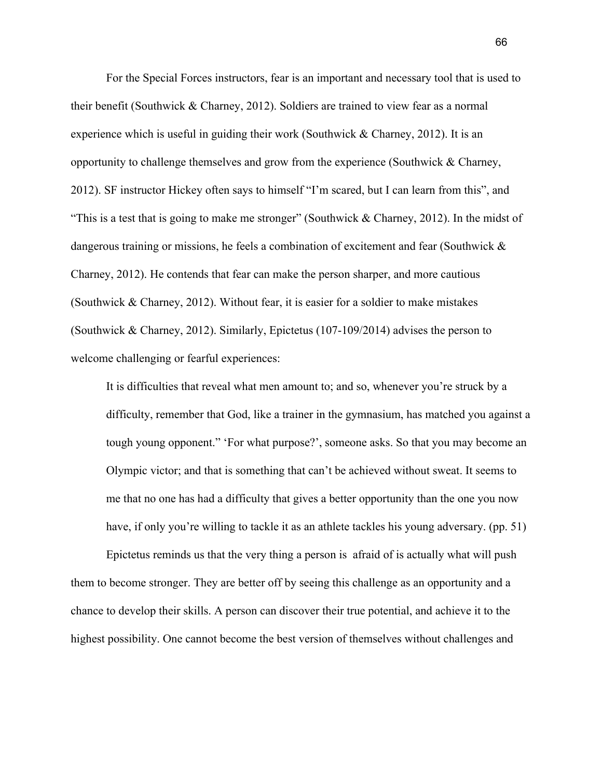For the Special Forces instructors, fear is an important and necessary tool that is used to their benefit (Southwick & Charney, 2012). Soldiers are trained to view fear as a normal experience which is useful in guiding their work (Southwick  $&$  Charney, 2012). It is an opportunity to challenge themselves and grow from the experience (Southwick & Charney, 2012). SF instructor Hickey often says to himself "I'm scared, but I can learn from this", and "This is a test that is going to make me stronger" (Southwick & Charney, 2012). In the midst of dangerous training or missions, he feels a combination of excitement and fear (Southwick & Charney, 2012). He contends that fear can make the person sharper, and more cautious (Southwick & Charney, 2012). Without fear, it is easier for a soldier to make mistakes (Southwick & Charney, 2012). Similarly, Epictetus (107-109/2014) advises the person to welcome challenging or fearful experiences:

It is difficulties that reveal what men amount to; and so, whenever you're struck by a difficulty, remember that God, like a trainer in the gymnasium, has matched you against a tough young opponent." 'For what purpose?', someone asks. So that you may become an Olympic victor; and that is something that can't be achieved without sweat. It seems to me that no one has had a difficulty that gives a better opportunity than the one you now have, if only you're willing to tackle it as an athlete tackles his young adversary. (pp. 51)

Epictetus reminds us that the very thing a person is afraid of is actually what will push them to become stronger. They are better off by seeing this challenge as an opportunity and a chance to develop their skills. A person can discover their true potential, and achieve it to the highest possibility. One cannot become the best version of themselves without challenges and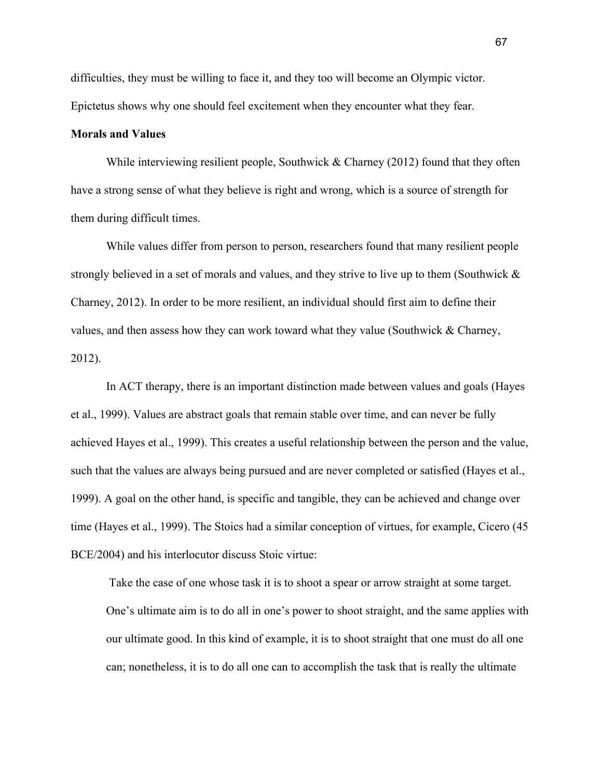difficulties, they must be willing to face it, and they too will become an Olympic victor. Epictetus shows why one should feel excitement when they encounter what they fear.

### **Morals and Values**

While interviewing resilient people, Southwick  $&$  Charney (2012) found that they often have a strong sense of what they believe is right and wrong, which is a source of strength for them during difficult times.

While values differ from person to person, researchers found that many resilient people strongly believed in a set of morals and values, and they strive to live up to them (Southwick & Charney, 2012). In order to be more resilient, an individual should first aim to define their values, and then assess how they can work toward what they value (Southwick  $\&$  Charney, 2012).

In ACT therapy, there is an important distinction made between values and goals (Hayes et al., 1999). Values are abstract goals that remain stable over time, and can never be fully achieved Hayes et al., 1999). This creates a useful relationship between the person and the value, such that the values are always being pursued and are never completed or satisfied (Hayes et al., 1999). A goal on the other hand, is specific and tangible, they can be achieved and change over time (Hayes et al., 1999). The Stoics had a similar conception of virtues, for example, Cicero (45 BCE/2004) and his interlocutor discuss Stoic virtue:

 Take the case of one whose task it is to shoot a spear or arrow straight at some target. One's ultimate aim is to do all in one's power to shoot straight, and the same applies with our ultimate good. In this kind of example, it is to shoot straight that one must do all one can; nonetheless, it is to do all one can to accomplish the task that is really the ultimate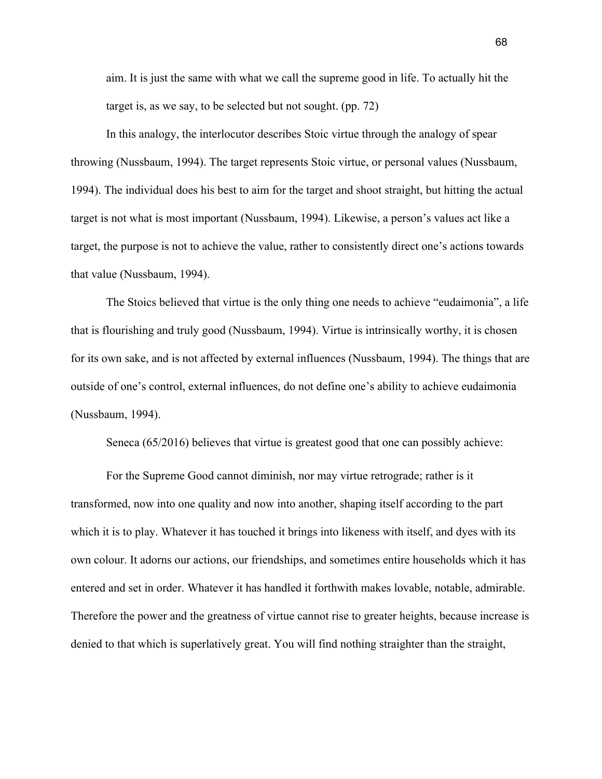aim. It is just the same with what we call the supreme good in life. To actually hit the target is, as we say, to be selected but not sought. (pp. 72)

In this analogy, the interlocutor describes Stoic virtue through the analogy of spear throwing (Nussbaum, 1994). The target represents Stoic virtue, or personal values (Nussbaum, 1994). The individual does his best to aim for the target and shoot straight, but hitting the actual target is not what is most important (Nussbaum, 1994). Likewise, a person's values act like a target, the purpose is not to achieve the value, rather to consistently direct one's actions towards that value (Nussbaum, 1994).

The Stoics believed that virtue is the only thing one needs to achieve "eudaimonia", a life that is flourishing and truly good (Nussbaum, 1994). Virtue is intrinsically worthy, it is chosen for its own sake, and is not affected by external influences (Nussbaum, 1994). The things that are outside of one's control, external influences, do not define one's ability to achieve eudaimonia (Nussbaum, 1994).

Seneca (65/2016) believes that virtue is greatest good that one can possibly achieve:

For the Supreme Good cannot diminish, nor may virtue retrograde; rather is it transformed, now into one quality and now into another, shaping itself according to the part which it is to play. Whatever it has touched it brings into likeness with itself, and dyes with its own colour. It adorns our actions, our friendships, and sometimes entire households which it has entered and set in order. Whatever it has handled it forthwith makes lovable, notable, admirable. Therefore the power and the greatness of virtue cannot rise to greater heights, because increase is denied to that which is superlatively great. You will find nothing straighter than the straight,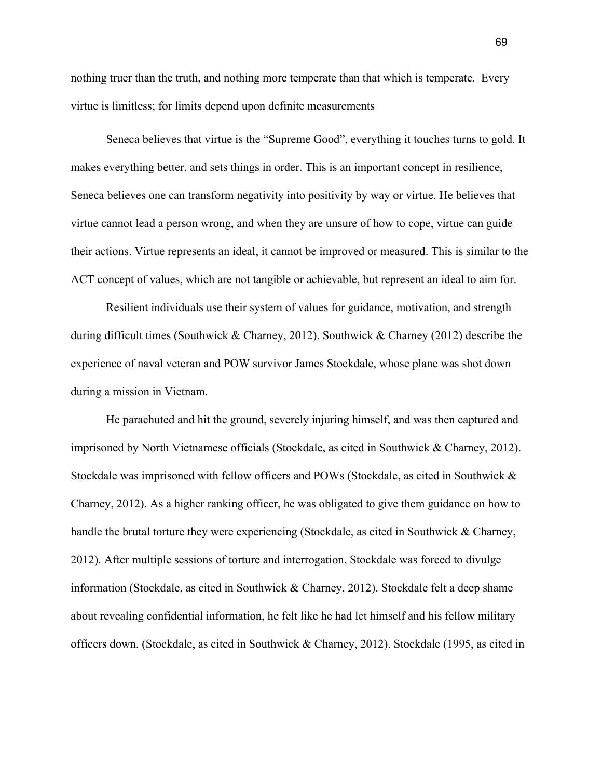nothing truer than the truth, and nothing more temperate than that which is temperate. Every virtue is limitless; for limits depend upon definite measurements

Seneca believes that virtue is the "Supreme Good", everything it touches turns to gold. It makes everything better, and sets things in order. This is an important concept in resilience, Seneca believes one can transform negativity into positivity by way or virtue. He believes that virtue cannot lead a person wrong, and when they are unsure of how to cope, virtue can guide their actions. Virtue represents an ideal, it cannot be improved or measured. This is similar to the ACT concept of values, which are not tangible or achievable, but represent an ideal to aim for.

Resilient individuals use their system of values for guidance, motivation, and strength during difficult times (Southwick & Charney, 2012). Southwick & Charney (2012) describe the experience of naval veteran and POW survivor James Stockdale, whose plane was shot down during a mission in Vietnam.

He parachuted and hit the ground, severely injuring himself, and was then captured and imprisoned by North Vietnamese officials (Stockdale, as cited in Southwick & Charney, 2012). Stockdale was imprisoned with fellow officers and POWs (Stockdale, as cited in Southwick & Charney, 2012). As a higher ranking officer, he was obligated to give them guidance on how to handle the brutal torture they were experiencing (Stockdale, as cited in Southwick & Charney, 2012). After multiple sessions of torture and interrogation, Stockdale was forced to divulge information (Stockdale, as cited in Southwick & Charney, 2012). Stockdale felt a deep shame about revealing confidential information, he felt like he had let himself and his fellow military officers down. (Stockdale, as cited in Southwick & Charney, 2012). Stockdale (1995, as cited in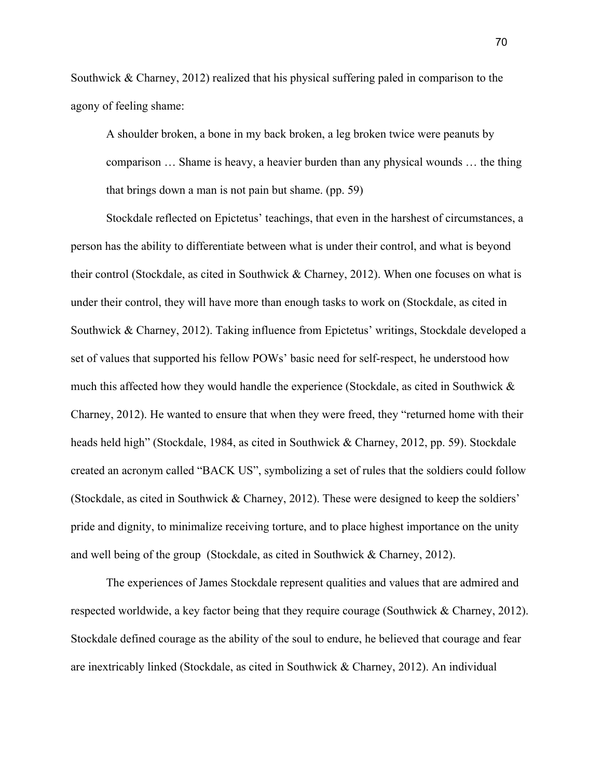Southwick & Charney, 2012) realized that his physical suffering paled in comparison to the agony of feeling shame:

A shoulder broken, a bone in my back broken, a leg broken twice were peanuts by comparison … Shame is heavy, a heavier burden than any physical wounds … the thing that brings down a man is not pain but shame. (pp. 59)

Stockdale reflected on Epictetus' teachings, that even in the harshest of circumstances, a person has the ability to differentiate between what is under their control, and what is beyond their control (Stockdale, as cited in Southwick & Charney, 2012). When one focuses on what is under their control, they will have more than enough tasks to work on (Stockdale, as cited in Southwick & Charney, 2012). Taking influence from Epictetus' writings, Stockdale developed a set of values that supported his fellow POWs' basic need for self-respect, he understood how much this affected how they would handle the experience (Stockdale, as cited in Southwick  $\&$ Charney, 2012). He wanted to ensure that when they were freed, they "returned home with their heads held high" (Stockdale, 1984, as cited in Southwick & Charney, 2012, pp. 59). Stockdale created an acronym called "BACK US", symbolizing a set of rules that the soldiers could follow (Stockdale, as cited in Southwick & Charney, 2012). These were designed to keep the soldiers' pride and dignity, to minimalize receiving torture, and to place highest importance on the unity and well being of the group (Stockdale, as cited in Southwick & Charney, 2012).

The experiences of James Stockdale represent qualities and values that are admired and respected worldwide, a key factor being that they require courage (Southwick & Charney, 2012). Stockdale defined courage as the ability of the soul to endure, he believed that courage and fear are inextricably linked (Stockdale, as cited in Southwick & Charney, 2012). An individual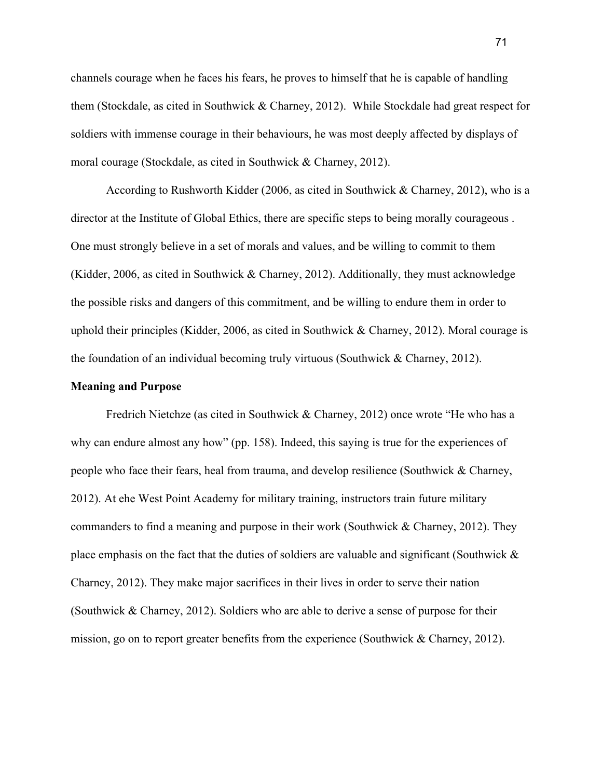channels courage when he faces his fears, he proves to himself that he is capable of handling them (Stockdale, as cited in Southwick & Charney, 2012). While Stockdale had great respect for soldiers with immense courage in their behaviours, he was most deeply affected by displays of moral courage (Stockdale, as cited in Southwick & Charney, 2012).

According to Rushworth Kidder (2006, as cited in Southwick & Charney, 2012), who is a director at the Institute of Global Ethics, there are specific steps to being morally courageous . One must strongly believe in a set of morals and values, and be willing to commit to them (Kidder, 2006, as cited in Southwick & Charney, 2012). Additionally, they must acknowledge the possible risks and dangers of this commitment, and be willing to endure them in order to uphold their principles (Kidder, 2006, as cited in Southwick & Charney, 2012). Moral courage is the foundation of an individual becoming truly virtuous (Southwick & Charney, 2012).

### **Meaning and Purpose**

Fredrich Nietchze (as cited in Southwick & Charney, 2012) once wrote "He who has a why can endure almost any how" (pp. 158). Indeed, this saying is true for the experiences of people who face their fears, heal from trauma, and develop resilience (Southwick & Charney, 2012). At ehe West Point Academy for military training, instructors train future military commanders to find a meaning and purpose in their work (Southwick & Charney, 2012). They place emphasis on the fact that the duties of soldiers are valuable and significant (Southwick  $\&$ Charney, 2012). They make major sacrifices in their lives in order to serve their nation (Southwick & Charney, 2012). Soldiers who are able to derive a sense of purpose for their mission, go on to report greater benefits from the experience (Southwick & Charney, 2012).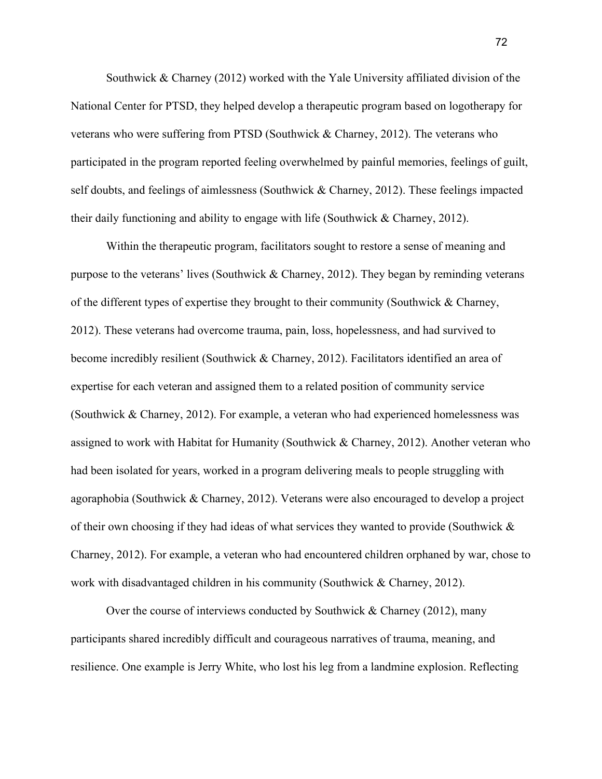Southwick  $\&$  Charney (2012) worked with the Yale University affiliated division of the National Center for PTSD, they helped develop a therapeutic program based on logotherapy for veterans who were suffering from PTSD (Southwick & Charney, 2012). The veterans who participated in the program reported feeling overwhelmed by painful memories, feelings of guilt, self doubts, and feelings of aimlessness (Southwick & Charney, 2012). These feelings impacted their daily functioning and ability to engage with life (Southwick & Charney, 2012).

Within the therapeutic program, facilitators sought to restore a sense of meaning and purpose to the veterans' lives (Southwick & Charney, 2012). They began by reminding veterans of the different types of expertise they brought to their community (Southwick & Charney, 2012). These veterans had overcome trauma, pain, loss, hopelessness, and had survived to become incredibly resilient (Southwick & Charney, 2012). Facilitators identified an area of expertise for each veteran and assigned them to a related position of community service (Southwick & Charney, 2012). For example, a veteran who had experienced homelessness was assigned to work with Habitat for Humanity (Southwick & Charney, 2012). Another veteran who had been isolated for years, worked in a program delivering meals to people struggling with agoraphobia (Southwick & Charney, 2012). Veterans were also encouraged to develop a project of their own choosing if they had ideas of what services they wanted to provide (Southwick & Charney, 2012). For example, a veteran who had encountered children orphaned by war, chose to work with disadvantaged children in his community (Southwick & Charney, 2012).

Over the course of interviews conducted by Southwick & Charney (2012), many participants shared incredibly difficult and courageous narratives of trauma, meaning, and resilience. One example is Jerry White, who lost his leg from a landmine explosion. Reflecting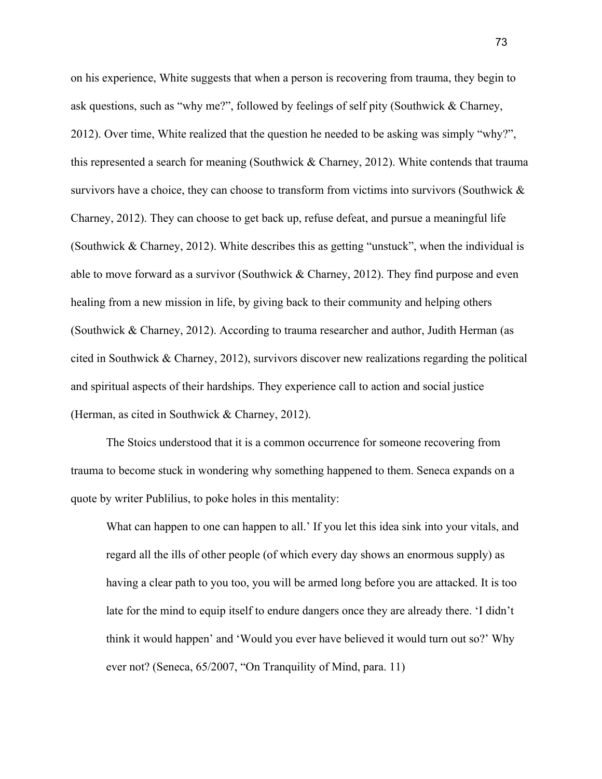on his experience, White suggests that when a person is recovering from trauma, they begin to ask questions, such as "why me?", followed by feelings of self pity (Southwick & Charney, 2012). Over time, White realized that the question he needed to be asking was simply "why?", this represented a search for meaning (Southwick & Charney, 2012). White contends that trauma survivors have a choice, they can choose to transform from victims into survivors (Southwick  $\&$ Charney, 2012). They can choose to get back up, refuse defeat, and pursue a meaningful life (Southwick & Charney, 2012). White describes this as getting "unstuck", when the individual is able to move forward as a survivor (Southwick & Charney, 2012). They find purpose and even healing from a new mission in life, by giving back to their community and helping others (Southwick & Charney, 2012). According to trauma researcher and author, Judith Herman (as cited in Southwick & Charney, 2012), survivors discover new realizations regarding the political and spiritual aspects of their hardships. They experience call to action and social justice (Herman, as cited in Southwick & Charney, 2012).

The Stoics understood that it is a common occurrence for someone recovering from trauma to become stuck in wondering why something happened to them. Seneca expands on a quote by writer Publilius, to poke holes in this mentality:

What can happen to one can happen to all.' If you let this idea sink into your vitals, and regard all the ills of other people (of which every day shows an enormous supply) as having a clear path to you too, you will be armed long before you are attacked. It is too late for the mind to equip itself to endure dangers once they are already there. 'I didn't think it would happen' and 'Would you ever have believed it would turn out so?' Why ever not? (Seneca, 65/2007, "On Tranquility of Mind, para. 11)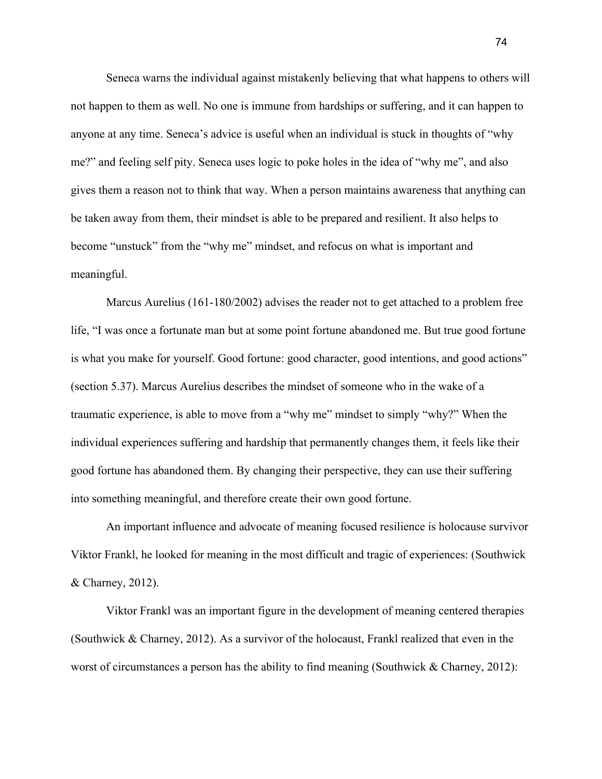Seneca warns the individual against mistakenly believing that what happens to others will not happen to them as well. No one is immune from hardships or suffering, and it can happen to anyone at any time. Seneca's advice is useful when an individual is stuck in thoughts of "why me?" and feeling self pity. Seneca uses logic to poke holes in the idea of "why me", and also gives them a reason not to think that way. When a person maintains awareness that anything can be taken away from them, their mindset is able to be prepared and resilient. It also helps to become "unstuck" from the "why me" mindset, and refocus on what is important and meaningful.

Marcus Aurelius (161-180/2002) advises the reader not to get attached to a problem free life, "I was once a fortunate man but at some point fortune abandoned me. But true good fortune is what you make for yourself. Good fortune: good character, good intentions, and good actions" (section 5.37). Marcus Aurelius describes the mindset of someone who in the wake of a traumatic experience, is able to move from a "why me" mindset to simply "why?" When the individual experiences suffering and hardship that permanently changes them, it feels like their good fortune has abandoned them. By changing their perspective, they can use their suffering into something meaningful, and therefore create their own good fortune.

An important influence and advocate of meaning focused resilience is holocause survivor Viktor Frankl, he looked for meaning in the most difficult and tragic of experiences: (Southwick & Charney, 2012).

Viktor Frankl was an important figure in the development of meaning centered therapies (Southwick & Charney, 2012). As a survivor of the holocaust, Frankl realized that even in the worst of circumstances a person has the ability to find meaning (Southwick & Charney, 2012):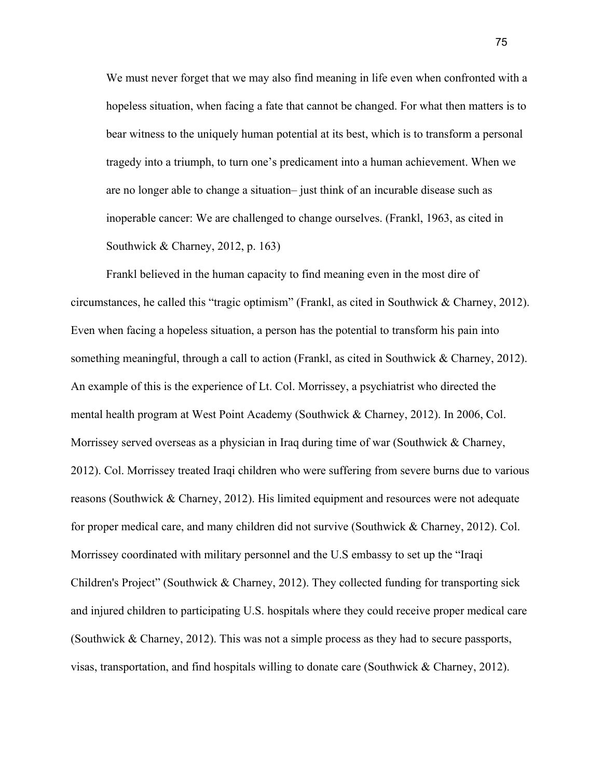We must never forget that we may also find meaning in life even when confronted with a hopeless situation, when facing a fate that cannot be changed. For what then matters is to bear witness to the uniquely human potential at its best, which is to transform a personal tragedy into a triumph, to turn one's predicament into a human achievement. When we are no longer able to change a situation– just think of an incurable disease such as inoperable cancer: We are challenged to change ourselves. (Frankl, 1963, as cited in Southwick & Charney, 2012, p. 163)

Frankl believed in the human capacity to find meaning even in the most dire of circumstances, he called this "tragic optimism" (Frankl, as cited in Southwick & Charney, 2012). Even when facing a hopeless situation, a person has the potential to transform his pain into something meaningful, through a call to action (Frankl, as cited in Southwick & Charney, 2012). An example of this is the experience of Lt. Col. Morrissey, a psychiatrist who directed the mental health program at West Point Academy (Southwick & Charney, 2012). In 2006, Col. Morrissey served overseas as a physician in Iraq during time of war (Southwick & Charney, 2012). Col. Morrissey treated Iraqi children who were suffering from severe burns due to various reasons (Southwick & Charney, 2012). His limited equipment and resources were not adequate for proper medical care, and many children did not survive (Southwick & Charney, 2012). Col. Morrissey coordinated with military personnel and the U.S embassy to set up the "Iraqi Children's Project" (Southwick & Charney, 2012). They collected funding for transporting sick and injured children to participating U.S. hospitals where they could receive proper medical care (Southwick & Charney, 2012). This was not a simple process as they had to secure passports, visas, transportation, and find hospitals willing to donate care (Southwick & Charney, 2012).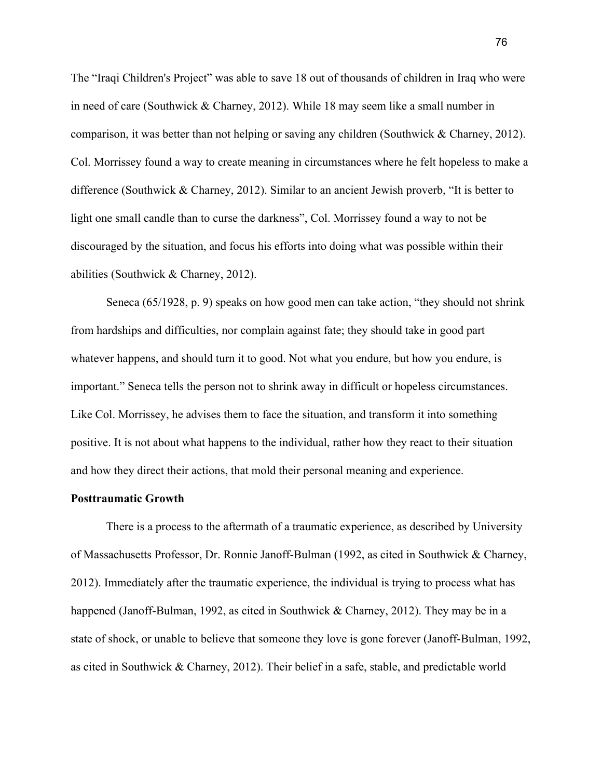The "Iraqi Children's Project" was able to save 18 out of thousands of children in Iraq who were in need of care (Southwick & Charney, 2012). While 18 may seem like a small number in comparison, it was better than not helping or saving any children (Southwick & Charney, 2012). Col. Morrissey found a way to create meaning in circumstances where he felt hopeless to make a difference (Southwick & Charney, 2012). Similar to an ancient Jewish proverb, "It is better to light one small candle than to curse the darkness", Col. Morrissey found a way to not be discouraged by the situation, and focus his efforts into doing what was possible within their abilities (Southwick & Charney, 2012).

Seneca (65/1928, p. 9) speaks on how good men can take action, "they should not shrink from hardships and difficulties, nor complain against fate; they should take in good part whatever happens, and should turn it to good. Not what you endure, but how you endure, is important." Seneca tells the person not to shrink away in difficult or hopeless circumstances. Like Col. Morrissey, he advises them to face the situation, and transform it into something positive. It is not about what happens to the individual, rather how they react to their situation and how they direct their actions, that mold their personal meaning and experience.

## **Posttraumatic Growth**

There is a process to the aftermath of a traumatic experience, as described by University of Massachusetts Professor, Dr. Ronnie Janoff-Bulman (1992, as cited in Southwick & Charney, 2012). Immediately after the traumatic experience, the individual is trying to process what has happened (Janoff-Bulman, 1992, as cited in Southwick & Charney, 2012). They may be in a state of shock, or unable to believe that someone they love is gone forever (Janoff-Bulman, 1992, as cited in Southwick & Charney, 2012). Their belief in a safe, stable, and predictable world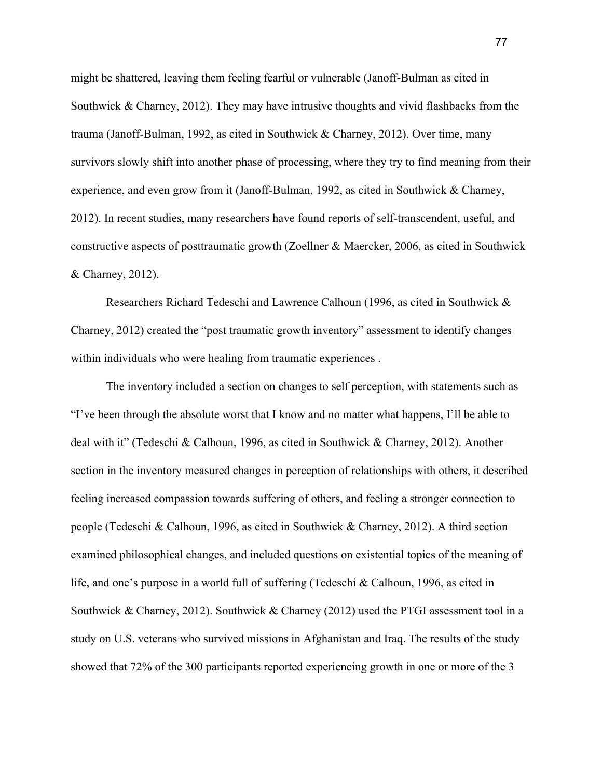might be shattered, leaving them feeling fearful or vulnerable (Janoff-Bulman as cited in Southwick  $\&$  Charney, 2012). They may have intrusive thoughts and vivid flashbacks from the trauma (Janoff-Bulman, 1992, as cited in Southwick & Charney, 2012). Over time, many survivors slowly shift into another phase of processing, where they try to find meaning from their experience, and even grow from it (Janoff-Bulman, 1992, as cited in Southwick & Charney, 2012). In recent studies, many researchers have found reports of self-transcendent, useful, and constructive aspects of posttraumatic growth (Zoellner & Maercker, 2006, as cited in Southwick & Charney, 2012).

Researchers Richard Tedeschi and Lawrence Calhoun (1996, as cited in Southwick & Charney, 2012) created the "post traumatic growth inventory" assessment to identify changes within individuals who were healing from traumatic experiences .

The inventory included a section on changes to self perception, with statements such as "I've been through the absolute worst that I know and no matter what happens, I'll be able to deal with it" (Tedeschi & Calhoun, 1996, as cited in Southwick & Charney, 2012). Another section in the inventory measured changes in perception of relationships with others, it described feeling increased compassion towards suffering of others, and feeling a stronger connection to people (Tedeschi & Calhoun, 1996, as cited in Southwick & Charney, 2012). A third section examined philosophical changes, and included questions on existential topics of the meaning of life, and one's purpose in a world full of suffering (Tedeschi & Calhoun, 1996, as cited in Southwick & Charney, 2012). Southwick & Charney (2012) used the PTGI assessment tool in a study on U.S. veterans who survived missions in Afghanistan and Iraq. The results of the study showed that 72% of the 300 participants reported experiencing growth in one or more of the 3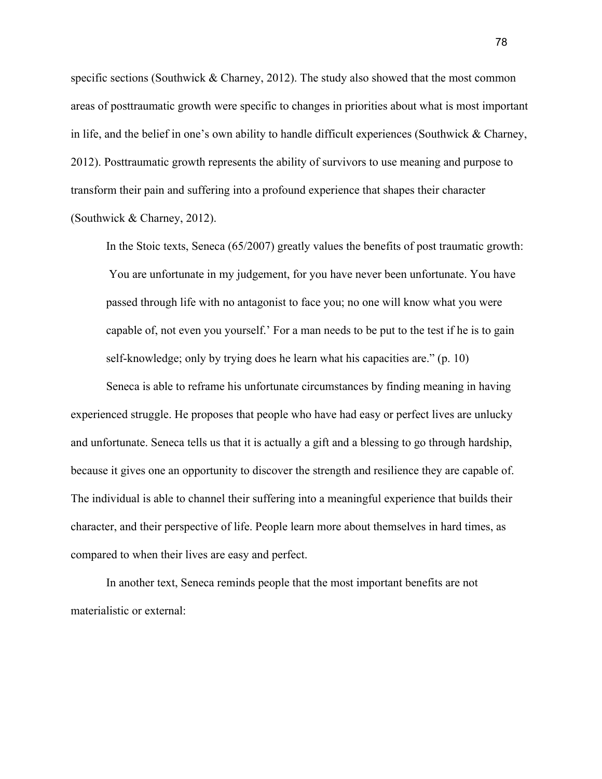specific sections (Southwick & Charney, 2012). The study also showed that the most common areas of posttraumatic growth were specific to changes in priorities about what is most important in life, and the belief in one's own ability to handle difficult experiences (Southwick & Charney, 2012). Posttraumatic growth represents the ability of survivors to use meaning and purpose to transform their pain and suffering into a profound experience that shapes their character (Southwick & Charney, 2012).

In the Stoic texts, Seneca (65/2007) greatly values the benefits of post traumatic growth: You are unfortunate in my judgement, for you have never been unfortunate. You have passed through life with no antagonist to face you; no one will know what you were capable of, not even you yourself.' For a man needs to be put to the test if he is to gain self-knowledge; only by trying does he learn what his capacities are." (p. 10)

Seneca is able to reframe his unfortunate circumstances by finding meaning in having experienced struggle. He proposes that people who have had easy or perfect lives are unlucky and unfortunate. Seneca tells us that it is actually a gift and a blessing to go through hardship, because it gives one an opportunity to discover the strength and resilience they are capable of. The individual is able to channel their suffering into a meaningful experience that builds their character, and their perspective of life. People learn more about themselves in hard times, as compared to when their lives are easy and perfect.

In another text, Seneca reminds people that the most important benefits are not materialistic or external: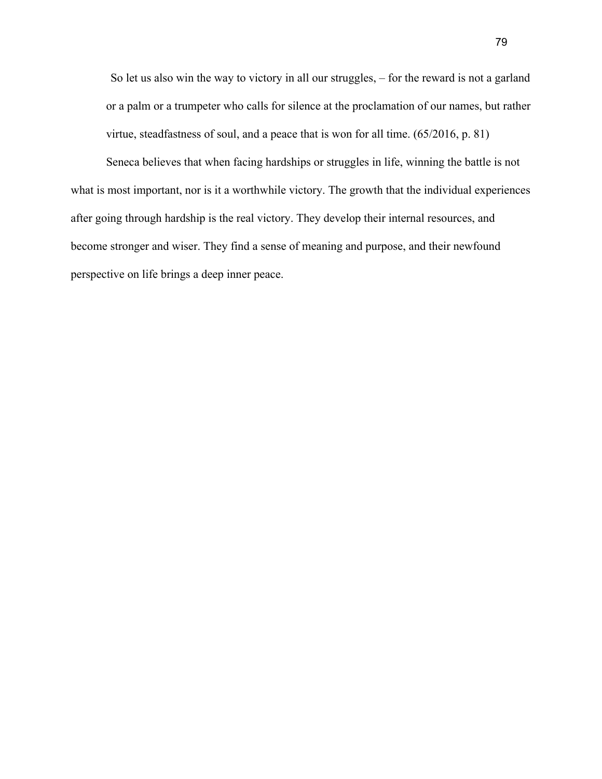So let us also win the way to victory in all our struggles, – for the reward is not a garland or a palm or a trumpeter who calls for silence at the proclamation of our names, but rather virtue, steadfastness of soul, and a peace that is won for all time. (65/2016, p. 81)

Seneca believes that when facing hardships or struggles in life, winning the battle is not what is most important, nor is it a worthwhile victory. The growth that the individual experiences after going through hardship is the real victory. They develop their internal resources, and become stronger and wiser. They find a sense of meaning and purpose, and their newfound perspective on life brings a deep inner peace.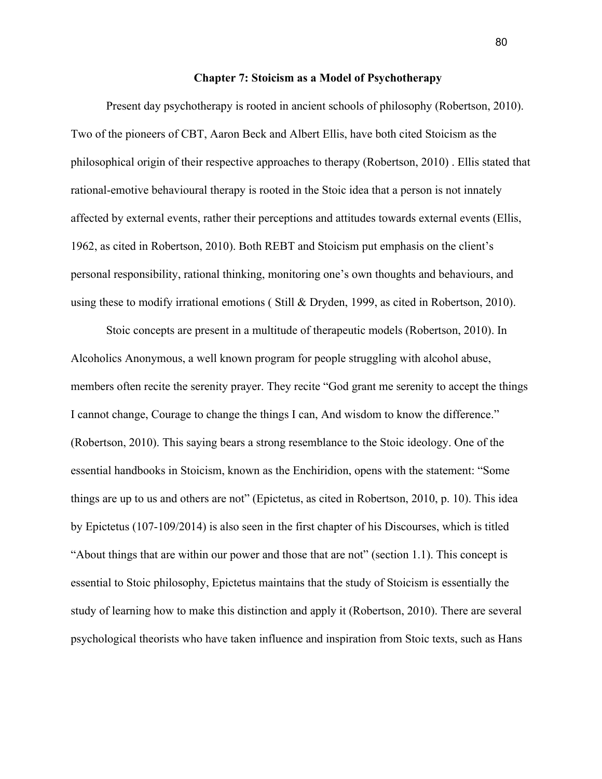## **Chapter 7: Stoicism as a Model of Psychotherapy**

Present day psychotherapy is rooted in ancient schools of philosophy (Robertson, 2010). Two of the pioneers of CBT, Aaron Beck and Albert Ellis, have both cited Stoicism as the philosophical origin of their respective approaches to therapy (Robertson, 2010) . Ellis stated that rational-emotive behavioural therapy is rooted in the Stoic idea that a person is not innately affected by external events, rather their perceptions and attitudes towards external events (Ellis, 1962, as cited in Robertson, 2010). Both REBT and Stoicism put emphasis on the client's personal responsibility, rational thinking, monitoring one's own thoughts and behaviours, and using these to modify irrational emotions ( Still & Dryden, 1999, as cited in Robertson, 2010).

Stoic concepts are present in a multitude of therapeutic models (Robertson, 2010). In Alcoholics Anonymous, a well known program for people struggling with alcohol abuse, members often recite the serenity prayer. They recite "God grant me serenity to accept the things I cannot change, Courage to change the things I can, And wisdom to know the difference." (Robertson, 2010). This saying bears a strong resemblance to the Stoic ideology. One of the essential handbooks in Stoicism, known as the Enchiridion, opens with the statement: "Some things are up to us and others are not" (Epictetus, as cited in Robertson, 2010, p. 10). This idea by Epictetus (107-109/2014) is also seen in the first chapter of his Discourses, which is titled "About things that are within our power and those that are not" (section 1.1). This concept is essential to Stoic philosophy, Epictetus maintains that the study of Stoicism is essentially the study of learning how to make this distinction and apply it (Robertson, 2010). There are several psychological theorists who have taken influence and inspiration from Stoic texts, such as Hans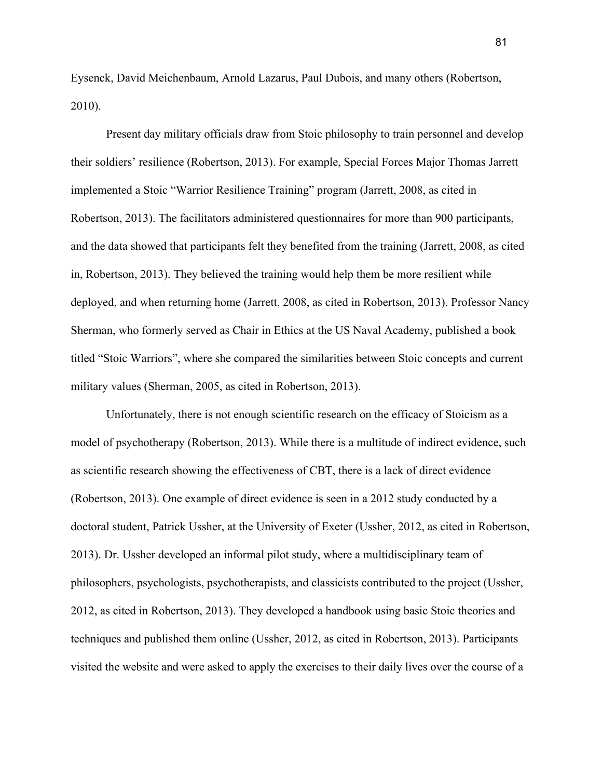Eysenck, David Meichenbaum, Arnold Lazarus, Paul Dubois, and many others (Robertson, 2010).

Present day military officials draw from Stoic philosophy to train personnel and develop their soldiers' resilience (Robertson, 2013). For example, Special Forces Major Thomas Jarrett implemented a Stoic "Warrior Resilience Training" program (Jarrett, 2008, as cited in Robertson, 2013). The facilitators administered questionnaires for more than 900 participants, and the data showed that participants felt they benefited from the training (Jarrett, 2008, as cited in, Robertson, 2013). They believed the training would help them be more resilient while deployed, and when returning home (Jarrett, 2008, as cited in Robertson, 2013). Professor Nancy Sherman, who formerly served as Chair in Ethics at the US Naval Academy, published a book titled "Stoic Warriors", where she compared the similarities between Stoic concepts and current military values (Sherman, 2005, as cited in Robertson, 2013).

Unfortunately, there is not enough scientific research on the efficacy of Stoicism as a model of psychotherapy (Robertson, 2013). While there is a multitude of indirect evidence, such as scientific research showing the effectiveness of CBT, there is a lack of direct evidence (Robertson, 2013). One example of direct evidence is seen in a 2012 study conducted by a doctoral student, Patrick Ussher, at the University of Exeter (Ussher, 2012, as cited in Robertson, 2013). Dr. Ussher developed an informal pilot study, where a multidisciplinary team of philosophers, psychologists, psychotherapists, and classicists contributed to the project (Ussher, 2012, as cited in Robertson, 2013). They developed a handbook using basic Stoic theories and techniques and published them online (Ussher, 2012, as cited in Robertson, 2013). Participants visited the website and were asked to apply the exercises to their daily lives over the course of a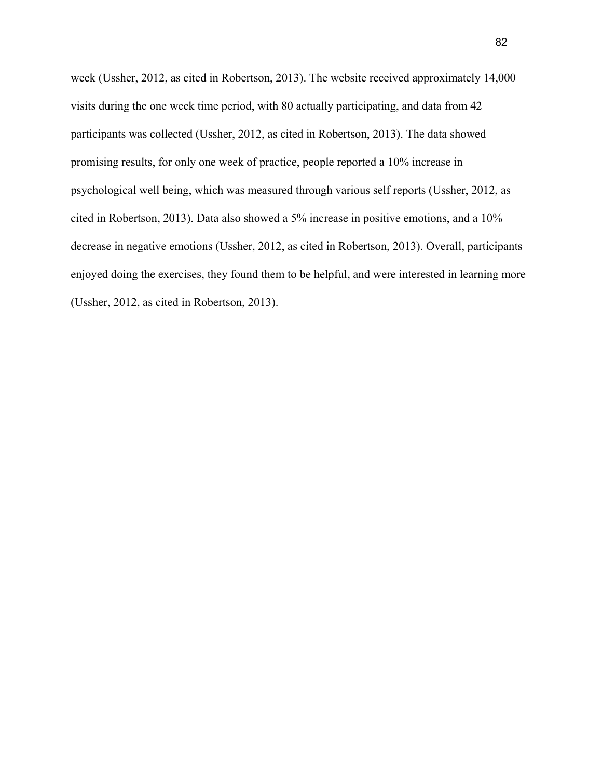week (Ussher, 2012, as cited in Robertson, 2013). The website received approximately 14,000 visits during the one week time period, with 80 actually participating, and data from 42 participants was collected (Ussher, 2012, as cited in Robertson, 2013). The data showed promising results, for only one week of practice, people reported a 10% increase in psychological well being, which was measured through various self reports (Ussher, 2012, as cited in Robertson, 2013). Data also showed a 5% increase in positive emotions, and a 10% decrease in negative emotions (Ussher, 2012, as cited in Robertson, 2013). Overall, participants enjoyed doing the exercises, they found them to be helpful, and were interested in learning more (Ussher, 2012, as cited in Robertson, 2013).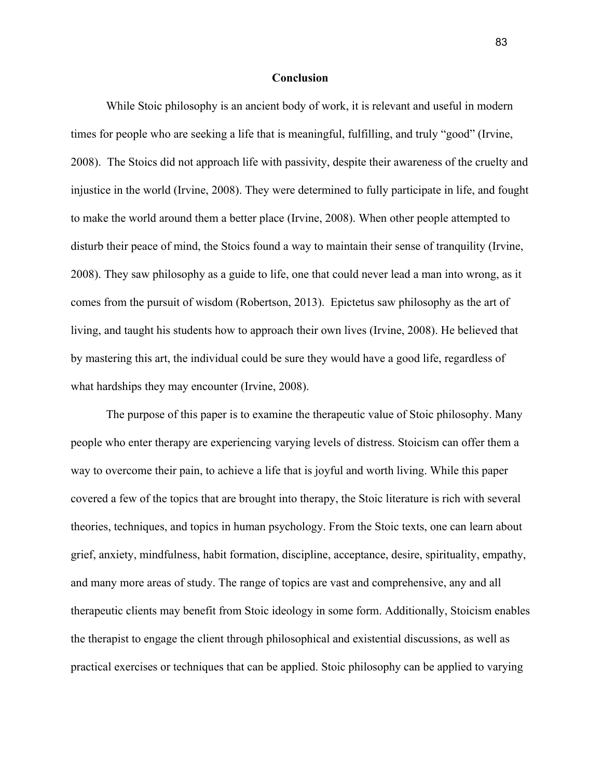## **Conclusion**

While Stoic philosophy is an ancient body of work, it is relevant and useful in modern times for people who are seeking a life that is meaningful, fulfilling, and truly "good" (Irvine, 2008). The Stoics did not approach life with passivity, despite their awareness of the cruelty and injustice in the world (Irvine, 2008). They were determined to fully participate in life, and fought to make the world around them a better place (Irvine, 2008). When other people attempted to disturb their peace of mind, the Stoics found a way to maintain their sense of tranquility (Irvine, 2008). They saw philosophy as a guide to life, one that could never lead a man into wrong, as it comes from the pursuit of wisdom (Robertson, 2013). Epictetus saw philosophy as the art of living, and taught his students how to approach their own lives (Irvine, 2008). He believed that by mastering this art, the individual could be sure they would have a good life, regardless of what hardships they may encounter (Irvine, 2008).

The purpose of this paper is to examine the therapeutic value of Stoic philosophy. Many people who enter therapy are experiencing varying levels of distress. Stoicism can offer them a way to overcome their pain, to achieve a life that is joyful and worth living. While this paper covered a few of the topics that are brought into therapy, the Stoic literature is rich with several theories, techniques, and topics in human psychology. From the Stoic texts, one can learn about grief, anxiety, mindfulness, habit formation, discipline, acceptance, desire, spirituality, empathy, and many more areas of study. The range of topics are vast and comprehensive, any and all therapeutic clients may benefit from Stoic ideology in some form. Additionally, Stoicism enables the therapist to engage the client through philosophical and existential discussions, as well as practical exercises or techniques that can be applied. Stoic philosophy can be applied to varying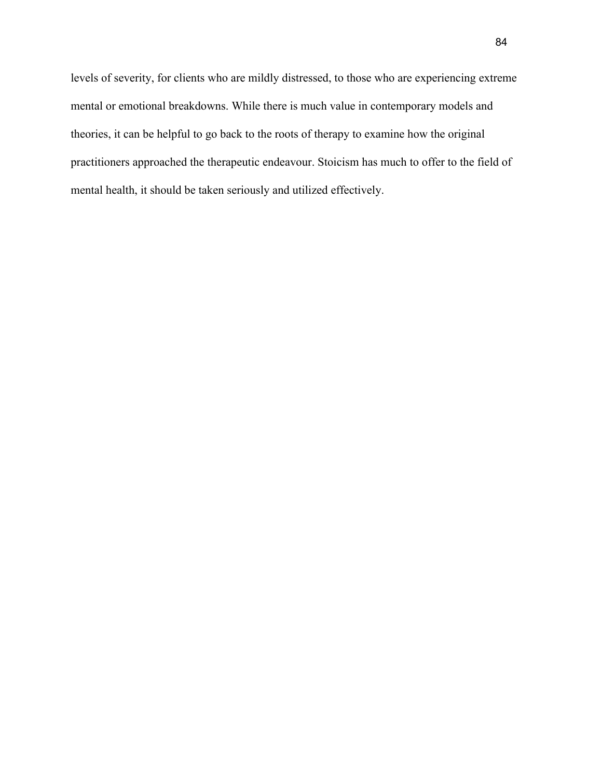levels of severity, for clients who are mildly distressed, to those who are experiencing extreme mental or emotional breakdowns. While there is much value in contemporary models and theories, it can be helpful to go back to the roots of therapy to examine how the original practitioners approached the therapeutic endeavour. Stoicism has much to offer to the field of mental health, it should be taken seriously and utilized effectively.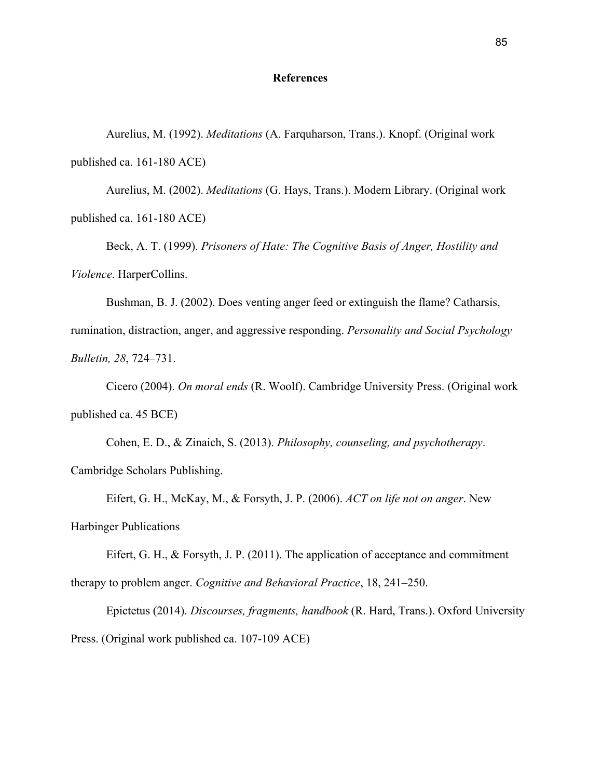## **References**

Aurelius, M. (1992). *Meditations* (A. Farquharson, Trans.). Knopf. (Original work published ca. 161-180 ACE)

Aurelius, M. (2002). *Meditations* (G. Hays, Trans.). Modern Library. (Original work published ca. 161-180 ACE)

Beck, A. T. (1999). *Prisoners of Hate: The Cognitive Basis of Anger, Hostility and Violence*. HarperCollins.

Bushman, B. J. (2002). Does venting anger feed or extinguish the flame? Catharsis, rumination, distraction, anger, and aggressive responding. *Personality and Social Psychology Bulletin, 28*, 724–731.

Cicero (2004). *On moral ends* (R. Woolf). Cambridge University Press. (Original work published ca. 45 BCE)

Cohen, E. D., & Zinaich, S. (2013). *Philosophy, counseling, and psychotherapy*. Cambridge Scholars Publishing.

Eifert, G. H., McKay, M., & Forsyth, J. P. (2006). *ACT on life not on anger*. New Harbinger Publications

Eifert, G. H., & Forsyth, J. P. (2011). The application of acceptance and commitment therapy to problem anger. *Cognitive and Behavioral Practice*, 18, 241–250.

Epictetus (2014). *Discourses, fragments, handbook* (R. Hard, Trans.). Oxford University Press. (Original work published ca. 107-109 ACE)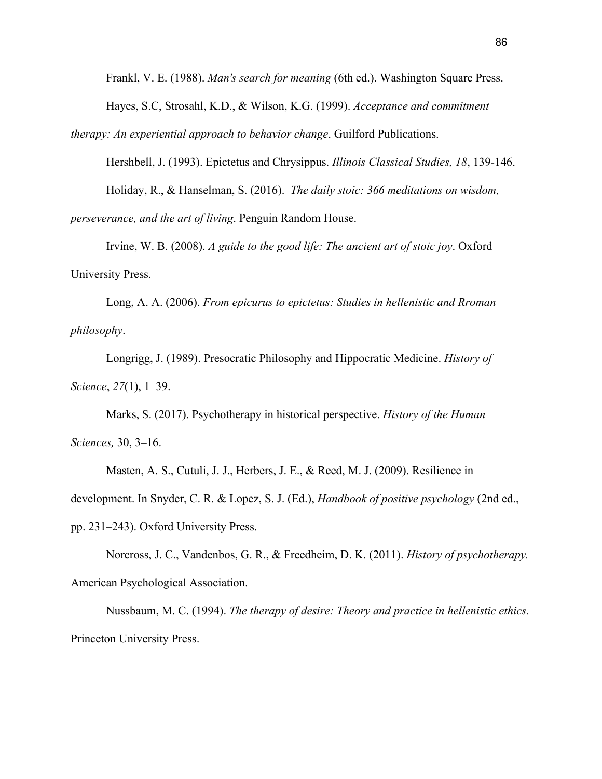Frankl, V. E. (1988). *Man's search for meaning* (6th ed.). Washington Square Press. Hayes, S.C, Strosahl, K.D., & Wilson, K.G. (1999). *Acceptance and commitment*

*therapy: An experiential approach to behavior change*. Guilford Publications.

Hershbell, J. (1993). Epictetus and Chrysippus. *Illinois Classical Studies, 18*, 139-146.

Holiday, R., & Hanselman, S. (2016). *The daily stoic: 366 meditations on wisdom,*

*perseverance, and the art of living*. Penguin Random House.

Irvine, W. B. (2008). *A guide to the good life: The ancient art of stoic joy*. Oxford University Press.

Long, A. A. (2006). *From epicurus to epictetus: Studies in hellenistic and Rroman philosophy*.

Longrigg, J. (1989). Presocratic Philosophy and Hippocratic Medicine. *History of Science*, *27*(1), 1–39.

Marks, S. (2017). Psychotherapy in historical perspective. *History of the Human Sciences,* 30, 3–16.

Masten, A. S., Cutuli, J. J., Herbers, J. E., & Reed, M. J. (2009). Resilience in development. In Snyder, C. R. & Lopez, S. J. (Ed.), *Handbook of positive psychology* (2nd ed., pp. 231–243). Oxford University Press.

Norcross, J. C., Vandenbos, G. R., & Freedheim, D. K. (2011). *History of psychotherapy.* American Psychological Association.

Nussbaum, M. C. (1994). *The therapy of desire: Theory and practice in hellenistic ethics.* Princeton University Press.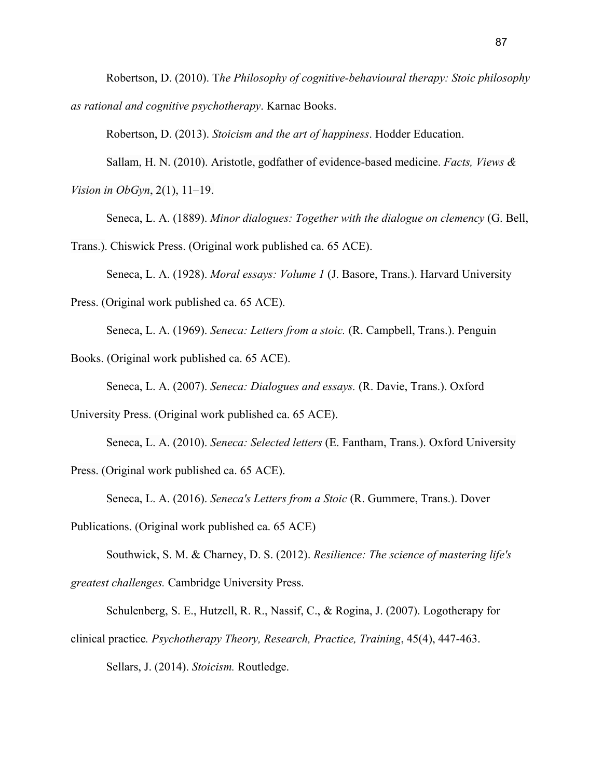Robertson, D. (2010). T*he Philosophy of cognitive-behavioural therapy: Stoic philosophy as rational and cognitive psychotherapy*. Karnac Books.

Robertson, D. (2013). *Stoicism and the art of happiness*. Hodder Education.

Sallam, H. N. (2010). Aristotle, godfather of evidence-based medicine. *Facts, Views & Vision in ObGyn*, 2(1), 11–19.

Seneca, L. A. (1889). *Minor dialogues: Together with the dialogue on clemency* (G. Bell,

Trans.). Chiswick Press. (Original work published ca. 65 ACE).

Seneca, L. A. (1928). *Moral essays: Volume 1* (J. Basore, Trans.). Harvard University

Press. (Original work published ca. 65 ACE).

Seneca, L. A. (1969). *Seneca: Letters from a stoic.* (R. Campbell, Trans.). Penguin

Books. (Original work published ca. 65 ACE).

Seneca, L. A. (2007). *Seneca: Dialogues and essays.* (R. Davie, Trans.). Oxford

University Press. (Original work published ca. 65 ACE).

Seneca, L. A. (2010). *Seneca: Selected letters* (E. Fantham, Trans.). Oxford University

Press. (Original work published ca. 65 ACE).

Seneca, L. A. (2016). *Seneca's Letters from a Stoic* (R. Gummere, Trans.). Dover

Publications. (Original work published ca. 65 ACE)

[Southwick](https://www.amazon.ca/s/ref=dp_byline_sr_book_1?ie=UTF8&field-author=Steven+M.+Southwick&search-alias=books-ca), S. M. & [Charney,](https://www.amazon.ca/s/ref=dp_byline_sr_book_2?ie=UTF8&field-author=Dennis+S.+Charney&search-alias=books-ca) D. S. (2012). *Resilience: The science of mastering life's greatest challenges.* Cambridge University Press.

Schulenberg, S. E., Hutzell, R. R., Nassif, C., & Rogina, J. (2007). Logotherapy for clinical practice*. Psychotherapy Theory, Research, Practice, Training*, 45(4), 447-463. Sellars, J. (2014). *Stoicism.* Routledge.